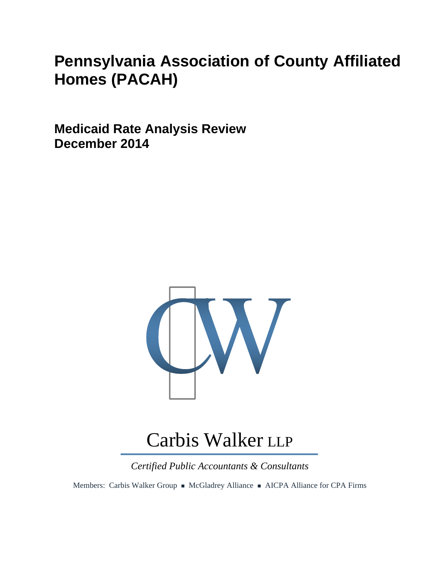## **Pennsylvania Association of County Affiliated Homes (PACAH)**

**Medicaid Rate Analysis Review December 2014** 



# Carbis Walker LLP

*Certified Public Accountants & Consultants* 

Members: Carbis Walker Group • McGladrey Alliance • AICPA Alliance for CPA Firms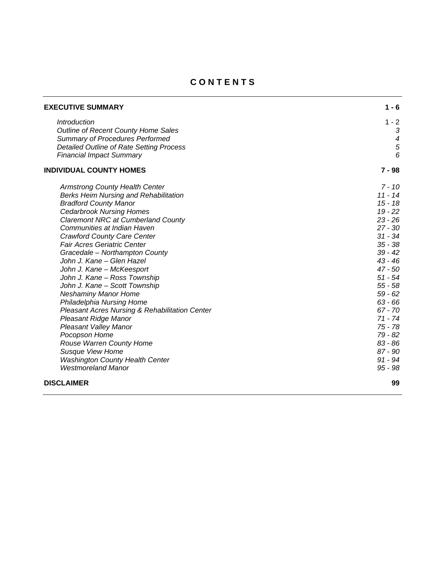## **C O N T E N T S**

| <b>EXECUTIVE SUMMARY</b>                        | $1 - 6$          |
|-------------------------------------------------|------------------|
| Introduction                                    | $1 - 2$          |
| Outline of Recent County Home Sales             | 3                |
| Summary of Procedures Performed                 | $\boldsymbol{4}$ |
| <b>Detailed Outline of Rate Setting Process</b> | $\overline{5}$   |
| <b>Financial Impact Summary</b>                 | 6                |
| <b>INDIVIDUAL COUNTY HOMES</b>                  | $7 - 98$         |
| <b>Armstrong County Health Center</b>           | $7 - 10$         |
| <b>Berks Heim Nursing and Rehabilitation</b>    | $11 - 14$        |
| <b>Bradford County Manor</b>                    | $15 - 18$        |
| <b>Cedarbrook Nursing Homes</b>                 | $19 - 22$        |
| <b>Claremont NRC at Cumberland County</b>       | $23 - 26$        |
| Communities at Indian Haven                     | $27 - 30$        |
| <b>Crawford County Care Center</b>              | $31 - 34$        |
| <b>Fair Acres Geriatric Center</b>              | $35 - 38$        |
| Gracedale - Northampton County                  | $39 - 42$        |
| John J. Kane - Glen Hazel                       | $43 - 46$        |
| John J. Kane - McKeesport                       | $47 - 50$        |
| John J. Kane - Ross Township                    | $51 - 54$        |
| John J. Kane - Scott Township                   | $55 - 58$        |
| <b>Neshaminy Manor Home</b>                     | $59 - 62$        |
| Philadelphia Nursing Home                       | $63 - 66$        |
| Pleasant Acres Nursing & Rehabilitation Center  | $67 - 70$        |
| Pleasant Ridge Manor                            | $71 - 74$        |
| <b>Pleasant Valley Manor</b>                    | 75 - 78          |
| Pocopson Home                                   | 79 - 82          |
| Rouse Warren County Home                        | $83 - 86$        |
| <b>Susque View Home</b>                         | $87 - 90$        |
| <b>Washington County Health Center</b>          | $91 - 94$        |
| <b>Westmoreland Manor</b>                       | $95 - 98$        |
| <b>DISCLAIMER</b>                               | 99               |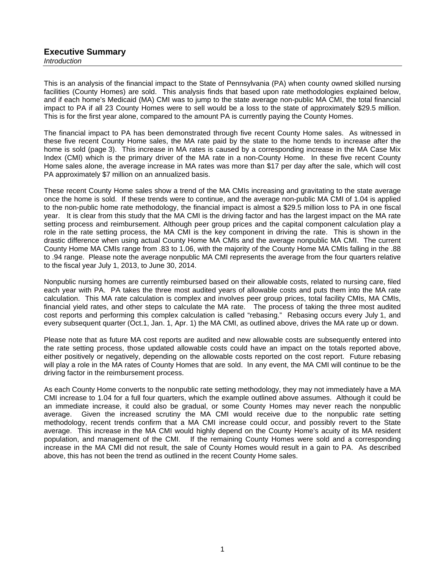#### **Executive Summary**  *Introduction*

This is an analysis of the financial impact to the State of Pennsylvania (PA) when county owned skilled nursing facilities (County Homes) are sold. This analysis finds that based upon rate methodologies explained below, and if each home's Medicaid (MA) CMI was to jump to the state average non-public MA CMI, the total financial impact to PA if all 23 County Homes were to sell would be a loss to the state of approximately \$29.5 million. This is for the first year alone, compared to the amount PA is currently paying the County Homes.

The financial impact to PA has been demonstrated through five recent County Home sales. As witnessed in these five recent County Home sales, the MA rate paid by the state to the home tends to increase after the home is sold (page 3). This increase in MA rates is caused by a corresponding increase in the MA Case Mix Index (CMI) which is the primary driver of the MA rate in a non-County Home. In these five recent County Home sales alone, the average increase in MA rates was more than \$17 per day after the sale, which will cost PA approximately \$7 million on an annualized basis.

These recent County Home sales show a trend of the MA CMIs increasing and gravitating to the state average once the home is sold. If these trends were to continue, and the average non-public MA CMI of 1.04 is applied to the non-public home rate methodology, the financial impact is almost a \$29.5 million loss to PA in one fiscal year. It is clear from this study that the MA CMI is the driving factor and has the largest impact on the MA rate setting process and reimbursement. Although peer group prices and the capital component calculation play a role in the rate setting process, the MA CMI is the key component in driving the rate. This is shown in the drastic difference when using actual County Home MA CMIs and the average nonpublic MA CMI. The current County Home MA CMIs range from .83 to 1.06, with the majority of the County Home MA CMIs falling in the .88 to .94 range. Please note the average nonpublic MA CMI represents the average from the four quarters relative to the fiscal year July 1, 2013, to June 30, 2014.

Nonpublic nursing homes are currently reimbursed based on their allowable costs, related to nursing care, filed each year with PA. PA takes the three most audited years of allowable costs and puts them into the MA rate calculation. This MA rate calculation is complex and involves peer group prices, total facility CMIs, MA CMIs, financial yield rates, and other steps to calculate the MA rate. The process of taking the three most audited mancial yield rates, and other steps to subdition the mix rate. This presence of tensing the mixed cost reports and performing this complex calculation is called "rebasing." Rebasing occurs every July 1, and every subsequent quarter (Oct.1, Jan. 1, Apr. 1) the MA CMI, as outlined above, drives the MA rate up or down.

Please note that as future MA cost reports are audited and new allowable costs are subsequently entered into the rate setting process, those updated allowable costs could have an impact on the totals reported above, either positively or negatively, depending on the allowable costs reported on the cost report. Future rebasing will play a role in the MA rates of County Homes that are sold. In any event, the MA CMI will continue to be the driving factor in the reimbursement process.

As each County Home converts to the nonpublic rate setting methodology, they may not immediately have a MA CMI increase to 1.04 for a full four quarters, which the example outlined above assumes. Although it could be an immediate increase, it could also be gradual, or some County Homes may never reach the nonpublic average. Given the increased scrutiny the MA CMI would receive due to the nonpublic rate setting methodology, recent trends confirm that a MA CMI increase could occur, and possibly revert to the State average. This increase in the MA CMI would highly depend on the County Home's acuity of its MA resident population, and management of the CMI. If the remaining County Homes were sold and a corresponding increase in the MA CMI did not result, the sale of County Homes would result in a gain to PA. As described above, this has not been the trend as outlined in the recent County Home sales.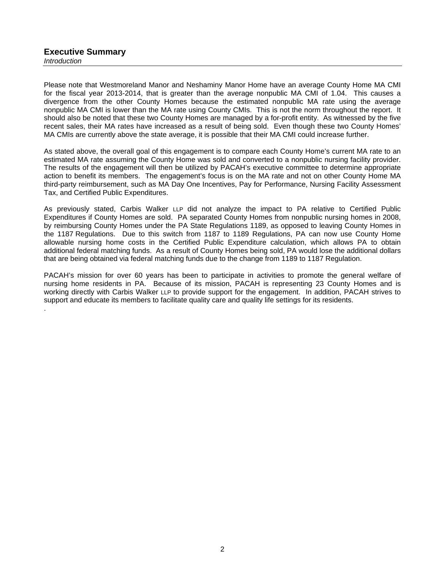.

Please note that Westmoreland Manor and Neshaminy Manor Home have an average County Home MA CMI for the fiscal year 2013-2014, that is greater than the average nonpublic MA CMI of 1.04. This causes a divergence from the other County Homes because the estimated nonpublic MA rate using the average nonpublic MA CMI is lower than the MA rate using County CMIs. This is not the norm throughout the report. It should also be noted that these two County Homes are managed by a for-profit entity. As witnessed by the five recent sales, their MA rates have increased as a result of being sold. Even though these two County Homes' MA CMIs are currently above the state average, it is possible that their MA CMI could increase further.

As stated above, the overall goal of this engagement is to compare each County Home's current MA rate to an estimated MA rate assuming the County Home was sold and converted to a nonpublic nursing facility provider. The results of the engagement will then be utilized by PACAH's executive committee to determine appropriate action to benefit its members. The engagement's focus is on the MA rate and not on other County Home MA third-party reimbursement, such as MA Day One Incentives, Pay for Performance, Nursing Facility Assessment Tax, and Certified Public Expenditures.

As previously stated, Carbis Walker LLP did not analyze the impact to PA relative to Certified Public Expenditures if County Homes are sold. PA separated County Homes from nonpublic nursing homes in 2008, by reimbursing County Homes under the PA State Regulations 1189, as opposed to leaving County Homes in the 1187 Regulations. Due to this switch from 1187 to 1189 Regulations, PA can now use County Home allowable nursing home costs in the Certified Public Expenditure calculation, which allows PA to obtain additional federal matching funds. As a result of County Homes being sold, PA would lose the additional dollars that are being obtained via federal matching funds due to the change from 1189 to 1187 Regulation.

PACAH's mission for over 60 years has been to participate in activities to promote the general welfare of nursing home residents in PA. Because of its mission, PACAH is representing 23 County Homes and is working directly with Carbis Walker LLP to provide support for the engagement. In addition, PACAH strives to support and educate its members to facilitate quality care and quality life settings for its residents.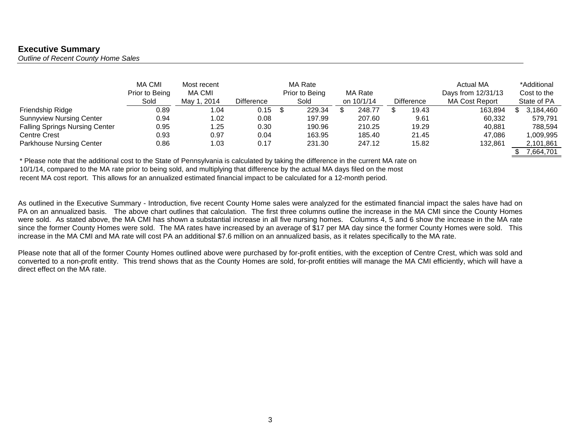## **Executive Summary**

*Outline of Recent County Home Sales* 

|                                       | <b>MA CMI</b><br>Prior to Being<br>Sold | Most recent<br>MA CMI<br>May 1, 2014 | <b>Difference</b> | MA Rate<br>Prior to Being<br>Sold | MA Rate<br>on 10/1/14 | <b>Difference</b> | Actual MA<br>Days from 12/31/13<br><b>MA Cost Report</b> | *Additional<br>Cost to the<br>State of PA |
|---------------------------------------|-----------------------------------------|--------------------------------------|-------------------|-----------------------------------|-----------------------|-------------------|----------------------------------------------------------|-------------------------------------------|
| Friendship Ridge                      | 0.89                                    | .04                                  | 0.15              | 229.34                            | 248.77                | 19.43             | 163,894                                                  | 3,184,460                                 |
| <b>Sunnyview Nursing Center</b>       | 0.94                                    | .02                                  | 0.08              | 197.99                            | 207.60                | 9.61              | 60,332                                                   | 579,791                                   |
| <b>Falling Springs Nursing Center</b> | 0.95                                    | 1.25                                 | 0.30              | 190.96                            | 210.25                | 19.29             | 40.881                                                   | 788,594                                   |
| <b>Centre Crest</b>                   | 0.93                                    | 0.97                                 | 0.04              | 163.95                            | 185.40                | 21.45             | 47.086                                                   | 1,009,995                                 |
| <b>Parkhouse Nursing Center</b>       | 0.86                                    | l.03                                 | 0.17              | 231.30                            | 247.12                | 15.82             | 132,861                                                  | 2,101,861                                 |
|                                       |                                         |                                      |                   |                                   |                       |                   |                                                          | 7.664.701                                 |

\* Please note that the additional cost to the State of Pennsylvania is calculated by taking the difference in the current MA rate on 10/1/14, compared to the MA rate prior to being sold, and multiplying that difference by the actual MA days filed on the most recent MA cost report. This allows for an annualized estimated financial impact to be calculated for a 12-month period.

As outlined in the Executive Summary - Introduction, five recent County Home sales were analyzed for the estimated financial impact the sales have had on PA on an annualized basis. The above chart outlines that calculation. The first three columns outline the increase in the MA CMI since the County Homes were sold. As stated above, the MA CMI has shown a substantial increase in all five nursing homes. Columns 4, 5 and 6 show the increase in the MA rate since the former County Homes were sold. The MA rates have increased by an average of \$17 per MA day since the former County Homes were sold. This increase in the MA CMI and MA rate will cost PA an additional \$7.6 million on an annualized basis, as it relates specifically to the MA rate.

Please note that all of the former County Homes outlined above were purchased by for-profit entities, with the exception of Centre Crest, which was sold and converted to a non-profit entity. This trend shows that as the County Homes are sold, for-profit entities will manage the MA CMI efficiently, which will have a direct effect on the MA rate.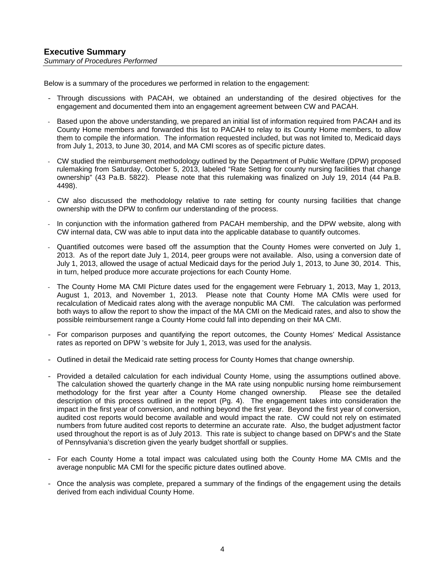Below is a summary of the procedures we performed in relation to the engagement:

- Through discussions with PACAH, we obtained an understanding of the desired objectives for the engagement and documented them into an engagement agreement between CW and PACAH.
- Based upon the above understanding, we prepared an initial list of information required from PACAH and its County Home members and forwarded this list to PACAH to relay to its County Home members, to allow them to compile the information. The information requested included, but was not limited to, Medicaid days from July 1, 2013, to June 30, 2014, and MA CMI scores as of specific picture dates.
- CW studied the reimbursement methodology outlined by the Department of Public Welfare (DPW) proposed rulemaking from Saturday, October 5, 2013, labeled "Rate Setting for county nursing facilities that change ownership" (43 Pa.B. 5822). Please note that this rulemaking was finalized on July 19, 2014 (44 Pa.B. 4498).
- CW also discussed the methodology relative to rate setting for county nursing facilities that change ownership with the DPW to confirm our understanding of the process.
- In conjunction with the information gathered from PACAH membership, and the DPW website, along with CW internal data, CW was able to input data into the applicable database to quantify outcomes.
- Quantified outcomes were based off the assumption that the County Homes were converted on July 1, 2013. As of the report date July 1, 2014, peer groups were not available. Also, using a conversion date of July 1, 2013, allowed the usage of actual Medicaid days for the period July 1, 2013, to June 30, 2014. This, in turn, helped produce more accurate projections for each County Home.
- The County Home MA CMI Picture dates used for the engagement were February 1, 2013, May 1, 2013, August 1, 2013, and November 1, 2013. Please note that County Home MA CMIs were used for recalculation of Medicaid rates along with the average nonpublic MA CMI. The calculation was performed both ways to allow the report to show the impact of the MA CMI on the Medicaid rates, and also to show the possible reimbursement range a County Home could fall into depending on their MA CMI.
- For comparison purposes and quantifying the report outcomes, the County Homes' Medical Assistance rates as reported on DPW 's website for July 1, 2013, was used for the analysis.
- Outlined in detail the Medicaid rate setting process for County Homes that change ownership.
- Provided a detailed calculation for each individual County Home, using the assumptions outlined above. The calculation showed the quarterly change in the MA rate using nonpublic nursing home reimbursement methodology for the first year after a County Home changed ownership. Please see the detailed description of this process outlined in the report (Pg. 4). The engagement takes into consideration the impact in the first year of conversion, and nothing beyond the first year. Beyond the first year of conversion, audited cost reports would become available and would impact the rate. CW could not rely on estimated numbers from future audited cost reports to determine an accurate rate. Also, the budget adjustment factor used throughout the report is as of July 2013. This rate is subject to change based on DPW's and the State of Pennsylvania's discretion given the yearly budget shortfall or supplies.
- For each County Home a total impact was calculated using both the County Home MA CMIs and the average nonpublic MA CMI for the specific picture dates outlined above.
- Once the analysis was complete, prepared a summary of the findings of the engagement using the details derived from each individual County Home.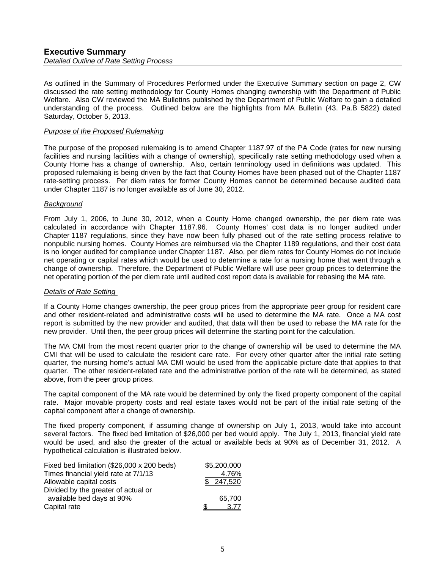#### **Executive Summary**  *Detailed Outline of Rate Setting Process*

As outlined in the Summary of Procedures Performed under the Executive Summary section on page 2, CW discussed the rate setting methodology for County Homes changing ownership with the Department of Public Welfare. Also CW reviewed the MA Bulletins published by the Department of Public Welfare to gain a detailed understanding of the process. Outlined below are the highlights from MA Bulletin (43. Pa.B 5822) dated Saturday, October 5, 2013.

#### *Purpose of the Proposed Rulemaking*

The purpose of the proposed rulemaking is to amend Chapter 1187.97 of the PA Code (rates for new nursing facilities and nursing facilities with a change of ownership), specifically rate setting methodology used when a County Home has a change of ownership. Also, certain terminology used in definitions was updated. This proposed rulemaking is being driven by the fact that County Homes have been phased out of the Chapter 1187 rate-setting process. Per diem rates for former County Homes cannot be determined because audited data under Chapter 1187 is no longer available as of June 30, 2012.

#### *Background*

From July 1, 2006, to June 30, 2012, when a County Home changed ownership, the per diem rate was calculated in accordance with Chapter 1187.96. County Homes' cost data is no longer audited under Chapter 1187 regulations, since they have now been fully phased out of the rate setting process relative to nonpublic nursing homes. County Homes are reimbursed via the Chapter 1189 regulations, and their cost data is no longer audited for compliance under Chapter 1187. Also, per diem rates for County Homes do not include net operating or capital rates which would be used to determine a rate for a nursing home that went through a change of ownership. Therefore, the Department of Public Welfare will use peer group prices to determine the net operating portion of the per diem rate until audited cost report data is available for rebasing the MA rate.

#### *Details of Rate Setting*

If a County Home changes ownership, the peer group prices from the appropriate peer group for resident care and other resident-related and administrative costs will be used to determine the MA rate. Once a MA cost report is submitted by the new provider and audited, that data will then be used to rebase the MA rate for the new provider. Until then, the peer group prices will determine the starting point for the calculation.

The MA CMI from the most recent quarter prior to the change of ownership will be used to determine the MA CMI that will be used to calculate the resident care rate. For every other quarter after the initial rate setting quarter, the nursing home's actual MA CMI would be used from the applicable picture date that applies to that quarter. The other resident-related rate and the administrative portion of the rate will be determined, as stated above, from the peer group prices.

The capital component of the MA rate would be determined by only the fixed property component of the capital rate. Major movable property costs and real estate taxes would not be part of the initial rate setting of the capital component after a change of ownership.

The fixed property component, if assuming change of ownership on July 1, 2013, would take into account several factors. The fixed bed limitation of \$26,000 per bed would apply. The July 1, 2013, financial yield rate would be used, and also the greater of the actual or available beds at 90% as of December 31, 2012. A hypothetical calculation is illustrated below.

| Fixed bed limitation (\$26,000 x 200 beds) | \$5,200,000 |
|--------------------------------------------|-------------|
| Times financial yield rate at 7/1/13       | 4.76%       |
| Allowable capital costs                    | \$247,520   |
| Divided by the greater of actual or        |             |
| available bed days at 90%                  | 65.700      |
| Capital rate                               | 3.77        |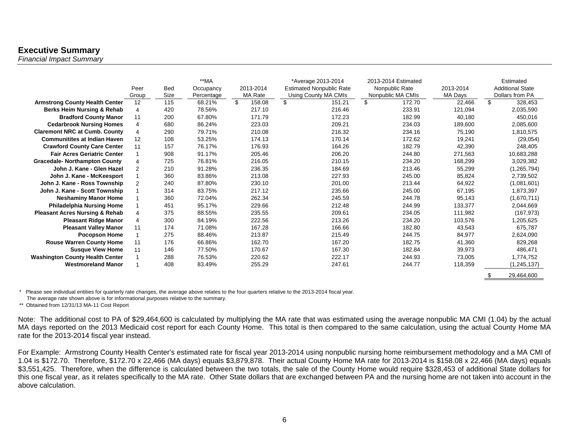## **Executive Summary**

*Financial Impact Summary* 

|                                           | Peer<br>Group  | <b>Bed</b><br>Size | $**MA$<br>Occupancy<br>Percentage | 2013-2014<br>MA Rate | *Average 2013-2014<br><b>Estimated Nonpublic Rate</b><br>Using County MA CMIs | 2013-2014 Estimated<br>Nonpublic Rate<br>Nonpublic MA CMIs | 2013-2014<br><b>MA Days</b> | Estimated<br><b>Additional State</b><br>Dollars from PA |
|-------------------------------------------|----------------|--------------------|-----------------------------------|----------------------|-------------------------------------------------------------------------------|------------------------------------------------------------|-----------------------------|---------------------------------------------------------|
| <b>Armstrong County Health Center</b>     | 12             | 115                | 68.21%                            | \$<br>158.08         | \$<br>151.21                                                                  | \$<br>172.70                                               | 22,466                      | \$<br>328,453                                           |
| Berks Heim Nursing & Rehab                |                | 420                | 78.56%                            | 217.10               | 216.46                                                                        | 233.91                                                     | 121,094                     | 2,035,590                                               |
| <b>Bradford County Manor</b>              | 11             | 200                | 67.80%                            | 171.79               | 172.23                                                                        | 182.99                                                     | 40.180                      | 450,016                                                 |
| <b>Cedarbrook Nursing Homes</b>           | 4              | 680                | 86.24%                            | 223.03               | 209.21                                                                        | 234.03                                                     | 189,600                     | 2,085,600                                               |
| <b>Claremont NRC at Cumb. County</b>      | 4              | 290                | 79.71%                            | 210.08               | 216.32                                                                        | 234.16                                                     | 75,190                      | 1,810,575                                               |
| <b>Communitites at Indian Haven</b>       | 12             | 108                | 53.25%                            | 174.13               | 170.14                                                                        | 172.62                                                     | 19,241                      | (29,054)                                                |
| <b>Crawford County Care Center</b>        | 11             | 157                | 76.17%                            | 176.93               | 164.26                                                                        | 182.79                                                     | 42,390                      | 248,405                                                 |
| <b>Fair Acres Geriatric Center</b>        |                | 908                | 91.17%                            | 205.46               | 206.20                                                                        | 244.80                                                     | 271,563                     | 10,683,288                                              |
| <b>Gracedale- Northampton County</b>      | 4              | 725                | 76.81%                            | 216.05               | 210.15                                                                        | 234.20                                                     | 168,299                     | 3,029,382                                               |
| John J. Kane - Glen Hazel                 | $\overline{2}$ | 210                | 91.28%                            | 236.35               | 184.69                                                                        | 213.46                                                     | 55.299                      | (1, 265, 794)                                           |
| John J. Kane - McKeesport                 |                | 360                | 83.86%                            | 213.08               | 227.93                                                                        | 245.00                                                     | 85,824                      | 2,739,502                                               |
| John J. Kane - Ross Township              | 2              | 240                | 87.80%                            | 230.10               | 201.00                                                                        | 213.44                                                     | 64,922                      | (1,081,601)                                             |
| John J. Kane - Scott Township             |                | 314                | 83.75%                            | 217.12               | 235.66                                                                        | 245.00                                                     | 67,195                      | 1,873,397                                               |
| <b>Neshaminy Manor Home</b>               |                | 360                | 72.04%                            | 262.34               | 245.59                                                                        | 244.78                                                     | 95,143                      | (1,670,711)                                             |
| <b>Philadelphia Nursing Home</b>          |                | 451                | 95.17%                            | 229.66               | 212.48                                                                        | 244.99                                                     | 133,377                     | 2,044,669                                               |
| <b>Pleasant Acres Nursing &amp; Rehab</b> | 4              | 375                | 88.55%                            | 235.55               | 209.61                                                                        | 234.05                                                     | 111,982                     | (167, 973)                                              |
| <b>Pleasant Ridge Manor</b>               | 4              | 300                | 84.19%                            | 222.56               | 213.26                                                                        | 234.20                                                     | 103,576                     | 1,205,625                                               |
| <b>Pleasant Valley Manor</b>              | 11             | 174                | 71.08%                            | 167.28               | 166.66                                                                        | 182.80                                                     | 43,543                      | 675,787                                                 |
| <b>Pocopson Home</b>                      |                | 275                | 88.46%                            | 213.87               | 215.49                                                                        | 244.75                                                     | 84,977                      | 2,624,090                                               |
| <b>Rouse Warren County Home</b>           | 11             | 176                | 66.86%                            | 162.70               | 167.20                                                                        | 182.75                                                     | 41,360                      | 829,268                                                 |
| <b>Susque View Home</b>                   | 11             | 146                | 77.50%                            | 170.67               | 167.30                                                                        | 182.84                                                     | 39,973                      | 486,471                                                 |
| <b>Washington County Health Center</b>    |                | 288                | 76.53%                            | 220.62               | 222.17                                                                        | 244.93                                                     | 73,005                      | 1,774,752                                               |
| <b>Westmoreland Manor</b>                 |                | 408                | 83.49%                            | 255.29               | 247.61                                                                        | 244.77                                                     | 118,359                     | (1, 245, 137)                                           |
|                                           |                |                    |                                   |                      |                                                                               |                                                            |                             | \$<br>29,464,600                                        |

\* Please see individual entities for quarterly rate changes, the average above relates to the four quarters relative to the 2013-2014 fiscal year.

The average rate shown above is for informational purposes relative to the summary.

\*\* Obtained from 12/31/13 MA-11 Cost Report

Note: The additional cost to PA of \$29,464,600 is calculated by multiplying the MA rate that was estimated using the average nonpublic MA CMI (1.04) by the actual MA days reported on the 2013 Medicaid cost report for each County Home. This total is then compared to the same calculation, using the actual County Home MA rate for the 2013-2014 fiscal year instead.

For Example: Armstrong County Health Center's estimated rate for fiscal year 2013-2014 using nonpublic nursing home reimbursement methodology and a MA CMI of 1.04 is \$172.70. Therefore, \$172.70 x 22,466 (MA days) equals \$3,879,878. Their actual County Home MA rate for 2013-2014 is \$158.08 x 22,466 (MA days) equals \$3,551,425. Therefore, when the difference is calculated between the two totals, the sale of the County Home would require \$328,453 of additional State dollars for this one fiscal year, as it relates specifically to the MA rate. Other State dollars that are exchanged between PA and the nursing home are not taken into account in the above calculation.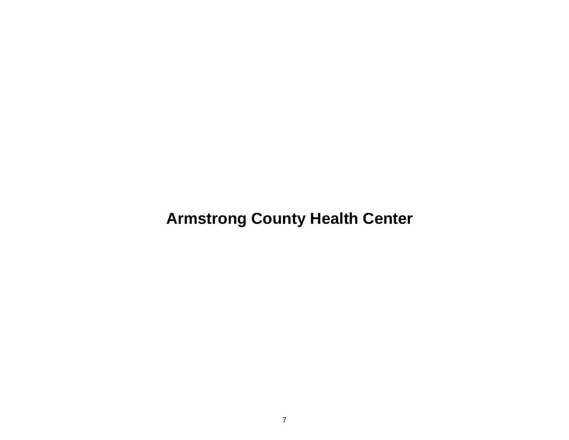**Armstrong County Health Center**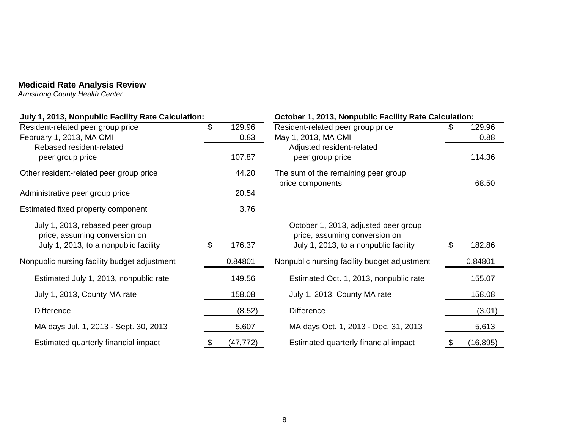*Armstrong County Health Center* 

| July 1, 2013, Nonpublic Facility Rate Calculation:                |      | October 1, 2013, Nonpublic Facility Rate Calculation: |                                                                       |    |           |  |
|-------------------------------------------------------------------|------|-------------------------------------------------------|-----------------------------------------------------------------------|----|-----------|--|
| Resident-related peer group price                                 | \$   | 129.96                                                | Resident-related peer group price                                     |    | 129.96    |  |
| February 1, 2013, MA CMI                                          |      | 0.83                                                  | May 1, 2013, MA CMI                                                   |    | 0.88      |  |
| Rebased resident-related                                          |      |                                                       | Adjusted resident-related                                             |    |           |  |
| peer group price                                                  |      | 107.87                                                | peer group price                                                      |    | 114.36    |  |
| Other resident-related peer group price                           |      | 44.20                                                 | The sum of the remaining peer group<br>price components               |    | 68.50     |  |
| Administrative peer group price                                   |      | 20.54                                                 |                                                                       |    |           |  |
| Estimated fixed property component                                |      | 3.76                                                  |                                                                       |    |           |  |
| July 1, 2013, rebased peer group<br>price, assuming conversion on |      |                                                       | October 1, 2013, adjusted peer group<br>price, assuming conversion on |    |           |  |
| July 1, 2013, to a nonpublic facility                             | - \$ | 176.37                                                | July 1, 2013, to a nonpublic facility                                 |    | 182.86    |  |
| Nonpublic nursing facility budget adjustment                      |      | 0.84801                                               | Nonpublic nursing facility budget adjustment                          |    | 0.84801   |  |
| Estimated July 1, 2013, nonpublic rate                            |      | 149.56                                                | Estimated Oct. 1, 2013, nonpublic rate                                |    | 155.07    |  |
| July 1, 2013, County MA rate                                      |      | 158.08                                                | July 1, 2013, County MA rate                                          |    | 158.08    |  |
| <b>Difference</b>                                                 |      | (8.52)                                                | <b>Difference</b>                                                     |    | (3.01)    |  |
| MA days Jul. 1, 2013 - Sept. 30, 2013                             |      | 5,607                                                 | MA days Oct. 1, 2013 - Dec. 31, 2013                                  |    | 5,613     |  |
| Estimated quarterly financial impact                              | \$   | (47, 772)                                             | Estimated quarterly financial impact                                  | \$ | (16, 895) |  |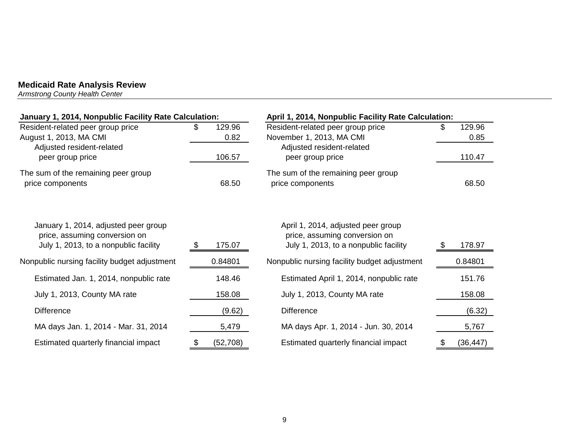*Armstrong County Health Center* 

| January 1, 2014, Nonpublic Facility Rate Calculation:                                                          |     |                | April 1, 2014, Nonpublic Facility Rate Calculation:                                                          |     |                |
|----------------------------------------------------------------------------------------------------------------|-----|----------------|--------------------------------------------------------------------------------------------------------------|-----|----------------|
| Resident-related peer group price<br>August 1, 2013, MA CMI                                                    | \$. | 129.96<br>0.82 | Resident-related peer group price<br>November 1, 2013, MA CMI                                                | \$. | 129.96<br>0.85 |
| Adjusted resident-related<br>peer group price                                                                  |     | 106.57         | Adjusted resident-related<br>peer group price                                                                |     | 110.47         |
| The sum of the remaining peer group<br>price components                                                        |     | 68.50          | The sum of the remaining peer group<br>price components                                                      |     | 68.50          |
| January 1, 2014, adjusted peer group<br>price, assuming conversion on<br>July 1, 2013, to a nonpublic facility | æ.  | 175.07         | April 1, 2014, adjusted peer group<br>price, assuming conversion on<br>July 1, 2013, to a nonpublic facility |     | 178.97         |
| Nonpublic nursing facility budget adjustment                                                                   |     | 0.84801        | Nonpublic nursing facility budget adjustment                                                                 |     | 0.84801        |
| Estimated Jan. 1, 2014, nonpublic rate                                                                         |     | 148.46         | Estimated April 1, 2014, nonpublic rate                                                                      |     | 151.76         |
| July 1, 2013, County MA rate                                                                                   |     | 158.08         | July 1, 2013, County MA rate                                                                                 |     | 158.08         |
| <b>Difference</b>                                                                                              |     | (9.62)         | <b>Difference</b>                                                                                            |     | (6.32)         |
| MA days Jan. 1, 2014 - Mar. 31, 2014                                                                           |     | 5,479          | MA days Apr. 1, 2014 - Jun. 30, 2014                                                                         |     | 5,767          |
| Estimated quarterly financial impact                                                                           | \$  | (52, 708)      | Estimated quarterly financial impact                                                                         | S.  | (36, 447)      |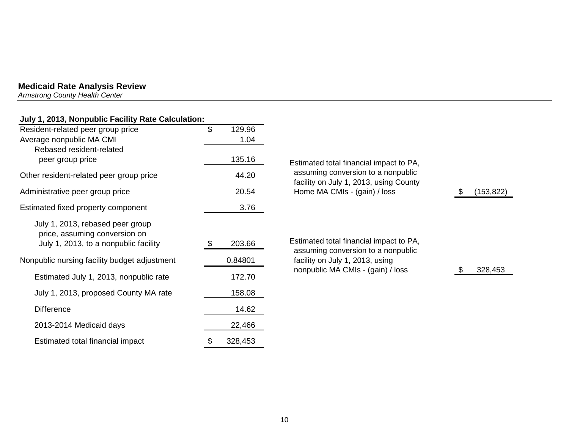*Armstrong County Health Center* 

## **July 1, 2013, Nonpublic Facility Rate Calculation:**

| Resident-related peer group price                                                                          | \$<br>129.96 |                                                                               |           |
|------------------------------------------------------------------------------------------------------------|--------------|-------------------------------------------------------------------------------|-----------|
| Average nonpublic MA CMI                                                                                   | 1.04         |                                                                               |           |
| Rebased resident-related                                                                                   |              |                                                                               |           |
| peer group price                                                                                           | 135.16       | Estimated total financial impact to PA,                                       |           |
| Other resident-related peer group price                                                                    | 44.20        | assuming conversion to a nonpublic<br>facility on July 1, 2013, using County  |           |
| Administrative peer group price                                                                            | 20.54        | Home MA CMIs - (gain) / loss                                                  | (153,822) |
| Estimated fixed property component                                                                         | 3.76         |                                                                               |           |
| July 1, 2013, rebased peer group<br>price, assuming conversion on<br>July 1, 2013, to a nonpublic facility | 203.66       | Estimated total financial impact to PA,<br>assuming conversion to a nonpublic |           |
| Nonpublic nursing facility budget adjustment                                                               | 0.84801      | facility on July 1, 2013, using                                               |           |
| Estimated July 1, 2013, nonpublic rate                                                                     | 172.70       | nonpublic MA CMIs - (gain) / loss                                             | 328,453   |
| July 1, 2013, proposed County MA rate                                                                      | 158.08       |                                                                               |           |
| <b>Difference</b>                                                                                          | 14.62        |                                                                               |           |
| 2013-2014 Medicaid days                                                                                    | 22,466       |                                                                               |           |
|                                                                                                            |              |                                                                               |           |

Estimated total financial impact  $$328,453$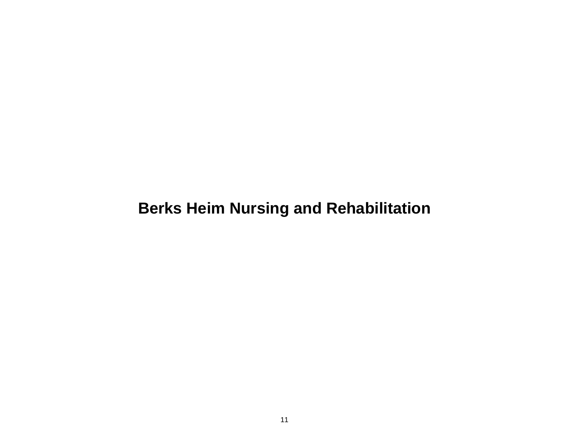# **Berks Heim Nursing and Rehabilitation**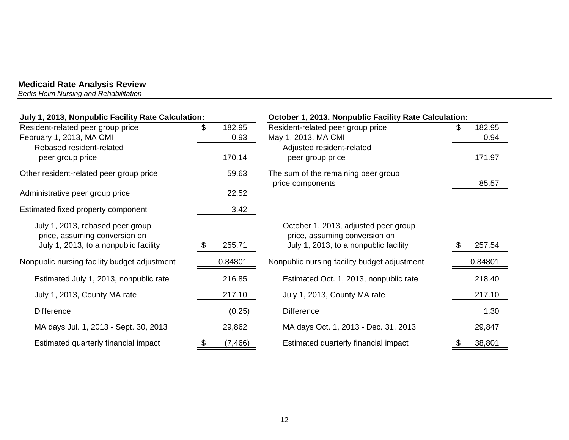*Berks Heim Nursing and Rehabilitation* 

| July 1, 2013, Nonpublic Facility Rate Calculation:                                                         |                      | October 1, 2013, Nonpublic Facility Rate Calculation:                                                          |                      |  |  |  |
|------------------------------------------------------------------------------------------------------------|----------------------|----------------------------------------------------------------------------------------------------------------|----------------------|--|--|--|
| Resident-related peer group price<br>February 1, 2013, MA CMI                                              | \$<br>182.95<br>0.93 | Resident-related peer group price<br>May 1, 2013, MA CMI                                                       | 182.95<br>\$<br>0.94 |  |  |  |
| Rebased resident-related<br>peer group price                                                               | 170.14               | Adjusted resident-related<br>peer group price                                                                  | 171.97               |  |  |  |
| Other resident-related peer group price                                                                    | 59.63                | The sum of the remaining peer group<br>price components                                                        | 85.57                |  |  |  |
| Administrative peer group price                                                                            | 22.52                |                                                                                                                |                      |  |  |  |
| Estimated fixed property component                                                                         | 3.42                 |                                                                                                                |                      |  |  |  |
| July 1, 2013, rebased peer group<br>price, assuming conversion on<br>July 1, 2013, to a nonpublic facility | 255.71<br>- 95       | October 1, 2013, adjusted peer group<br>price, assuming conversion on<br>July 1, 2013, to a nonpublic facility | 257.54               |  |  |  |
| Nonpublic nursing facility budget adjustment                                                               | 0.84801              | Nonpublic nursing facility budget adjustment                                                                   | 0.84801              |  |  |  |
| Estimated July 1, 2013, nonpublic rate                                                                     | 216.85               | Estimated Oct. 1, 2013, nonpublic rate                                                                         | 218.40               |  |  |  |
| July 1, 2013, County MA rate                                                                               | 217.10               | July 1, 2013, County MA rate                                                                                   | 217.10               |  |  |  |
| <b>Difference</b>                                                                                          | (0.25)               | <b>Difference</b>                                                                                              | 1.30                 |  |  |  |
| MA days Jul. 1, 2013 - Sept. 30, 2013                                                                      | 29,862               | MA days Oct. 1, 2013 - Dec. 31, 2013                                                                           | 29,847               |  |  |  |
| Estimated quarterly financial impact                                                                       | (7, 466)             | Estimated quarterly financial impact                                                                           | 38,801               |  |  |  |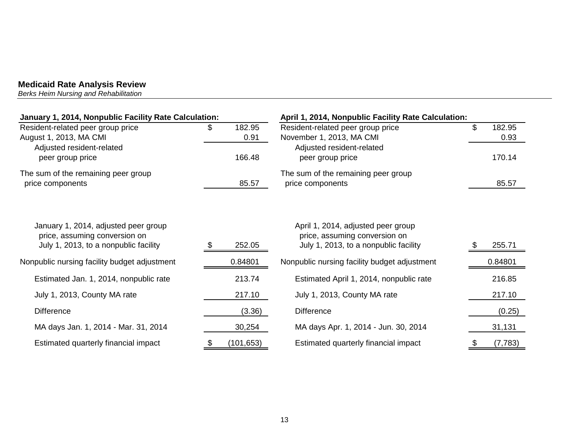*Berks Heim Nursing and Rehabilitation* 

| January 1, 2014, Nonpublic Facility Rate Calculation:       |  |                | April 1, 2014, Nonpublic Facility Rate Calculation:           |  |                |  |
|-------------------------------------------------------------|--|----------------|---------------------------------------------------------------|--|----------------|--|
| Resident-related peer group price<br>August 1, 2013, MA CMI |  | 182.95<br>0.91 | Resident-related peer group price<br>November 1, 2013, MA CMI |  | 182.95<br>0.93 |  |
| Adjusted resident-related<br>peer group price               |  | 166.48         | Adjusted resident-related<br>peer group price                 |  | 170.14         |  |
| The sum of the remaining peer group<br>price components     |  | 85.57          | The sum of the remaining peer group<br>price components       |  | 85.57          |  |

| January 1, 2014, adjusted peer group<br>price, assuming conversion on<br>July 1, 2013, to a nonpublic facility | 252.05     | April 1, 2014, adjusted peer group<br>price, assuming conversion on<br>July 1, 2013, to a nonpublic facility | 255.71   |
|----------------------------------------------------------------------------------------------------------------|------------|--------------------------------------------------------------------------------------------------------------|----------|
| Nonpublic nursing facility budget adjustment                                                                   | 0.84801    | Nonpublic nursing facility budget adjustment                                                                 | 0.84801  |
| Estimated Jan. 1, 2014, nonpublic rate                                                                         | 213.74     | Estimated April 1, 2014, nonpublic rate                                                                      | 216.85   |
| July 1, 2013, County MA rate                                                                                   | 217.10     | July 1, 2013, County MA rate                                                                                 | 217.10   |
| <b>Difference</b>                                                                                              | (3.36)     | <b>Difference</b>                                                                                            | (0.25)   |
| MA days Jan. 1, 2014 - Mar. 31, 2014                                                                           | 30,254     | MA days Apr. 1, 2014 - Jun. 30, 2014                                                                         | 31,131   |
| Estimated quarterly financial impact                                                                           | (101, 653) | Estimated quarterly financial impact                                                                         | (7, 783) |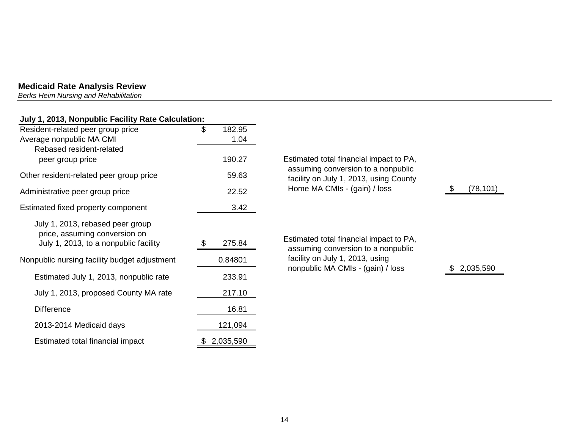*Berks Heim Nursing and Rehabilitation* 

## **July 1, 2013, Nonpublic Facility Rate Calculation:**

| Resident-related peer group price            | \$<br>182.95    |                                                                               |
|----------------------------------------------|-----------------|-------------------------------------------------------------------------------|
| Average nonpublic MA CMI                     | 1.04            |                                                                               |
| Rebased resident-related                     |                 |                                                                               |
| peer group price                             | 190.27          | Estimated total financial impact to PA,                                       |
| Other resident-related peer group price      | 59.63           | assuming conversion to a nonpublic<br>facility on July 1, 2013, using County  |
| Administrative peer group price              | 22.52           | Home MA CMIs - (gain) / loss                                                  |
| Estimated fixed property component           | 3.42            |                                                                               |
| July 1, 2013, rebased peer group             |                 |                                                                               |
| price, assuming conversion on                |                 |                                                                               |
| July 1, 2013, to a nonpublic facility        | 275.84          | Estimated total financial impact to PA,<br>assuming conversion to a nonpublic |
| Nonpublic nursing facility budget adjustment | 0.84801         | facility on July 1, 2013, using                                               |
| Estimated July 1, 2013, nonpublic rate       | 233.91          | nonpublic MA CMIs - (gain) / loss                                             |
| July 1, 2013, proposed County MA rate        | 217.10          |                                                                               |
| <b>Difference</b>                            | 16.81           |                                                                               |
| 2013-2014 Medicaid days                      | 121,094         |                                                                               |
| Estimated total financial impact             | \$<br>2,035,590 |                                                                               |

 $$ (78,101)$ 

 $$2,035,590$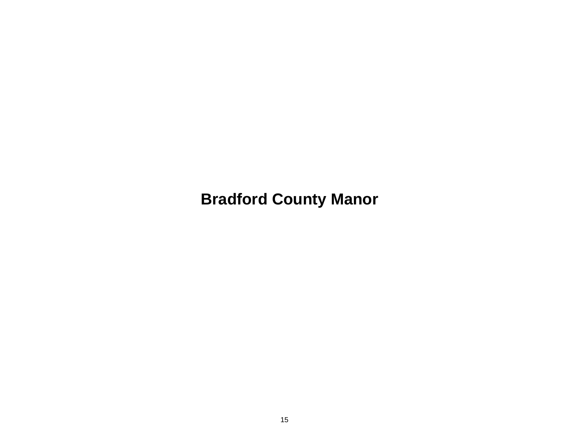**Bradford County Manor**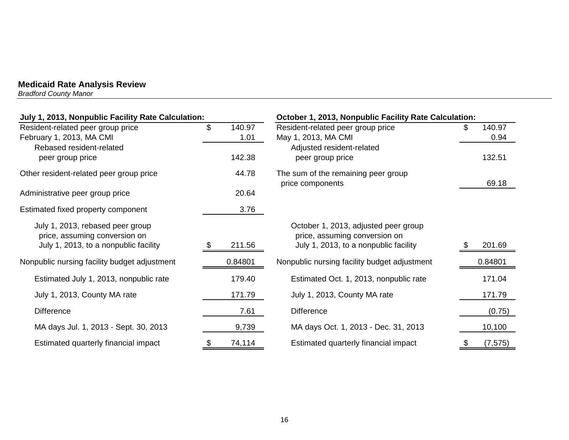*Bradford County Manor* 

| July 1, 2013, Nonpublic Facility Rate Calculation:                |                      | October 1, 2013, Nonpublic Facility Rate Calculation:                 |                     |  |  |
|-------------------------------------------------------------------|----------------------|-----------------------------------------------------------------------|---------------------|--|--|
| Resident-related peer group price<br>February 1, 2013, MA CMI     | \$<br>140.97<br>1.01 | Resident-related peer group price<br>May 1, 2013, MA CMI              | 140.97<br>S<br>0.94 |  |  |
| Rebased resident-related<br>peer group price                      | 142.38               | Adjusted resident-related<br>peer group price                         | 132.51              |  |  |
| Other resident-related peer group price                           | 44.78                | The sum of the remaining peer group<br>price components               | 69.18               |  |  |
| Administrative peer group price                                   | 20.64                |                                                                       |                     |  |  |
| Estimated fixed property component                                | 3.76                 |                                                                       |                     |  |  |
| July 1, 2013, rebased peer group<br>price, assuming conversion on |                      | October 1, 2013, adjusted peer group<br>price, assuming conversion on |                     |  |  |
| July 1, 2013, to a nonpublic facility                             | 211.56               | July 1, 2013, to a nonpublic facility                                 | 201.69              |  |  |
| Nonpublic nursing facility budget adjustment                      | 0.84801              | Nonpublic nursing facility budget adjustment                          | 0.84801             |  |  |
| Estimated July 1, 2013, nonpublic rate                            | 179.40               | Estimated Oct. 1, 2013, nonpublic rate                                | 171.04              |  |  |
| July 1, 2013, County MA rate                                      | 171.79               | July 1, 2013, County MA rate                                          | 171.79              |  |  |
| <b>Difference</b>                                                 | 7.61                 | <b>Difference</b>                                                     | (0.75)              |  |  |
| MA days Jul. 1, 2013 - Sept. 30, 2013                             | 9,739                | MA days Oct. 1, 2013 - Dec. 31, 2013                                  | 10,100              |  |  |
| Estimated quarterly financial impact                              | 74,114               | Estimated quarterly financial impact                                  | (7, 575)            |  |  |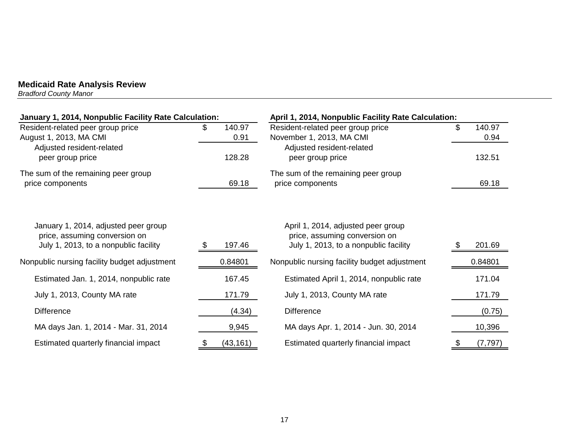*Bradford County Manor* 

| January 1, 2014, Nonpublic Facility Rate Calculation:                                                          |                 | April 1, 2014, Nonpublic Facility Rate Calculation:                                                          |                |  |  |
|----------------------------------------------------------------------------------------------------------------|-----------------|--------------------------------------------------------------------------------------------------------------|----------------|--|--|
| Resident-related peer group price                                                                              | 140.97<br>\$    | Resident-related peer group price                                                                            | \$<br>140.97   |  |  |
| August 1, 2013, MA CMI<br>Adjusted resident-related                                                            | 0.91            | November 1, 2013, MA CMI<br>Adjusted resident-related                                                        | 0.94           |  |  |
| peer group price                                                                                               | 128.28          | peer group price                                                                                             | 132.51         |  |  |
| The sum of the remaining peer group                                                                            |                 | The sum of the remaining peer group                                                                          |                |  |  |
| price components                                                                                               | 69.18           | price components                                                                                             | 69.18          |  |  |
| January 1, 2014, adjusted peer group<br>price, assuming conversion on<br>July 1, 2013, to a nonpublic facility | 197.46          | April 1, 2014, adjusted peer group<br>price, assuming conversion on<br>July 1, 2013, to a nonpublic facility | 201.69         |  |  |
| Nonpublic nursing facility budget adjustment                                                                   | 0.84801         | Nonpublic nursing facility budget adjustment                                                                 | 0.84801        |  |  |
| Estimated Jan. 1, 2014, nonpublic rate                                                                         | 167.45          | Estimated April 1, 2014, nonpublic rate                                                                      | 171.04         |  |  |
| July 1, 2013, County MA rate                                                                                   | 171.79          | July 1, 2013, County MA rate                                                                                 | 171.79         |  |  |
| <b>Difference</b>                                                                                              | (4.34)          | <b>Difference</b>                                                                                            | (0.75)         |  |  |
| MA days Jan. 1, 2014 - Mar. 31, 2014                                                                           | 9,945           | MA days Apr. 1, 2014 - Jun. 30, 2014                                                                         | 10,396         |  |  |
| Estimated quarterly financial impact                                                                           | (43, 161)<br>\$ | Estimated quarterly financial impact                                                                         | (7, 797)<br>\$ |  |  |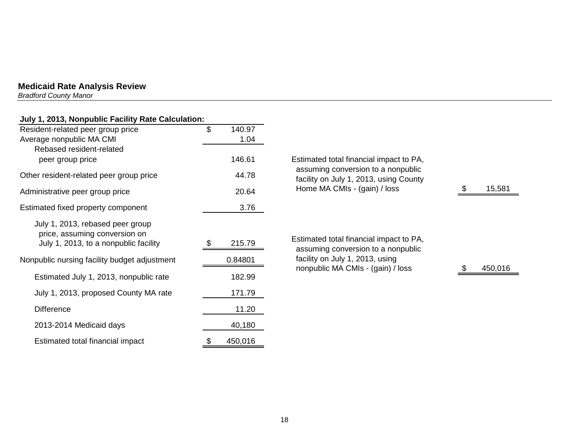*Bradford County Manor* 

## **July 1, 2013, Nonpublic Facility Rate Calculation:**

| Resident-related peer group price            | $\mathfrak{S}$ | 140.97  |                                                                              |
|----------------------------------------------|----------------|---------|------------------------------------------------------------------------------|
| Average nonpublic MA CMI                     |                | 1.04    |                                                                              |
| Rebased resident-related                     |                |         |                                                                              |
| peer group price                             |                | 146.61  | Estimated total financial impact to PA,                                      |
| Other resident-related peer group price      |                | 44.78   | assuming conversion to a nonpublic<br>facility on July 1, 2013, using County |
| Administrative peer group price              |                | 20.64   | Home MA CMIs - (gain) / loss                                                 |
| Estimated fixed property component           |                | 3.76    |                                                                              |
| July 1, 2013, rebased peer group             |                |         |                                                                              |
| price, assuming conversion on                |                |         | Estimated total financial impact to PA,                                      |
| July 1, 2013, to a nonpublic facility        | \$             | 215.79  | assuming conversion to a nonpublic                                           |
| Nonpublic nursing facility budget adjustment |                | 0.84801 | facility on July 1, 2013, using<br>nonpublic MA CMIs - (gain) / loss         |
| Estimated July 1, 2013, nonpublic rate       |                | 182.99  |                                                                              |
| July 1, 2013, proposed County MA rate        |                | 171.79  |                                                                              |
| <b>Difference</b>                            |                | 11.20   |                                                                              |
| 2013-2014 Medicaid days                      |                | 40,180  |                                                                              |
| Estimated total financial impact             | \$             | 450,016 |                                                                              |

 $\frac{\$}{15,581}$ 

 $$ 450,016$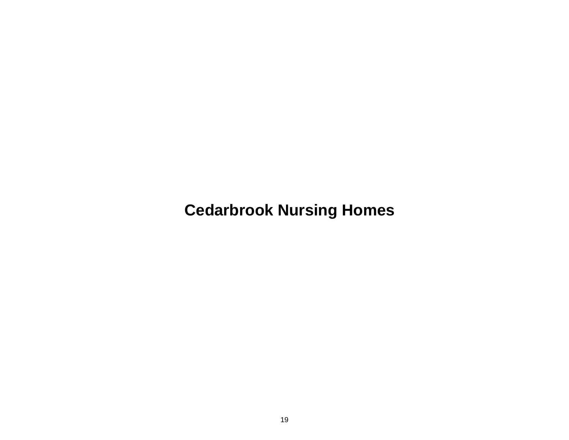**Cedarbrook Nursing Homes**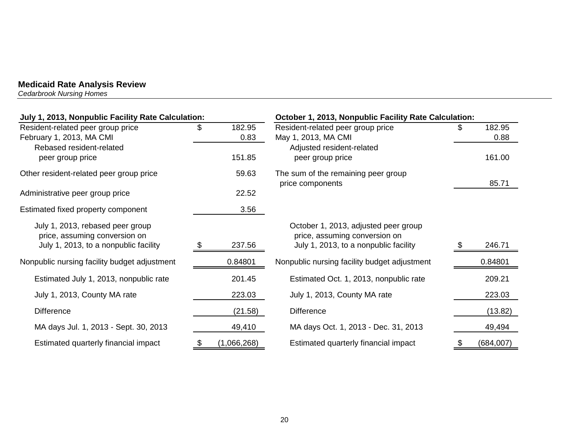*Cedarbrook Nursing Homes* 

| July 1, 2013, Nonpublic Facility Rate Calculation: |    |             | October 1, 2013, Nonpublic Facility Rate Calculation:   |      |           |  |
|----------------------------------------------------|----|-------------|---------------------------------------------------------|------|-----------|--|
| Resident-related peer group price                  | \$ | 182.95      | Resident-related peer group price                       | SS.  | 182.95    |  |
| February 1, 2013, MA CMI                           |    | 0.83        | May 1, 2013, MA CMI                                     |      | 0.88      |  |
| Rebased resident-related                           |    |             | Adjusted resident-related                               |      |           |  |
| peer group price                                   |    | 151.85      | peer group price                                        |      | 161.00    |  |
| Other resident-related peer group price            |    | 59.63       | The sum of the remaining peer group<br>price components |      | 85.71     |  |
| Administrative peer group price                    |    | 22.52       |                                                         |      |           |  |
| Estimated fixed property component                 |    | 3.56        |                                                         |      |           |  |
| July 1, 2013, rebased peer group                   |    |             | October 1, 2013, adjusted peer group                    |      |           |  |
| price, assuming conversion on                      |    |             | price, assuming conversion on                           |      |           |  |
| July 1, 2013, to a nonpublic facility              | S. | 237.56      | July 1, 2013, to a nonpublic facility                   | - 95 | 246.71    |  |
| Nonpublic nursing facility budget adjustment       |    | 0.84801     | Nonpublic nursing facility budget adjustment            |      | 0.84801   |  |
| Estimated July 1, 2013, nonpublic rate             |    | 201.45      | Estimated Oct. 1, 2013, nonpublic rate                  |      | 209.21    |  |
| July 1, 2013, County MA rate                       |    | 223.03      | July 1, 2013, County MA rate                            |      | 223.03    |  |
| <b>Difference</b>                                  |    | (21.58)     | <b>Difference</b>                                       |      | (13.82)   |  |
| MA days Jul. 1, 2013 - Sept. 30, 2013              |    | 49,410      | MA days Oct. 1, 2013 - Dec. 31, 2013                    |      | 49,494    |  |
| Estimated quarterly financial impact               | \$ | (1,066,268) | Estimated quarterly financial impact                    |      | (684,007) |  |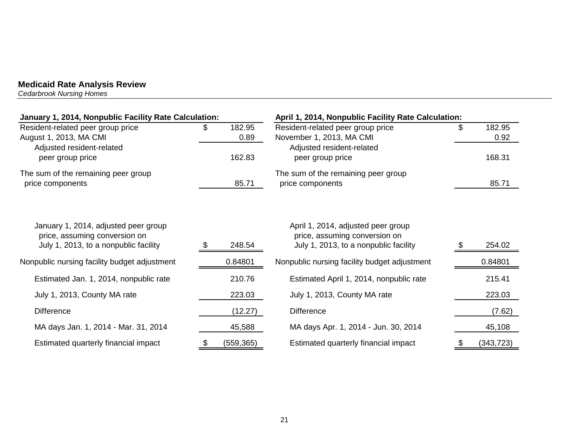*Cedarbrook Nursing Homes* 

| January 1, 2014, Nonpublic Facility Rate Calculation:                                                          |                      | April 1, 2014, Nonpublic Facility Rate Calculation:                                                          |                      |
|----------------------------------------------------------------------------------------------------------------|----------------------|--------------------------------------------------------------------------------------------------------------|----------------------|
| Resident-related peer group price<br>August 1, 2013, MA CMI                                                    | \$<br>182.95<br>0.89 | Resident-related peer group price<br>November 1, 2013, MA CMI                                                | \$<br>182.95<br>0.92 |
| Adjusted resident-related<br>peer group price                                                                  | 162.83               | Adjusted resident-related<br>peer group price                                                                | 168.31               |
| The sum of the remaining peer group<br>price components                                                        | 85.71                | The sum of the remaining peer group<br>price components                                                      | 85.71                |
| January 1, 2014, adjusted peer group<br>price, assuming conversion on<br>July 1, 2013, to a nonpublic facility | 248.54               | April 1, 2014, adjusted peer group<br>price, assuming conversion on<br>July 1, 2013, to a nonpublic facility | 254.02               |
| Nonpublic nursing facility budget adjustment                                                                   | 0.84801              | Nonpublic nursing facility budget adjustment                                                                 | 0.84801              |
| Estimated Jan. 1, 2014, nonpublic rate                                                                         | 210.76               | Estimated April 1, 2014, nonpublic rate                                                                      | 215.41               |
| July 1, 2013, County MA rate                                                                                   | 223.03               | July 1, 2013, County MA rate                                                                                 | 223.03               |
| <b>Difference</b>                                                                                              | (12.27)              | <b>Difference</b>                                                                                            | (7.62)               |
| MA days Jan. 1, 2014 - Mar. 31, 2014                                                                           | 45,588               | MA days Apr. 1, 2014 - Jun. 30, 2014                                                                         | 45,108               |
| Estimated quarterly financial impact                                                                           | \$<br>(559, 365)     | Estimated quarterly financial impact                                                                         | (343, 723)           |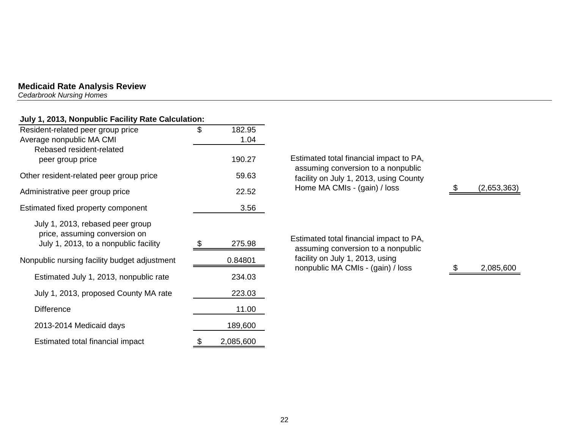*Cedarbrook Nursing Homes* 

## **July 1, 2013, Nonpublic Facility Rate Calculation:**

| Resident-related peer group price<br>Average nonpublic MA CMI     | \$<br>182.95<br>1.04 |          |
|-------------------------------------------------------------------|----------------------|----------|
| Rebased resident-related<br>peer group price                      | 190.27               | Est      |
| Other resident-related peer group price                           | 59.63                | as<br>fa |
| Administrative peer group price                                   | 22.52                | H        |
| Estimated fixed property component                                | 3.56                 |          |
| July 1, 2013, rebased peer group<br>price, assuming conversion on |                      | Est      |
| July 1, 2013, to a nonpublic facility                             | \$<br>275.98         | as       |
| Nonpublic nursing facility budget adjustment                      | 0.84801              | fa<br>n  |
| Estimated July 1, 2013, nonpublic rate                            | 234.03               |          |
| July 1, 2013, proposed County MA rate                             | 223.03               |          |
| <b>Difference</b>                                                 | 11.00                |          |
| 2013-2014 Medicaid days                                           | 189,600              |          |
| Estimated total financial impact                                  | \$<br>2,085,600      |          |

| 7 | Estimated total financial impact to PA,                                      |             |
|---|------------------------------------------------------------------------------|-------------|
| 3 | assuming conversion to a nonpublic<br>facility on July 1, 2013, using County |             |
| 2 | Home MA CMIs - (gain) / loss                                                 | (2,653,363) |
| 6 |                                                                              |             |
|   |                                                                              |             |
| 8 | Estimated total financial impact to PA,                                      |             |
|   | assuming conversion to a nonpublic<br>facility on July 1, 2013, using        |             |
|   | nonpublic MA CMIs - (gain) / loss                                            | 2,085,600   |
| 3 |                                                                              |             |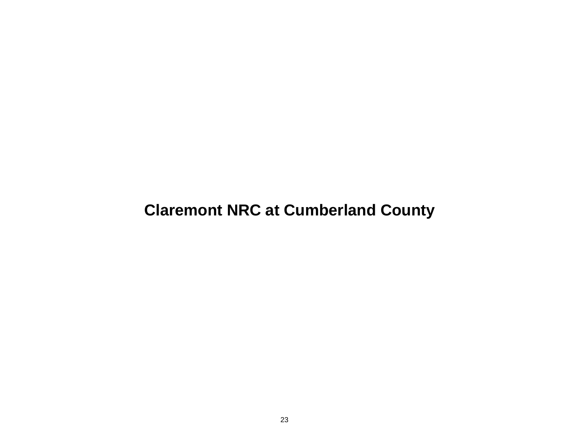# **Claremont NRC at Cumberland County**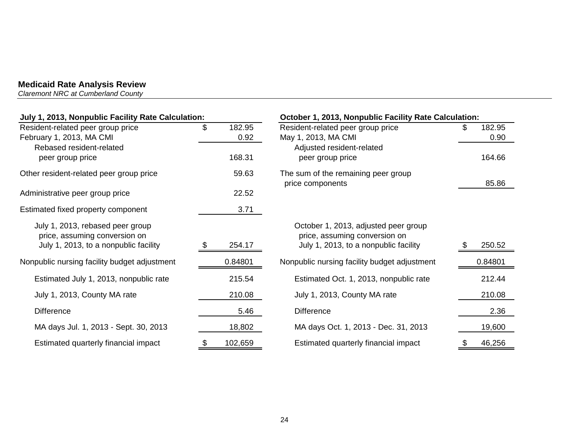*Claremont NRC at Cumberland County* 

| July 1, 2013, Nonpublic Facility Rate Calculation:                |    |                | October 1, 2013, Nonpublic Facility Rate Calculation:                 |   |                |
|-------------------------------------------------------------------|----|----------------|-----------------------------------------------------------------------|---|----------------|
| Resident-related peer group price<br>February 1, 2013, MA CMI     | \$ | 182.95<br>0.92 | Resident-related peer group price<br>May 1, 2013, MA CMI              |   | 182.95<br>0.90 |
| Rebased resident-related                                          |    |                | Adjusted resident-related                                             |   |                |
| peer group price                                                  |    | 168.31         | peer group price                                                      |   | 164.66         |
| Other resident-related peer group price                           |    | 59.63          | The sum of the remaining peer group<br>price components               |   | 85.86          |
| Administrative peer group price                                   |    | 22.52          |                                                                       |   |                |
| Estimated fixed property component                                |    | 3.71           |                                                                       |   |                |
| July 1, 2013, rebased peer group<br>price, assuming conversion on |    |                | October 1, 2013, adjusted peer group<br>price, assuming conversion on |   |                |
| July 1, 2013, to a nonpublic facility                             |    | 254.17         | July 1, 2013, to a nonpublic facility                                 |   | 250.52         |
| Nonpublic nursing facility budget adjustment                      |    | 0.84801        | Nonpublic nursing facility budget adjustment                          |   | 0.84801        |
| Estimated July 1, 2013, nonpublic rate                            |    | 215.54         | Estimated Oct. 1, 2013, nonpublic rate                                |   | 212.44         |
| July 1, 2013, County MA rate                                      |    | 210.08         | July 1, 2013, County MA rate                                          |   | 210.08         |
| <b>Difference</b>                                                 |    | 5.46           | <b>Difference</b>                                                     |   | 2.36           |
| MA days Jul. 1, 2013 - Sept. 30, 2013                             |    | 18,802         | MA days Oct. 1, 2013 - Dec. 31, 2013                                  |   | 19,600         |
| Estimated quarterly financial impact                              | \$ | 102,659        | Estimated quarterly financial impact                                  | P | 46,256         |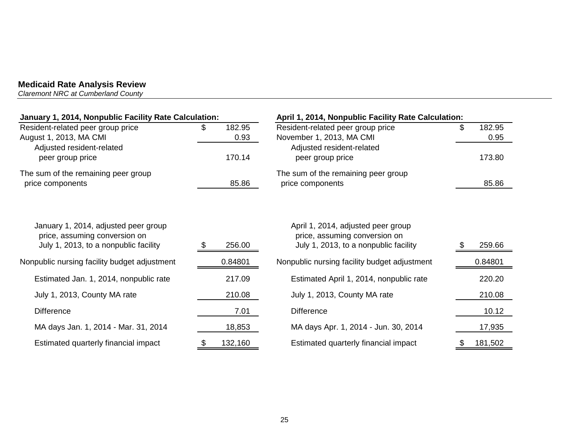*Claremont NRC at Cumberland County* 

| January 1, 2014, Nonpublic Facility Rate Calculation:                                                          |                      | April 1, 2014, Nonpublic Facility Rate Calculation:                                                          |                      |  |
|----------------------------------------------------------------------------------------------------------------|----------------------|--------------------------------------------------------------------------------------------------------------|----------------------|--|
| Resident-related peer group price<br>August 1, 2013, MA CMI                                                    | 182.95<br>\$<br>0.93 | Resident-related peer group price<br>November 1, 2013, MA CMI                                                | 182.95<br>\$<br>0.95 |  |
| Adjusted resident-related<br>peer group price                                                                  | 170.14               | Adjusted resident-related<br>peer group price                                                                | 173.80               |  |
| The sum of the remaining peer group<br>price components                                                        | 85.86                | The sum of the remaining peer group<br>price components                                                      | 85.86                |  |
| January 1, 2014, adjusted peer group<br>price, assuming conversion on<br>July 1, 2013, to a nonpublic facility | 256.00               | April 1, 2014, adjusted peer group<br>price, assuming conversion on<br>July 1, 2013, to a nonpublic facility | 259.66               |  |
| Nonpublic nursing facility budget adjustment                                                                   | 0.84801              | Nonpublic nursing facility budget adjustment                                                                 | 0.84801              |  |
| Estimated Jan. 1, 2014, nonpublic rate                                                                         | 217.09               | Estimated April 1, 2014, nonpublic rate                                                                      | 220.20               |  |
| July 1, 2013, County MA rate                                                                                   | 210.08               | July 1, 2013, County MA rate                                                                                 | 210.08               |  |
| <b>Difference</b>                                                                                              | 7.01                 | <b>Difference</b>                                                                                            | 10.12                |  |
| MA days Jan. 1, 2014 - Mar. 31, 2014                                                                           | 18,853               | MA days Apr. 1, 2014 - Jun. 30, 2014                                                                         | 17,935               |  |
| Estimated quarterly financial impact                                                                           | 132,160<br>P.        | Estimated quarterly financial impact                                                                         | 181,502<br>\$        |  |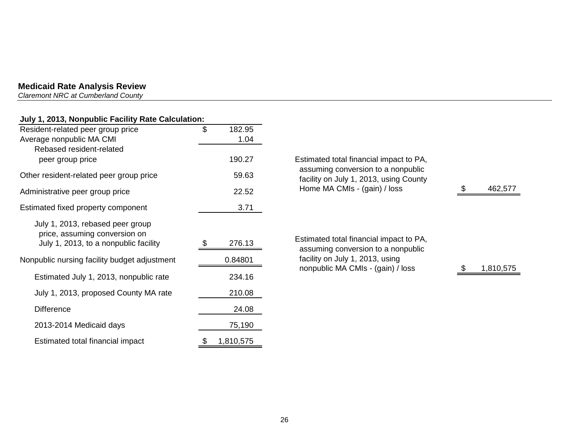*Claremont NRC at Cumberland County* 

## **July 1, 2013, Nonpublic Facility Rate Calculation:**

| Resident-related peer group price                                                                          | \$<br>182.95    |                                                                               |           |
|------------------------------------------------------------------------------------------------------------|-----------------|-------------------------------------------------------------------------------|-----------|
| Average nonpublic MA CMI                                                                                   | 1.04            |                                                                               |           |
| Rebased resident-related<br>peer group price                                                               | 190.27          | Estimated total financial impact to PA,                                       |           |
| Other resident-related peer group price                                                                    | 59.63           | assuming conversion to a nonpublic<br>facility on July 1, 2013, using County  |           |
| Administrative peer group price                                                                            | 22.52           | Home MA CMIs - (gain) / loss                                                  | 462,577   |
| Estimated fixed property component                                                                         | 3.71            |                                                                               |           |
| July 1, 2013, rebased peer group<br>price, assuming conversion on<br>July 1, 2013, to a nonpublic facility | 276.13          | Estimated total financial impact to PA,<br>assuming conversion to a nonpublic |           |
| Nonpublic nursing facility budget adjustment                                                               | 0.84801         | facility on July 1, 2013, using<br>nonpublic MA CMIs - (gain) / loss          | 1,810,575 |
| Estimated July 1, 2013, nonpublic rate                                                                     | 234.16          |                                                                               |           |
| July 1, 2013, proposed County MA rate                                                                      | 210.08          |                                                                               |           |
| <b>Difference</b>                                                                                          | 24.08           |                                                                               |           |
| 2013-2014 Medicaid days                                                                                    | 75,190          |                                                                               |           |
| Estimated total financial impact                                                                           | \$<br>1,810,575 |                                                                               |           |

| Estimated total financial impact to PA,<br>assuming conversion to a nonpublic<br>facility on July 1, 2013, using County<br>Home MA CMIs - (gain) / loss |                                 | 462,577 |
|---------------------------------------------------------------------------------------------------------------------------------------------------------|---------------------------------|---------|
|                                                                                                                                                         |                                 |         |
| Estimated total financial impact to PA,<br>assuming conversion to a nonpublic                                                                           |                                 |         |
|                                                                                                                                                         | facility on July 1, 2013, using |         |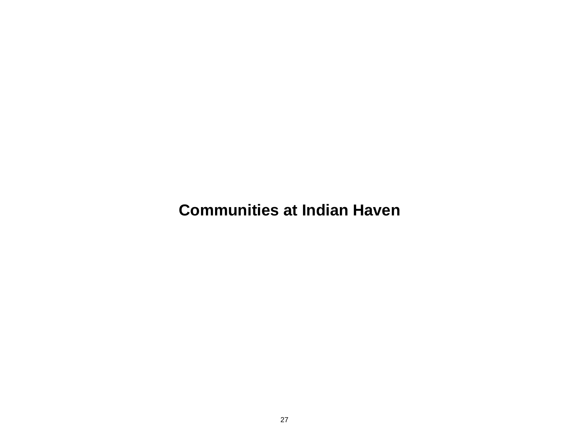**Communities at Indian Haven**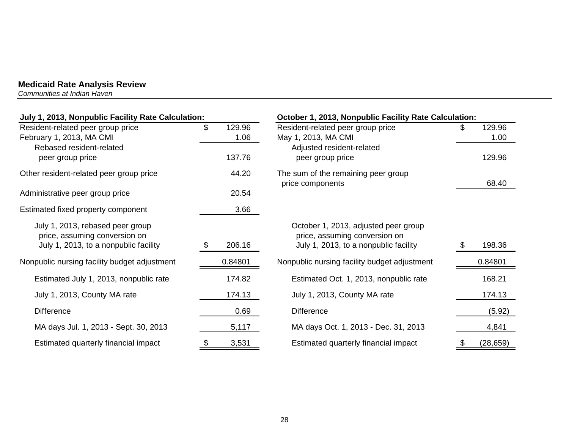*Communities at Indian Haven* 

| July 1, 2013, Nonpublic Facility Rate Calculation:                                                         |                      | October 1, 2013, Nonpublic Facility Rate Calculation:                                                          |                      |  |  |
|------------------------------------------------------------------------------------------------------------|----------------------|----------------------------------------------------------------------------------------------------------------|----------------------|--|--|
| Resident-related peer group price<br>February 1, 2013, MA CMI                                              | \$<br>129.96<br>1.06 | Resident-related peer group price<br>May 1, 2013, MA CMI                                                       | 129.96<br>\$<br>1.00 |  |  |
| Rebased resident-related<br>peer group price                                                               | 137.76               | Adjusted resident-related<br>peer group price                                                                  | 129.96               |  |  |
| Other resident-related peer group price                                                                    | 44.20                | The sum of the remaining peer group<br>price components                                                        | 68.40                |  |  |
| Administrative peer group price                                                                            | 20.54                |                                                                                                                |                      |  |  |
| Estimated fixed property component                                                                         | 3.66                 |                                                                                                                |                      |  |  |
| July 1, 2013, rebased peer group<br>price, assuming conversion on<br>July 1, 2013, to a nonpublic facility | 206.16               | October 1, 2013, adjusted peer group<br>price, assuming conversion on<br>July 1, 2013, to a nonpublic facility | 198.36               |  |  |
| Nonpublic nursing facility budget adjustment                                                               | 0.84801              | Nonpublic nursing facility budget adjustment                                                                   | 0.84801              |  |  |
| Estimated July 1, 2013, nonpublic rate                                                                     | 174.82               | Estimated Oct. 1, 2013, nonpublic rate                                                                         | 168.21               |  |  |
| July 1, 2013, County MA rate                                                                               | 174.13               | July 1, 2013, County MA rate                                                                                   | 174.13               |  |  |
| <b>Difference</b>                                                                                          | 0.69                 | <b>Difference</b>                                                                                              | (5.92)               |  |  |
| MA days Jul. 1, 2013 - Sept. 30, 2013                                                                      | 5,117                | MA days Oct. 1, 2013 - Dec. 31, 2013                                                                           | 4,841                |  |  |
| Estimated quarterly financial impact                                                                       | 3,531<br>\$          | Estimated quarterly financial impact                                                                           | (28, 659)<br>\$      |  |  |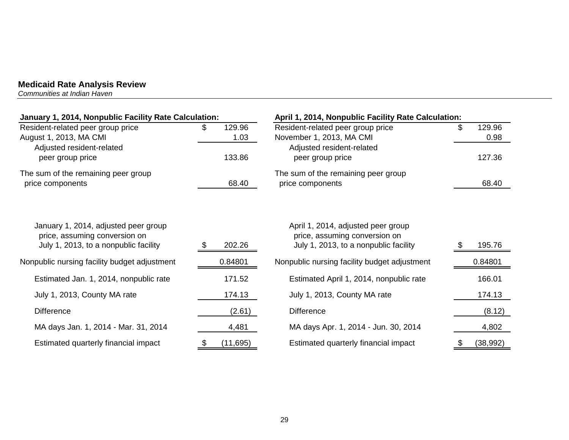*Communities at Indian Haven* 

| January 1, 2014, Nonpublic Facility Rate Calculation:                                                          |                     | April 1, 2014, Nonpublic Facility Rate Calculation:                                                          |                      |  |  |
|----------------------------------------------------------------------------------------------------------------|---------------------|--------------------------------------------------------------------------------------------------------------|----------------------|--|--|
| Resident-related peer group price<br>August 1, 2013, MA CMI                                                    | 129.96<br>S<br>1.03 | Resident-related peer group price<br>November 1, 2013, MA CMI                                                | \$<br>129.96<br>0.98 |  |  |
| Adjusted resident-related<br>peer group price                                                                  | 133.86              | Adjusted resident-related<br>peer group price                                                                | 127.36               |  |  |
| The sum of the remaining peer group<br>price components                                                        | 68.40               | The sum of the remaining peer group<br>price components                                                      | 68.40                |  |  |
| January 1, 2014, adjusted peer group<br>price, assuming conversion on<br>July 1, 2013, to a nonpublic facility | 202.26              | April 1, 2014, adjusted peer group<br>price, assuming conversion on<br>July 1, 2013, to a nonpublic facility | 195.76               |  |  |
| Nonpublic nursing facility budget adjustment                                                                   | 0.84801             | Nonpublic nursing facility budget adjustment                                                                 | 0.84801              |  |  |
| Estimated Jan. 1, 2014, nonpublic rate                                                                         | 171.52              | Estimated April 1, 2014, nonpublic rate                                                                      | 166.01               |  |  |
| July 1, 2013, County MA rate                                                                                   | 174.13              | July 1, 2013, County MA rate                                                                                 | 174.13               |  |  |
| <b>Difference</b>                                                                                              | (2.61)              | <b>Difference</b>                                                                                            | (8.12)               |  |  |
| MA days Jan. 1, 2014 - Mar. 31, 2014                                                                           | 4,481               | MA days Apr. 1, 2014 - Jun. 30, 2014                                                                         | 4,802                |  |  |
| Estimated quarterly financial impact                                                                           | (11, 695)           | Estimated quarterly financial impact                                                                         | (38, 992)            |  |  |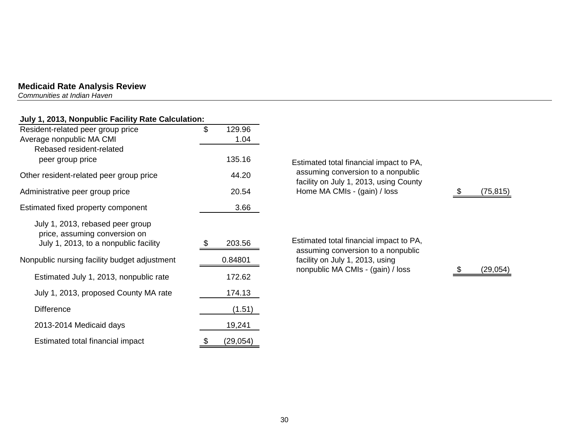*Communities at Indian Haven* 

## **July 1, 2013, Nonpublic Facility Rate Calculation:**

| Resident-related peer group price            | \$                | 129.96    |                                                                                                            |          |
|----------------------------------------------|-------------------|-----------|------------------------------------------------------------------------------------------------------------|----------|
| Average nonpublic MA CMI                     |                   | 1.04      |                                                                                                            |          |
| Rebased resident-related                     |                   |           |                                                                                                            |          |
| peer group price                             |                   | 135.16    | Estimated total financial impact to PA,                                                                    |          |
| Other resident-related peer group price      |                   | 44.20     | assuming conversion to a nonpublic<br>facility on July 1, 2013, using County                               |          |
| Administrative peer group price              |                   | 20.54     | Home MA CMIs - (gain) / loss                                                                               | (75,815) |
| Estimated fixed property component           |                   | 3.66      |                                                                                                            |          |
| July 1, 2013, rebased peer group             |                   |           |                                                                                                            |          |
| price, assuming conversion on                |                   |           |                                                                                                            |          |
| July 1, 2013, to a nonpublic facility        |                   | 203.56    | Estimated total financial impact to PA,                                                                    |          |
| Nonpublic nursing facility budget adjustment | 0.84801<br>172.62 |           | assuming conversion to a nonpublic<br>facility on July 1, 2013, using<br>nonpublic MA CMIs - (gain) / loss |          |
| Estimated July 1, 2013, nonpublic rate       |                   |           |                                                                                                            | (29,054) |
| July 1, 2013, proposed County MA rate        |                   | 174.13    |                                                                                                            |          |
| <b>Difference</b>                            |                   | (1.51)    |                                                                                                            |          |
| 2013-2014 Medicaid days                      |                   | 19,241    |                                                                                                            |          |
| Estimated total financial impact             | \$                | (29, 054) |                                                                                                            |          |

30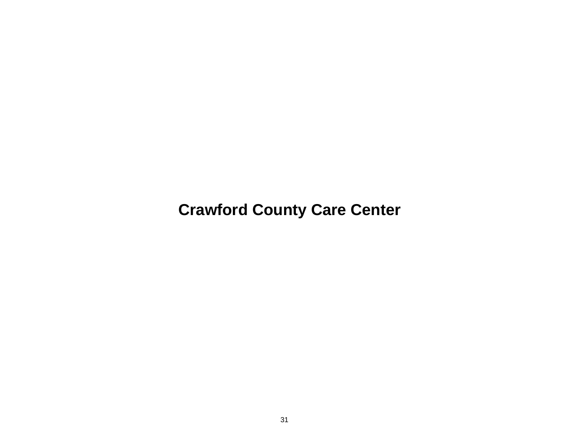**Crawford County Care Center**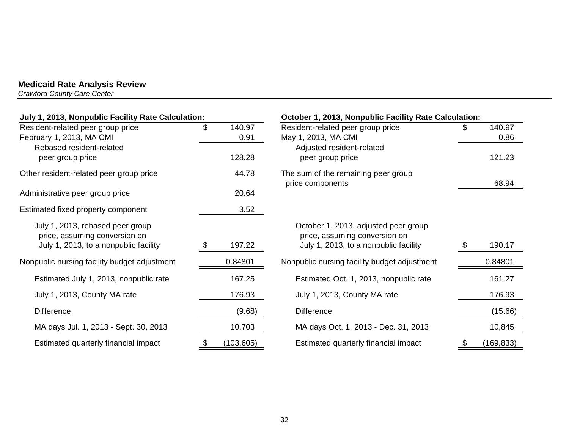*Crawford County Care Center* 

| July 1, 2013, Nonpublic Facility Rate Calculation:                |    |            | October 1, 2013, Nonpublic Facility Rate Calculation:                 |     |            |  |
|-------------------------------------------------------------------|----|------------|-----------------------------------------------------------------------|-----|------------|--|
| Resident-related peer group price                                 | \$ | 140.97     | Resident-related peer group price                                     |     | 140.97     |  |
| February 1, 2013, MA CMI                                          |    | 0.91       | May 1, 2013, MA CMI                                                   |     | 0.86       |  |
| Rebased resident-related                                          |    |            | Adjusted resident-related                                             |     |            |  |
| peer group price                                                  |    | 128.28     | peer group price                                                      |     | 121.23     |  |
| Other resident-related peer group price                           |    | 44.78      | The sum of the remaining peer group<br>price components               |     | 68.94      |  |
| Administrative peer group price                                   |    | 20.64      |                                                                       |     |            |  |
| Estimated fixed property component                                |    | 3.52       |                                                                       |     |            |  |
| July 1, 2013, rebased peer group<br>price, assuming conversion on |    |            | October 1, 2013, adjusted peer group<br>price, assuming conversion on |     |            |  |
| July 1, 2013, to a nonpublic facility                             |    | 197.22     | July 1, 2013, to a nonpublic facility                                 |     | 190.17     |  |
| Nonpublic nursing facility budget adjustment                      |    | 0.84801    | Nonpublic nursing facility budget adjustment                          |     | 0.84801    |  |
| Estimated July 1, 2013, nonpublic rate                            |    | 167.25     | Estimated Oct. 1, 2013, nonpublic rate                                |     | 161.27     |  |
| July 1, 2013, County MA rate                                      |    | 176.93     | July 1, 2013, County MA rate                                          |     | 176.93     |  |
| <b>Difference</b>                                                 |    | (9.68)     | <b>Difference</b>                                                     |     | (15.66)    |  |
| MA days Jul. 1, 2013 - Sept. 30, 2013                             |    | 10,703     | MA days Oct. 1, 2013 - Dec. 31, 2013                                  |     | 10,845     |  |
| Estimated quarterly financial impact                              | \$ | (103, 605) | Estimated quarterly financial impact                                  | \$. | (169, 833) |  |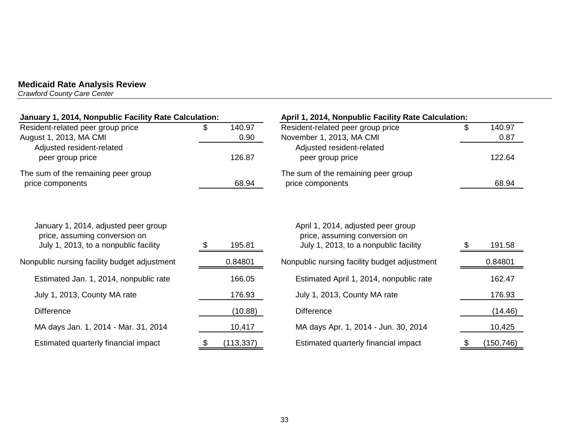*Crawford County Care Center* 

| January 1, 2014, Nonpublic Facility Rate Calculation:                                                          |     |                | April 1, 2014, Nonpublic Facility Rate Calculation:                                                          |  |                |  |
|----------------------------------------------------------------------------------------------------------------|-----|----------------|--------------------------------------------------------------------------------------------------------------|--|----------------|--|
| Resident-related peer group price<br>August 1, 2013, MA CMI<br>Adjusted resident-related                       | SS. | 140.97<br>0.90 | Resident-related peer group price<br>November 1, 2013, MA CMI<br>Adjusted resident-related                   |  | 140.97<br>0.87 |  |
| peer group price                                                                                               |     | 126.87         | peer group price                                                                                             |  | 122.64         |  |
| The sum of the remaining peer group<br>price components                                                        |     | 68.94          | The sum of the remaining peer group<br>price components                                                      |  | 68.94          |  |
| January 1, 2014, adjusted peer group<br>price, assuming conversion on<br>July 1, 2013, to a nonpublic facility |     | 195.81         | April 1, 2014, adjusted peer group<br>price, assuming conversion on<br>July 1, 2013, to a nonpublic facility |  | 191.58         |  |
| Nonpublic nursing facility budget adjustment                                                                   |     | 0.84801        | Nonpublic nursing facility budget adjustment                                                                 |  | 0.84801        |  |
| Estimated Jan. 1, 2014, nonpublic rate                                                                         |     | 166.05         | Estimated April 1, 2014, nonpublic rate                                                                      |  | 162.47         |  |
| July 1, 2013, County MA rate                                                                                   |     | 176.93         | July 1, 2013, County MA rate                                                                                 |  | 176.93         |  |
| <b>Difference</b>                                                                                              |     | (10.88)        | <b>Difference</b>                                                                                            |  | (14.46)        |  |
| MA days Jan. 1, 2014 - Mar. 31, 2014                                                                           |     | 10,417         | MA days Apr. 1, 2014 - Jun. 30, 2014                                                                         |  | 10,425         |  |
| Estimated quarterly financial impact                                                                           |     | (113, 337)     | Estimated quarterly financial impact                                                                         |  | (150, 746)     |  |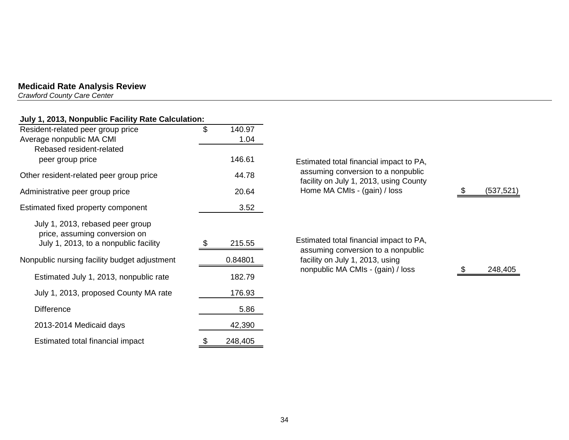*Crawford County Care Center* 

## **July 1, 2013, Nonpublic Facility Rate Calculation:**

| Resident-related peer group price                                                                          | \$<br>140.97  |
|------------------------------------------------------------------------------------------------------------|---------------|
| Average nonpublic MA CMI                                                                                   | 1.04          |
| Rebased resident-related<br>peer group price                                                               | 146.61        |
| Other resident-related peer group price                                                                    | 44.78         |
| Administrative peer group price                                                                            | 20.64         |
| Estimated fixed property component                                                                         | 3.52          |
| July 1, 2013, rebased peer group<br>price, assuming conversion on<br>July 1, 2013, to a nonpublic facility | 215.55        |
| Nonpublic nursing facility budget adjustment                                                               | 0.84801       |
| Estimated July 1, 2013, nonpublic rate                                                                     | 182.79        |
| July 1, 2013, proposed County MA rate                                                                      | 176.93        |
| <b>Difference</b>                                                                                          | 5.86          |
| 2013-2014 Medicaid days                                                                                    | 42,390        |
| Estimated total financial impact                                                                           | \$<br>248,405 |

| Estimated total financial impact to PA,<br>assuming conversion to a nonpublic<br>facility on July 1, 2013, using County<br>Home MA CMIs - (gain) / loss | (537,521 |
|---------------------------------------------------------------------------------------------------------------------------------------------------------|----------|
| Estimated total financial impact to PA,<br>assuming conversion to a nonpublic<br>facility on July 1, 2013, using<br>nonpublic MA CMIs - (gain) / loss   | 248,405  |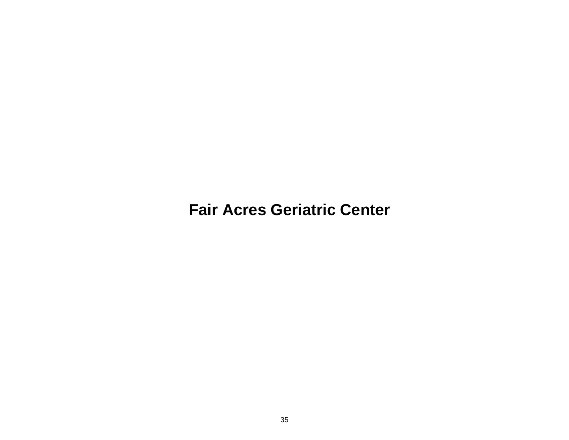**Fair Acres Geriatric Center**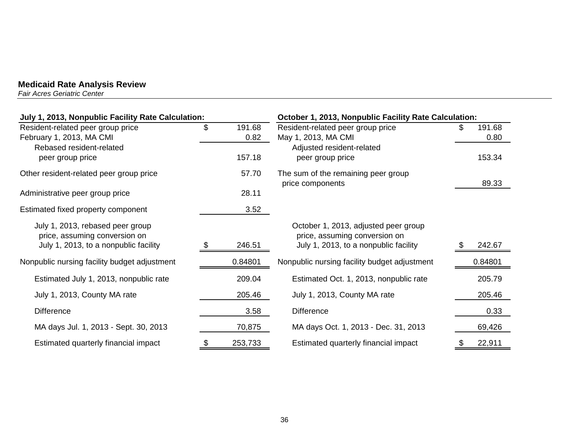*Fair Acres Geriatric Center* 

| July 1, 2013, Nonpublic Facility Rate Calculation:                                                         |    |                | October 1, 2013, Nonpublic Facility Rate Calculation:                                                          |    |                |
|------------------------------------------------------------------------------------------------------------|----|----------------|----------------------------------------------------------------------------------------------------------------|----|----------------|
| Resident-related peer group price<br>February 1, 2013, MA CMI                                              | \$ | 191.68<br>0.82 | Resident-related peer group price<br>May 1, 2013, MA CMI                                                       | S. | 191.68<br>0.80 |
| Rebased resident-related<br>peer group price                                                               |    | 157.18         | Adjusted resident-related<br>peer group price                                                                  |    | 153.34         |
| Other resident-related peer group price                                                                    |    | 57.70          | The sum of the remaining peer group<br>price components                                                        |    | 89.33          |
| Administrative peer group price                                                                            |    | 28.11          |                                                                                                                |    |                |
| Estimated fixed property component                                                                         |    | 3.52           |                                                                                                                |    |                |
| July 1, 2013, rebased peer group<br>price, assuming conversion on<br>July 1, 2013, to a nonpublic facility | S  | 246.51         | October 1, 2013, adjusted peer group<br>price, assuming conversion on<br>July 1, 2013, to a nonpublic facility |    | 242.67         |
| Nonpublic nursing facility budget adjustment                                                               |    | 0.84801        | Nonpublic nursing facility budget adjustment                                                                   |    | 0.84801        |
| Estimated July 1, 2013, nonpublic rate                                                                     |    | 209.04         | Estimated Oct. 1, 2013, nonpublic rate                                                                         |    | 205.79         |
| July 1, 2013, County MA rate                                                                               |    | 205.46         | July 1, 2013, County MA rate                                                                                   |    | 205.46         |
| <b>Difference</b>                                                                                          |    | 3.58           | <b>Difference</b>                                                                                              |    | 0.33           |
| MA days Jul. 1, 2013 - Sept. 30, 2013                                                                      |    | 70,875         | MA days Oct. 1, 2013 - Dec. 31, 2013                                                                           |    | 69,426         |
| Estimated quarterly financial impact                                                                       |    | 253,733        | Estimated quarterly financial impact                                                                           |    | 22,911         |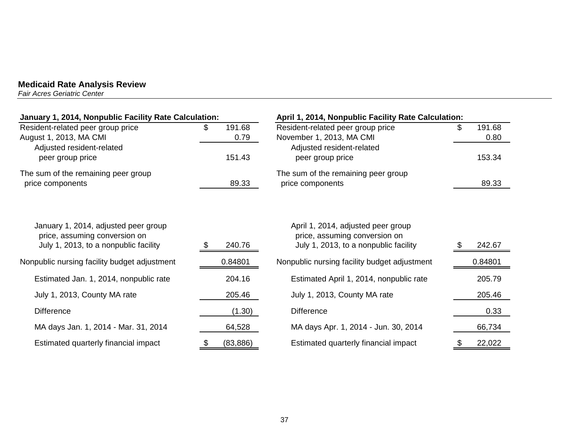*Fair Acres Geriatric Center* 

| January 1, 2014, Nonpublic Facility Rate Calculation:                                                          |                      | April 1, 2014, Nonpublic Facility Rate Calculation:                                                          |                      |  |
|----------------------------------------------------------------------------------------------------------------|----------------------|--------------------------------------------------------------------------------------------------------------|----------------------|--|
| Resident-related peer group price<br>August 1, 2013, MA CMI                                                    | 191.68<br>\$<br>0.79 | Resident-related peer group price<br>November 1, 2013, MA CMI                                                | 191.68<br>\$<br>0.80 |  |
| Adjusted resident-related<br>peer group price                                                                  | 151.43               | Adjusted resident-related<br>peer group price                                                                | 153.34               |  |
| The sum of the remaining peer group<br>price components                                                        | 89.33                | The sum of the remaining peer group<br>price components                                                      | 89.33                |  |
| January 1, 2014, adjusted peer group<br>price, assuming conversion on<br>July 1, 2013, to a nonpublic facility | 240.76               | April 1, 2014, adjusted peer group<br>price, assuming conversion on<br>July 1, 2013, to a nonpublic facility | 242.67               |  |
| Nonpublic nursing facility budget adjustment                                                                   | 0.84801              | Nonpublic nursing facility budget adjustment                                                                 | 0.84801              |  |
| Estimated Jan. 1, 2014, nonpublic rate                                                                         | 204.16               | Estimated April 1, 2014, nonpublic rate                                                                      | 205.79               |  |
| July 1, 2013, County MA rate                                                                                   | 205.46               | July 1, 2013, County MA rate                                                                                 | 205.46               |  |
| <b>Difference</b>                                                                                              | (1.30)               | <b>Difference</b>                                                                                            | 0.33                 |  |
| MA days Jan. 1, 2014 - Mar. 31, 2014                                                                           | 64,528               | MA days Apr. 1, 2014 - Jun. 30, 2014                                                                         | 66,734               |  |
| Estimated quarterly financial impact                                                                           | (83, 886)<br>\$      | Estimated quarterly financial impact                                                                         | 22,022               |  |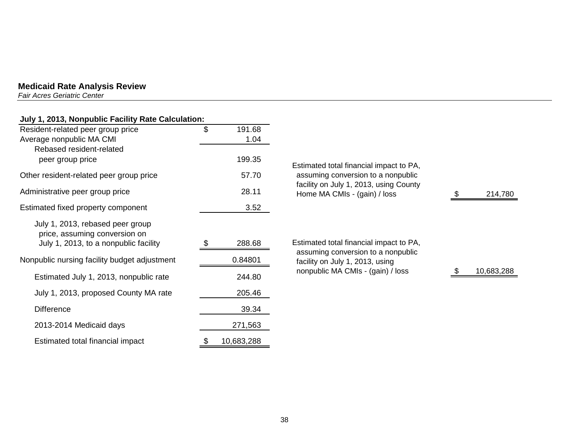*Fair Acres Geriatric Center* 

## **July 1, 2013, Nonpublic Facility Rate Calculation:**

| Resident-related peer group price<br>Average nonpublic MA CMI                                              | \$<br>191.68<br>1.04 |                                              |
|------------------------------------------------------------------------------------------------------------|----------------------|----------------------------------------------|
| Rebased resident-related<br>peer group price                                                               | 199.35               | <b>Estimated total finano</b>                |
| Other resident-related peer group price                                                                    | 57.70                | assuming conversio                           |
| Administrative peer group price                                                                            | 28.11                | facility on July 1, 20<br>Home MA CMIs - (g  |
| Estimated fixed property component                                                                         | 3.52                 |                                              |
| July 1, 2013, rebased peer group<br>price, assuming conversion on<br>July 1, 2013, to a nonpublic facility | 288.68               | <b>Estimated total finano</b>                |
| Nonpublic nursing facility budget adjustment                                                               | 0.84801              | assuming conversio<br>facility on July 1, 20 |
| Estimated July 1, 2013, nonpublic rate                                                                     | 244.80               | nonpublic MA CMIs                            |
| July 1, 2013, proposed County MA rate                                                                      | 205.46               |                                              |
| <b>Difference</b>                                                                                          | 39.34                |                                              |
| 2013-2014 Medicaid days                                                                                    | 271,563              |                                              |
| Estimated total financial impact                                                                           | 10,683,288<br>\$     |                                              |

| 199.35  | Estimated total financial impact to PA,                                |               |
|---------|------------------------------------------------------------------------|---------------|
| 57.70   | assuming conversion to a nonpublic                                     |               |
| 28.11   | facility on July 1, 2013, using County<br>Home MA CMIs - (gain) / loss | \$<br>214,780 |
| 3.52    |                                                                        |               |
|         |                                                                        |               |
| 288.68  | Estimated total financial impact to PA,                                |               |
| 1.84801 | assuming conversion to a nonpublic<br>facility on July 1, 2013, using  |               |
| 244.80  | nonpublic MA CMIs - (gain) / loss                                      | 10,683,288    |
|         |                                                                        |               |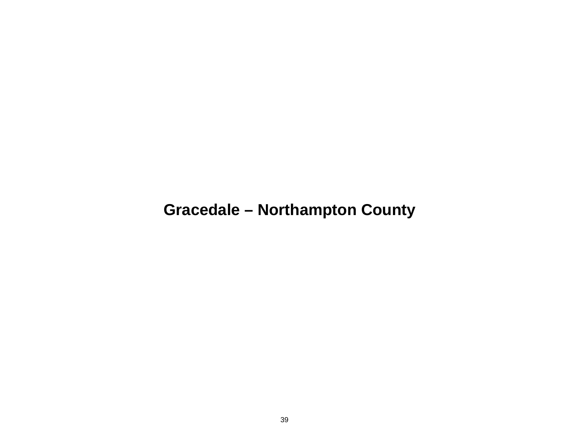## **Gracedale – Northampton County**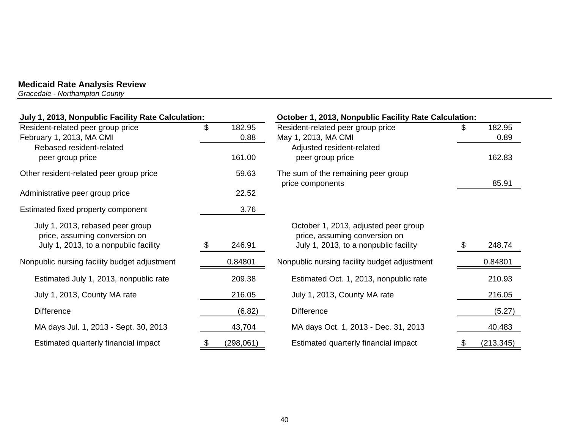*Gracedale - Northampton County* 

| July 1, 2013, Nonpublic Facility Rate Calculation: |     |           | October 1, 2013, Nonpublic Facility Rate Calculation:   |  |            |
|----------------------------------------------------|-----|-----------|---------------------------------------------------------|--|------------|
| Resident-related peer group price                  | \$  | 182.95    | Resident-related peer group price                       |  | 182.95     |
| February 1, 2013, MA CMI                           |     | 0.88      | May 1, 2013, MA CMI                                     |  | 0.89       |
| Rebased resident-related                           |     |           | Adjusted resident-related                               |  |            |
| peer group price                                   |     | 161.00    | peer group price                                        |  | 162.83     |
| Other resident-related peer group price            |     | 59.63     | The sum of the remaining peer group<br>price components |  | 85.91      |
| Administrative peer group price                    |     | 22.52     |                                                         |  |            |
| Estimated fixed property component                 |     | 3.76      |                                                         |  |            |
| July 1, 2013, rebased peer group                   |     |           | October 1, 2013, adjusted peer group                    |  |            |
| price, assuming conversion on                      |     |           | price, assuming conversion on                           |  |            |
| July 1, 2013, to a nonpublic facility              | SS. | 246.91    | July 1, 2013, to a nonpublic facility                   |  | 248.74     |
| Nonpublic nursing facility budget adjustment       |     | 0.84801   | Nonpublic nursing facility budget adjustment            |  | 0.84801    |
| Estimated July 1, 2013, nonpublic rate             |     | 209.38    | Estimated Oct. 1, 2013, nonpublic rate                  |  | 210.93     |
| July 1, 2013, County MA rate                       |     | 216.05    | July 1, 2013, County MA rate                            |  | 216.05     |
| <b>Difference</b>                                  |     | (6.82)    | <b>Difference</b>                                       |  | (5.27)     |
| MA days Jul. 1, 2013 - Sept. 30, 2013              |     | 43,704    | MA days Oct. 1, 2013 - Dec. 31, 2013                    |  | 40,483     |
| Estimated quarterly financial impact               |     | (298,061) | Estimated quarterly financial impact                    |  | (213, 345) |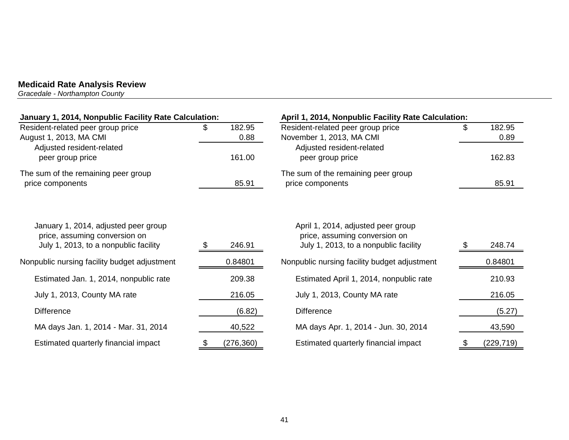*Gracedale - Northampton County* 

| January 1, 2014, Nonpublic Facility Rate Calculation:                                                          |    |            | April 1, 2014, Nonpublic Facility Rate Calculation:                                                          |    |            |
|----------------------------------------------------------------------------------------------------------------|----|------------|--------------------------------------------------------------------------------------------------------------|----|------------|
| Resident-related peer group price                                                                              | \$ | 182.95     | Resident-related peer group price                                                                            | £. | 182.95     |
| August 1, 2013, MA CMI                                                                                         |    | 0.88       | November 1, 2013, MA CMI                                                                                     |    | 0.89       |
| Adjusted resident-related                                                                                      |    |            | Adjusted resident-related                                                                                    |    |            |
| peer group price                                                                                               |    | 161.00     | peer group price                                                                                             |    | 162.83     |
| The sum of the remaining peer group                                                                            |    |            | The sum of the remaining peer group                                                                          |    |            |
| price components                                                                                               |    | 85.91      | price components                                                                                             |    | 85.91      |
| January 1, 2014, adjusted peer group<br>price, assuming conversion on<br>July 1, 2013, to a nonpublic facility |    | 246.91     | April 1, 2014, adjusted peer group<br>price, assuming conversion on<br>July 1, 2013, to a nonpublic facility |    | 248.74     |
|                                                                                                                |    |            |                                                                                                              |    |            |
| Nonpublic nursing facility budget adjustment                                                                   |    | 0.84801    | Nonpublic nursing facility budget adjustment                                                                 |    | 0.84801    |
| Estimated Jan. 1, 2014, nonpublic rate                                                                         |    | 209.38     | Estimated April 1, 2014, nonpublic rate                                                                      |    | 210.93     |
| July 1, 2013, County MA rate                                                                                   |    | 216.05     | July 1, 2013, County MA rate                                                                                 |    | 216.05     |
| <b>Difference</b>                                                                                              |    | (6.82)     | <b>Difference</b>                                                                                            |    | (5.27)     |
| MA days Jan. 1, 2014 - Mar. 31, 2014                                                                           |    | 40,522     | MA days Apr. 1, 2014 - Jun. 30, 2014                                                                         |    | 43,590     |
| Estimated quarterly financial impact                                                                           |    | (276, 360) | Estimated quarterly financial impact                                                                         |    | (229, 719) |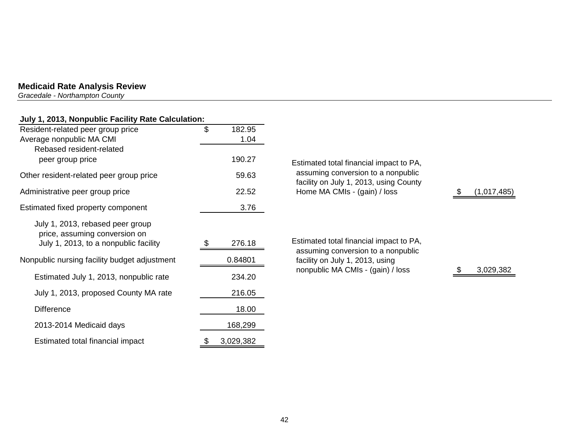*Gracedale - Northampton County* 

#### **July 1, 2013, Nonpublic Facility Rate Calculation:**

| Resident-related peer group price            | \$<br>182.95    |                                                                               |    |
|----------------------------------------------|-----------------|-------------------------------------------------------------------------------|----|
| Average nonpublic MA CMI                     | 1.04            |                                                                               |    |
| Rebased resident-related                     |                 |                                                                               |    |
| peer group price                             | 190.27          | Estimated total financial impact to PA,                                       |    |
| Other resident-related peer group price      | 59.63           | assuming conversion to a nonpublic<br>facility on July 1, 2013, using County  |    |
| Administrative peer group price              | 22.52           | Home MA CMIs - (gain) / loss                                                  | \$ |
| Estimated fixed property component           | 3.76            |                                                                               |    |
| July 1, 2013, rebased peer group             |                 |                                                                               |    |
| price, assuming conversion on                |                 |                                                                               |    |
| July 1, 2013, to a nonpublic facility        | 276.18          | Estimated total financial impact to PA,<br>assuming conversion to a nonpublic |    |
| Nonpublic nursing facility budget adjustment | 0.84801         | facility on July 1, 2013, using                                               |    |
| Estimated July 1, 2013, nonpublic rate       | 234.20          | nonpublic MA CMIs - (gain) / loss                                             |    |
| July 1, 2013, proposed County MA rate        | 216.05          |                                                                               |    |
| <b>Difference</b>                            | 18.00           |                                                                               |    |
| 2013-2014 Medicaid days                      | 168,299         |                                                                               |    |
| Estimated total financial impact             | \$<br>3,029,382 |                                                                               |    |

 $(1,017,485)$ 

3,029,382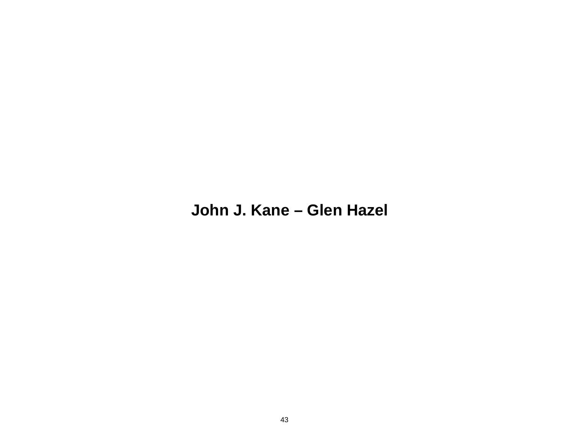## **John J. Kane – Glen Hazel**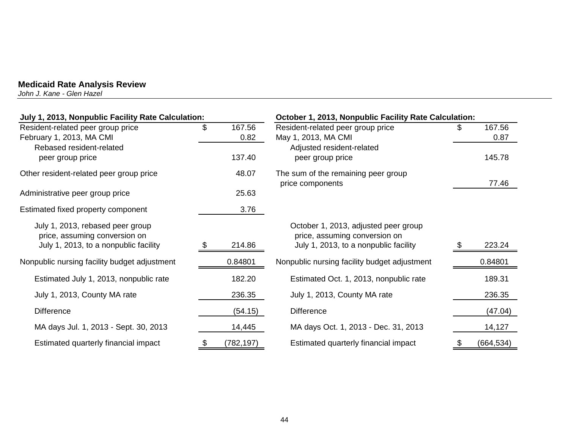*John J. Kane - Glen Hazel* 

| July 1, 2013, Nonpublic Facility Rate Calculation: |    |            | October 1, 2013, Nonpublic Facility Rate Calculation:   |    |            |
|----------------------------------------------------|----|------------|---------------------------------------------------------|----|------------|
| Resident-related peer group price                  | \$ | 167.56     | Resident-related peer group price                       | S. | 167.56     |
| February 1, 2013, MA CMI                           |    | 0.82       | May 1, 2013, MA CMI                                     |    | 0.87       |
| Rebased resident-related                           |    | 137.40     | Adjusted resident-related<br>peer group price           |    | 145.78     |
| peer group price                                   |    |            |                                                         |    |            |
| Other resident-related peer group price            |    | 48.07      | The sum of the remaining peer group<br>price components |    | 77.46      |
| Administrative peer group price                    |    | 25.63      |                                                         |    |            |
| Estimated fixed property component                 |    | 3.76       |                                                         |    |            |
| July 1, 2013, rebased peer group                   |    |            | October 1, 2013, adjusted peer group                    |    |            |
| price, assuming conversion on                      |    |            | price, assuming conversion on                           |    |            |
| July 1, 2013, to a nonpublic facility              |    | 214.86     | July 1, 2013, to a nonpublic facility                   |    | 223.24     |
| Nonpublic nursing facility budget adjustment       |    | 0.84801    | Nonpublic nursing facility budget adjustment            |    | 0.84801    |
| Estimated July 1, 2013, nonpublic rate             |    | 182.20     | Estimated Oct. 1, 2013, nonpublic rate                  |    | 189.31     |
| July 1, 2013, County MA rate                       |    | 236.35     | July 1, 2013, County MA rate                            |    | 236.35     |
| <b>Difference</b>                                  |    | (54.15)    | <b>Difference</b>                                       |    | (47.04)    |
| MA days Jul. 1, 2013 - Sept. 30, 2013              |    | 14,445     | MA days Oct. 1, 2013 - Dec. 31, 2013                    |    | 14,127     |
| Estimated quarterly financial impact               |    | (782, 197) | Estimated quarterly financial impact                    | \$ | (664, 534) |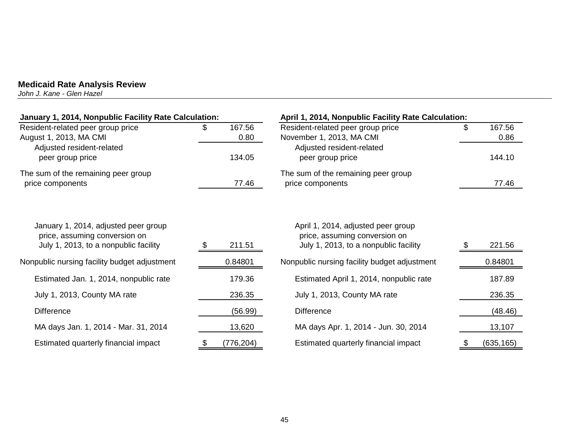*John J. Kane - Glen Hazel* 

| January 1, 2014, Nonpublic Facility Rate Calculation:                                                          |     |                | April 1, 2014, Nonpublic Facility Rate Calculation:                                                          |    |                |
|----------------------------------------------------------------------------------------------------------------|-----|----------------|--------------------------------------------------------------------------------------------------------------|----|----------------|
| Resident-related peer group price<br>August 1, 2013, MA CMI                                                    | \$. | 167.56<br>0.80 | Resident-related peer group price<br>November 1, 2013, MA CMI                                                | \$ | 167.56<br>0.86 |
| Adjusted resident-related<br>peer group price                                                                  |     | 134.05         | Adjusted resident-related<br>peer group price                                                                |    | 144.10         |
| The sum of the remaining peer group<br>price components                                                        |     | 77.46          | The sum of the remaining peer group<br>price components                                                      |    | 77.46          |
| January 1, 2014, adjusted peer group<br>price, assuming conversion on<br>July 1, 2013, to a nonpublic facility |     | 211.51         | April 1, 2014, adjusted peer group<br>price, assuming conversion on<br>July 1, 2013, to a nonpublic facility |    | 221.56         |
| Nonpublic nursing facility budget adjustment                                                                   |     | 0.84801        | Nonpublic nursing facility budget adjustment                                                                 |    | 0.84801        |
| Estimated Jan. 1, 2014, nonpublic rate                                                                         |     | 179.36         | Estimated April 1, 2014, nonpublic rate                                                                      |    | 187.89         |
| July 1, 2013, County MA rate                                                                                   |     | 236.35         | July 1, 2013, County MA rate                                                                                 |    | 236.35         |
| <b>Difference</b>                                                                                              |     | (56.99)        | <b>Difference</b>                                                                                            |    | (48.46)        |
| MA days Jan. 1, 2014 - Mar. 31, 2014                                                                           |     | 13,620         | MA days Apr. 1, 2014 - Jun. 30, 2014                                                                         |    | 13,107         |
| Estimated quarterly financial impact                                                                           | \$  | (776, 204)     | Estimated quarterly financial impact                                                                         | æ. | (635, 165)     |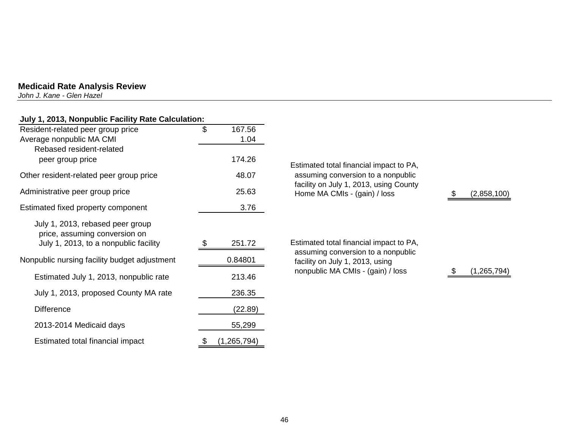*John J. Kane - Glen Hazel* 

## **July 1, 2013, Nonpublic Facility Rate Calculation:**

| Resident-related peer group price            | \$<br>167.56        |
|----------------------------------------------|---------------------|
| Average nonpublic MA CMI                     | 1.04                |
| Rebased resident-related                     |                     |
| peer group price                             | 174.26              |
| Other resident-related peer group price      | 48.07               |
| Administrative peer group price              | 25.63               |
| Estimated fixed property component           | 3.76                |
| July 1, 2013, rebased peer group             |                     |
| price, assuming conversion on                |                     |
| July 1, 2013, to a nonpublic facility        | 251.72              |
| Nonpublic nursing facility budget adjustment | 0.84801             |
| Estimated July 1, 2013, nonpublic rate       | 213.46              |
| July 1, 2013, proposed County MA rate        | 236.35              |
| <b>Difference</b>                            | (22.89)             |
| 2013-2014 Medicaid days                      | 55,299              |
| Estimated total financial impact             | \$<br>(1, 265, 794) |

Estimated total financial impact to PA, assuming conversion to a nonpublic facility on July 1, 2013, using County Home MA CMIs - (gain) / loss  $$(2,858,100)$ 

Estimated total financial impact to PA, assuming conversion to a nonpublic facility on July 1, 2013, using nonpublic MA CMIs - (gain) / loss  $$(1,265,794)$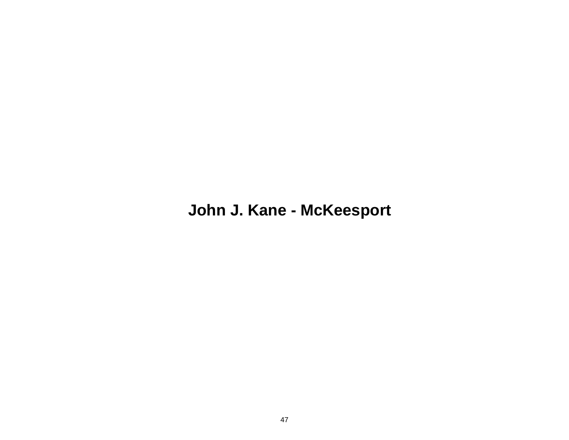## **John J. Kane - McKeesport**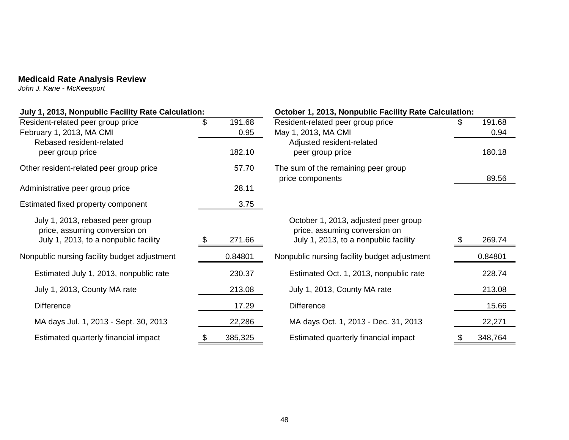*John J. Kane - McKeesport* 

| July 1, 2013, Nonpublic Facility Rate Calculation:                                                         |                      | October 1, 2013, Nonpublic Facility Rate Calculation:                                                          |                      |
|------------------------------------------------------------------------------------------------------------|----------------------|----------------------------------------------------------------------------------------------------------------|----------------------|
| Resident-related peer group price<br>February 1, 2013, MA CMI                                              | \$<br>191.68<br>0.95 | Resident-related peer group price<br>May 1, 2013, MA CMI                                                       | \$<br>191.68<br>0.94 |
| Rebased resident-related<br>peer group price                                                               | 182.10               | Adjusted resident-related<br>peer group price                                                                  | 180.18               |
| Other resident-related peer group price                                                                    | 57.70                | The sum of the remaining peer group<br>price components                                                        | 89.56                |
| Administrative peer group price                                                                            | 28.11                |                                                                                                                |                      |
| Estimated fixed property component                                                                         | 3.75                 |                                                                                                                |                      |
| July 1, 2013, rebased peer group<br>price, assuming conversion on<br>July 1, 2013, to a nonpublic facility | 271.66               | October 1, 2013, adjusted peer group<br>price, assuming conversion on<br>July 1, 2013, to a nonpublic facility | 269.74               |
| Nonpublic nursing facility budget adjustment                                                               | 0.84801              | Nonpublic nursing facility budget adjustment                                                                   | 0.84801              |
| Estimated July 1, 2013, nonpublic rate                                                                     | 230.37               | Estimated Oct. 1, 2013, nonpublic rate                                                                         | 228.74               |
| July 1, 2013, County MA rate                                                                               | 213.08               | July 1, 2013, County MA rate                                                                                   | 213.08               |
| <b>Difference</b>                                                                                          | 17.29                | <b>Difference</b>                                                                                              | 15.66                |
| MA days Jul. 1, 2013 - Sept. 30, 2013                                                                      | 22,286               | MA days Oct. 1, 2013 - Dec. 31, 2013                                                                           | 22,271               |
| Estimated quarterly financial impact                                                                       | \$<br>385,325        | Estimated quarterly financial impact                                                                           | \$<br>348,764        |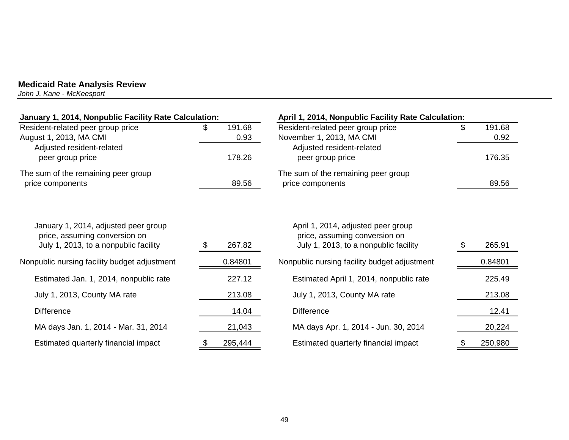*John J. Kane - McKeesport* 

| January 1, 2014, Nonpublic Facility Rate Calculation:                                                          |                      | April 1, 2014, Nonpublic Facility Rate Calculation:                                                          |                      |  |
|----------------------------------------------------------------------------------------------------------------|----------------------|--------------------------------------------------------------------------------------------------------------|----------------------|--|
| Resident-related peer group price<br>August 1, 2013, MA CMI                                                    | 191.68<br>S.<br>0.93 | Resident-related peer group price<br>November 1, 2013, MA CMI                                                | \$<br>191.68<br>0.92 |  |
| Adjusted resident-related<br>peer group price                                                                  | 178.26               | Adjusted resident-related<br>peer group price                                                                | 176.35               |  |
| The sum of the remaining peer group<br>price components                                                        | 89.56                | The sum of the remaining peer group<br>price components                                                      | 89.56                |  |
| January 1, 2014, adjusted peer group<br>price, assuming conversion on<br>July 1, 2013, to a nonpublic facility | 267.82               | April 1, 2014, adjusted peer group<br>price, assuming conversion on<br>July 1, 2013, to a nonpublic facility | 265.91<br>S          |  |
| Nonpublic nursing facility budget adjustment                                                                   | 0.84801              | Nonpublic nursing facility budget adjustment                                                                 | 0.84801              |  |
| Estimated Jan. 1, 2014, nonpublic rate                                                                         | 227.12               | Estimated April 1, 2014, nonpublic rate                                                                      | 225.49               |  |
| July 1, 2013, County MA rate                                                                                   | 213.08               | July 1, 2013, County MA rate                                                                                 | 213.08               |  |
| <b>Difference</b>                                                                                              | 14.04                | <b>Difference</b>                                                                                            | 12.41                |  |
| MA days Jan. 1, 2014 - Mar. 31, 2014                                                                           | 21,043               | MA days Apr. 1, 2014 - Jun. 30, 2014                                                                         | 20,224               |  |
| Estimated quarterly financial impact                                                                           | 295,444              | Estimated quarterly financial impact                                                                         | 250,980              |  |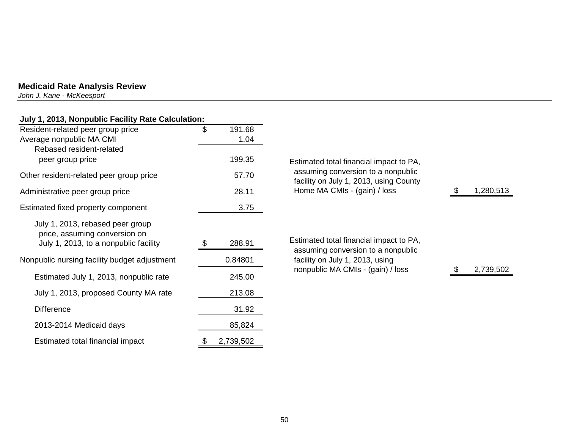*John J. Kane - McKeesport* 

## **July 1, 2013, Nonpublic Facility Rate Calculation:**

| Resident-related peer group price<br>Average nonpublic MA CMI<br>Rebased resident-related                  | \$<br>191.68<br>1.04 |                                            |
|------------------------------------------------------------------------------------------------------------|----------------------|--------------------------------------------|
| peer group price                                                                                           | 199.35               | <b>Estimated total fi</b>                  |
| Other resident-related peer group price                                                                    | 57.70                | assuming conv<br>facility on July 1        |
| Administrative peer group price                                                                            | 28.11                | Home MA CMIs                               |
| Estimated fixed property component                                                                         | 3.75                 |                                            |
| July 1, 2013, rebased peer group<br>price, assuming conversion on<br>July 1, 2013, to a nonpublic facility | 288.91               | <b>Estimated total fi</b><br>assuming conv |
| Nonpublic nursing facility budget adjustment                                                               | 0.84801              | facility on July 1                         |
| Estimated July 1, 2013, nonpublic rate                                                                     | 245.00               | nonpublic MA C                             |
| July 1, 2013, proposed County MA rate                                                                      | 213.08               |                                            |
| <b>Difference</b>                                                                                          | 31.92                |                                            |
| 2013-2014 Medicaid days                                                                                    | 85,824               |                                            |
| Estimated total financial impact                                                                           | 2,739,502<br>\$      |                                            |

| Estimated total financial impact to PA,<br>assuming conversion to a nonpublic<br>facility on July 1, 2013, using County<br>Home MA CMIs - (gain) / loss | 1,280,513 |
|---------------------------------------------------------------------------------------------------------------------------------------------------------|-----------|
| Estimated total financial impact to PA,<br>assuming conversion to a nonpublic<br>facility on July 1, 2013, using<br>nonpublic MA CMIs - (gain) / loss   | 2,739,502 |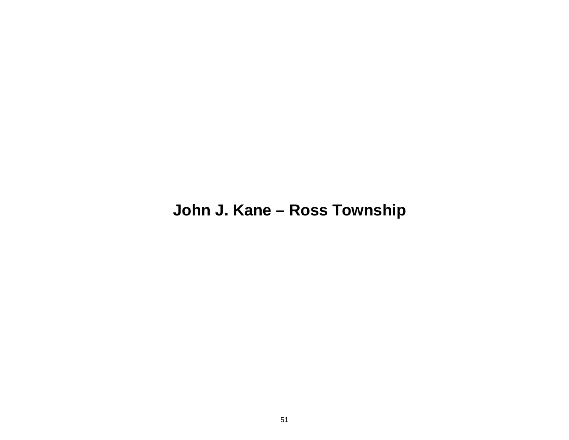## **John J. Kane – Ross Township**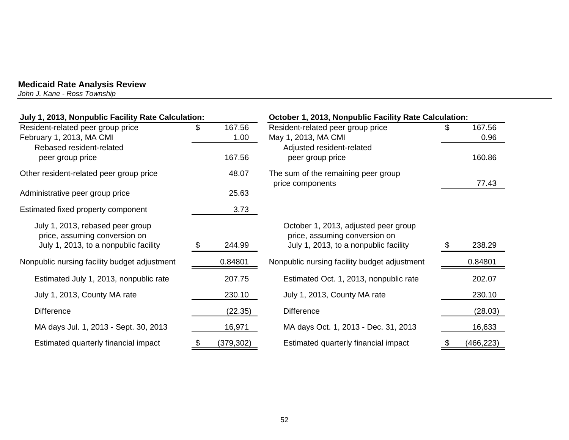*John J. Kane - Ross Township* 

| July 1, 2013, Nonpublic Facility Rate Calculation:                                                         |      |                | October 1, 2013, Nonpublic Facility Rate Calculation:                                                          |      |                |  |
|------------------------------------------------------------------------------------------------------------|------|----------------|----------------------------------------------------------------------------------------------------------------|------|----------------|--|
| Resident-related peer group price<br>February 1, 2013, MA CMI                                              | S.   | 167.56<br>1.00 | Resident-related peer group price<br>May 1, 2013, MA CMI                                                       |      | 167.56<br>0.96 |  |
| Rebased resident-related<br>peer group price                                                               |      | 167.56         | Adjusted resident-related<br>peer group price                                                                  |      | 160.86         |  |
| Other resident-related peer group price                                                                    |      | 48.07          | The sum of the remaining peer group<br>price components                                                        |      | 77.43          |  |
| Administrative peer group price                                                                            |      | 25.63          |                                                                                                                |      |                |  |
| Estimated fixed property component                                                                         |      | 3.73           |                                                                                                                |      |                |  |
| July 1, 2013, rebased peer group<br>price, assuming conversion on<br>July 1, 2013, to a nonpublic facility | - \$ | 244.99         | October 1, 2013, adjusted peer group<br>price, assuming conversion on<br>July 1, 2013, to a nonpublic facility | - \$ | 238.29         |  |
| Nonpublic nursing facility budget adjustment                                                               |      | 0.84801        | Nonpublic nursing facility budget adjustment                                                                   |      | 0.84801        |  |
| Estimated July 1, 2013, nonpublic rate                                                                     |      | 207.75         | Estimated Oct. 1, 2013, nonpublic rate                                                                         |      | 202.07         |  |
| July 1, 2013, County MA rate                                                                               |      | 230.10         | July 1, 2013, County MA rate                                                                                   |      | 230.10         |  |
| <b>Difference</b>                                                                                          |      | (22.35)        | <b>Difference</b>                                                                                              |      | (28.03)        |  |
| MA days Jul. 1, 2013 - Sept. 30, 2013                                                                      |      | 16,971         | MA days Oct. 1, 2013 - Dec. 31, 2013                                                                           |      | 16,633         |  |
| Estimated quarterly financial impact                                                                       | \$   | (379, 302)     | Estimated quarterly financial impact                                                                           | \$   | (466, 223)     |  |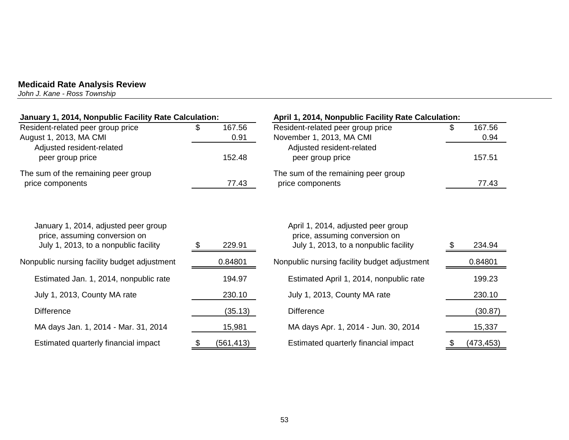*John J. Kane - Ross Township* 

| January 1, 2014, Nonpublic Facility Rate Calculation:                                                          |      |                | April 1, 2014, Nonpublic Facility Rate Calculation:                                                          |  |                |  |
|----------------------------------------------------------------------------------------------------------------|------|----------------|--------------------------------------------------------------------------------------------------------------|--|----------------|--|
| Resident-related peer group price<br>August 1, 2013, MA CMI                                                    |      | 167.56<br>0.91 | Resident-related peer group price<br>November 1, 2013, MA CMI                                                |  | 167.56<br>0.94 |  |
| Adjusted resident-related<br>peer group price                                                                  |      | 152.48         | Adjusted resident-related<br>peer group price                                                                |  | 157.51         |  |
| The sum of the remaining peer group<br>price components                                                        |      | 77.43          | The sum of the remaining peer group<br>price components                                                      |  | 77.43          |  |
| January 1, 2014, adjusted peer group<br>price, assuming conversion on<br>July 1, 2013, to a nonpublic facility | - 95 | 229.91         | April 1, 2014, adjusted peer group<br>price, assuming conversion on<br>July 1, 2013, to a nonpublic facility |  | 234.94         |  |
| Nonpublic nursing facility budget adjustment                                                                   |      | 0.84801        | Nonpublic nursing facility budget adjustment                                                                 |  | 0.84801        |  |
| Estimated Jan. 1, 2014, nonpublic rate                                                                         |      | 194.97         | Estimated April 1, 2014, nonpublic rate                                                                      |  | 199.23         |  |
| July 1, 2013, County MA rate                                                                                   |      | 230.10         | July 1, 2013, County MA rate                                                                                 |  | 230.10         |  |
| <b>Difference</b>                                                                                              |      | (35.13)        | <b>Difference</b>                                                                                            |  | (30.87)        |  |
| MA days Jan. 1, 2014 - Mar. 31, 2014                                                                           |      | 15,981         | MA days Apr. 1, 2014 - Jun. 30, 2014                                                                         |  | 15,337         |  |
| Estimated quarterly financial impact                                                                           |      | (561, 413)     | Estimated quarterly financial impact                                                                         |  | (473, 453)     |  |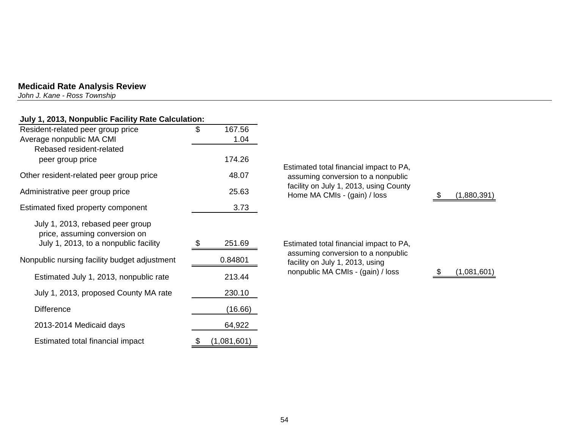*John J. Kane - Ross Township* 

| July 1, 2013, Nonpublic Facility Rate Calculation:                                                         |    |         |                                                                        |             |
|------------------------------------------------------------------------------------------------------------|----|---------|------------------------------------------------------------------------|-------------|
| Resident-related peer group price                                                                          | \$ | 167.56  |                                                                        |             |
| Average nonpublic MA CMI                                                                                   |    | 1.04    |                                                                        |             |
| Rebased resident-related                                                                                   |    |         |                                                                        |             |
| peer group price                                                                                           |    | 174.26  | Estimated total financial impact to PA,                                |             |
| Other resident-related peer group price                                                                    |    | 48.07   | assuming conversion to a nonpublic                                     |             |
| Administrative peer group price                                                                            |    | 25.63   | facility on July 1, 2013, using County<br>Home MA CMIs - (gain) / loss | (1,880,391) |
| Estimated fixed property component                                                                         |    | 3.73    |                                                                        |             |
| July 1, 2013, rebased peer group<br>price, assuming conversion on<br>July 1, 2013, to a nonpublic facility | æ. | 251.69  | Estimated total financial impact to PA,                                |             |
|                                                                                                            |    |         | assuming conversion to a nonpublic                                     |             |
| Nonpublic nursing facility budget adjustment                                                               |    | 0.84801 | facility on July 1, 2013, using                                        |             |
| Estimated July 1, 2013, nonpublic rate                                                                     |    | 213.44  | nonpublic MA CMIs - (gain) / loss                                      | (1,081,601) |
| July 1, 2013, proposed County MA rate                                                                      |    | 230.10  |                                                                        |             |
| <b>Difference</b>                                                                                          |    | (16.66) |                                                                        |             |
| 2013-2014 Medicaid days                                                                                    |    | 64,922  |                                                                        |             |

Estimated total financial impact  $\frac{\$ (1,081,601)}{}$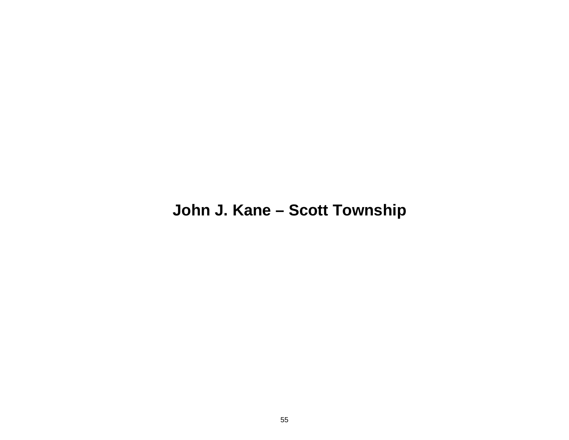## **John J. Kane – Scott Township**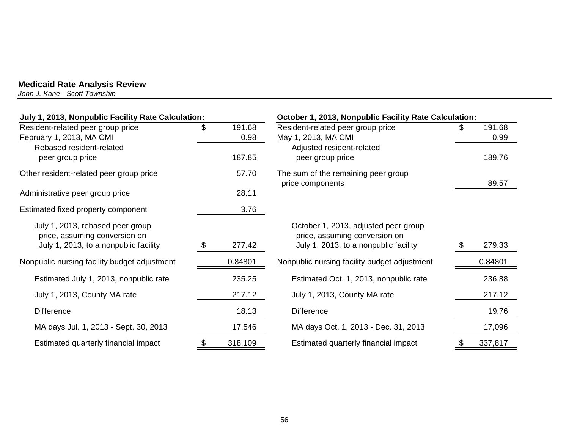*John J. Kane - Scott Township* 

| July 1, 2013, Nonpublic Facility Rate Calculation:                |    |         | October 1, 2013, Nonpublic Facility Rate Calculation:                 |     |         |  |
|-------------------------------------------------------------------|----|---------|-----------------------------------------------------------------------|-----|---------|--|
| Resident-related peer group price                                 | \$ | 191.68  | Resident-related peer group price                                     | \$. | 191.68  |  |
| February 1, 2013, MA CMI<br>Rebased resident-related              |    | 0.98    | May 1, 2013, MA CMI                                                   |     | 0.99    |  |
| peer group price                                                  |    | 187.85  | Adjusted resident-related<br>peer group price                         |     | 189.76  |  |
| Other resident-related peer group price                           |    | 57.70   | The sum of the remaining peer group<br>price components               |     | 89.57   |  |
| Administrative peer group price                                   |    | 28.11   |                                                                       |     |         |  |
| Estimated fixed property component                                |    | 3.76    |                                                                       |     |         |  |
| July 1, 2013, rebased peer group<br>price, assuming conversion on |    |         | October 1, 2013, adjusted peer group<br>price, assuming conversion on |     |         |  |
| July 1, 2013, to a nonpublic facility                             |    | 277.42  | July 1, 2013, to a nonpublic facility                                 | £.  | 279.33  |  |
| Nonpublic nursing facility budget adjustment                      |    | 0.84801 | Nonpublic nursing facility budget adjustment                          |     | 0.84801 |  |
| Estimated July 1, 2013, nonpublic rate                            |    | 235.25  | Estimated Oct. 1, 2013, nonpublic rate                                |     | 236.88  |  |
| July 1, 2013, County MA rate                                      |    | 217.12  | July 1, 2013, County MA rate                                          |     | 217.12  |  |
| <b>Difference</b>                                                 |    | 18.13   | <b>Difference</b>                                                     |     | 19.76   |  |
| MA days Jul. 1, 2013 - Sept. 30, 2013                             |    | 17,546  | MA days Oct. 1, 2013 - Dec. 31, 2013                                  |     | 17,096  |  |
| Estimated quarterly financial impact                              |    | 318,109 | Estimated quarterly financial impact                                  |     | 337,817 |  |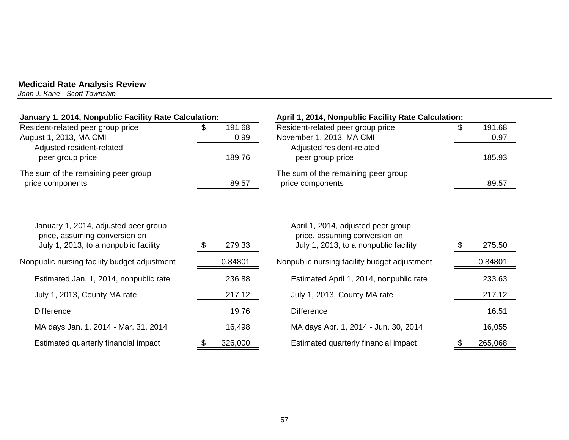*John J. Kane - Scott Township* 

| January 1, 2014, Nonpublic Facility Rate Calculation:                                                          |    |                | April 1, 2014, Nonpublic Facility Rate Calculation:                                                          |    |                |
|----------------------------------------------------------------------------------------------------------------|----|----------------|--------------------------------------------------------------------------------------------------------------|----|----------------|
| Resident-related peer group price<br>August 1, 2013, MA CMI                                                    | \$ | 191.68<br>0.99 | Resident-related peer group price<br>November 1, 2013, MA CMI                                                |    | 191.68<br>0.97 |
| Adjusted resident-related<br>peer group price                                                                  |    | 189.76         | Adjusted resident-related<br>peer group price                                                                |    | 185.93         |
| The sum of the remaining peer group<br>price components                                                        |    | 89.57          | The sum of the remaining peer group<br>price components                                                      |    | 89.57          |
| January 1, 2014, adjusted peer group<br>price, assuming conversion on<br>July 1, 2013, to a nonpublic facility |    | 279.33         | April 1, 2014, adjusted peer group<br>price, assuming conversion on<br>July 1, 2013, to a nonpublic facility |    | 275.50         |
| Nonpublic nursing facility budget adjustment                                                                   |    | 0.84801        | Nonpublic nursing facility budget adjustment                                                                 |    | 0.84801        |
| Estimated Jan. 1, 2014, nonpublic rate                                                                         |    | 236.88         | Estimated April 1, 2014, nonpublic rate                                                                      |    | 233.63         |
| July 1, 2013, County MA rate                                                                                   |    | 217.12         | July 1, 2013, County MA rate                                                                                 |    | 217.12         |
| <b>Difference</b>                                                                                              |    | 19.76          | <b>Difference</b>                                                                                            |    | 16.51          |
| MA days Jan. 1, 2014 - Mar. 31, 2014                                                                           |    | 16,498         | MA days Apr. 1, 2014 - Jun. 30, 2014                                                                         |    | 16,055         |
| Estimated quarterly financial impact                                                                           | P. | 326,000        | Estimated quarterly financial impact                                                                         | \$ | 265,068        |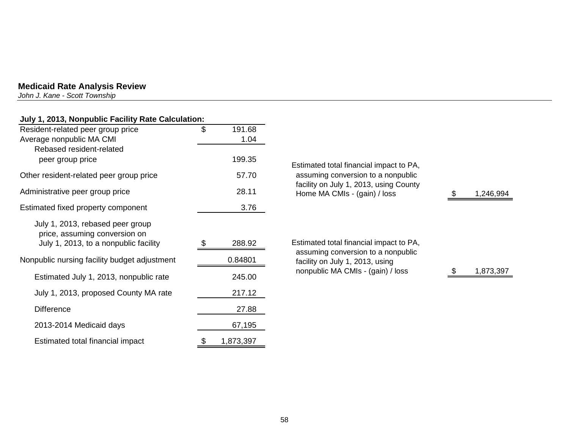*John J. Kane - Scott Township* 

## **July 1, 2013, Nonpublic Facility Rate Calculation:**

| Resident-related peer group price                                                                          | \$<br>191.68    |
|------------------------------------------------------------------------------------------------------------|-----------------|
| Average nonpublic MA CMI                                                                                   | 1.04            |
| Rebased resident-related<br>peer group price                                                               | 199.35          |
| Other resident-related peer group price                                                                    | 57.70           |
| Administrative peer group price                                                                            | 28.11           |
| Estimated fixed property component                                                                         | 3.76            |
| July 1, 2013, rebased peer group<br>price, assuming conversion on<br>July 1, 2013, to a nonpublic facility | 288.92          |
| Nonpublic nursing facility budget adjustment                                                               | 0.84801         |
| Estimated July 1, 2013, nonpublic rate                                                                     | 245.00          |
| July 1, 2013, proposed County MA rate                                                                      | 217.12          |
| <b>Difference</b>                                                                                          | 27.88           |
| 2013-2014 Medicaid days                                                                                    | 67,195          |
| Estimated total financial impact                                                                           | \$<br>1,873,397 |

| 1.35<br>7.70 | Estimated total financial impact to PA,<br>assuming conversion to a nonpublic<br>facility on July 1, 2013, using County |           |
|--------------|-------------------------------------------------------------------------------------------------------------------------|-----------|
| , 11         | Home MA CMIs - (gain) / loss                                                                                            | 1,246,994 |
| 76.ا         |                                                                                                                         |           |
|              |                                                                                                                         |           |
| 92.ا         | Estimated total financial impact to PA,                                                                                 |           |
| 801          | assuming conversion to a nonpublic<br>facility on July 1, 2013, using                                                   |           |
| .00          | nonpublic MA CMIs - (gain) / loss                                                                                       | 1,873,397 |
|              |                                                                                                                         |           |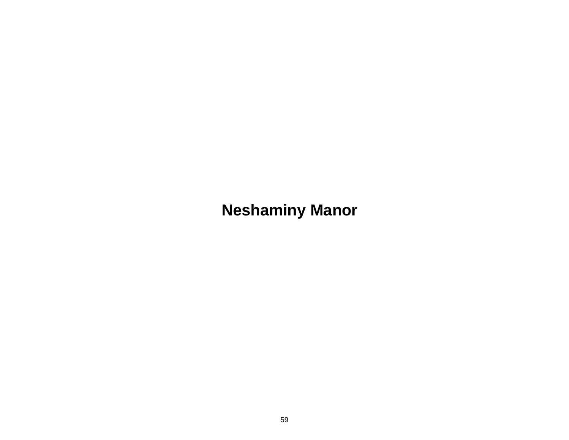# **Neshaminy Manor**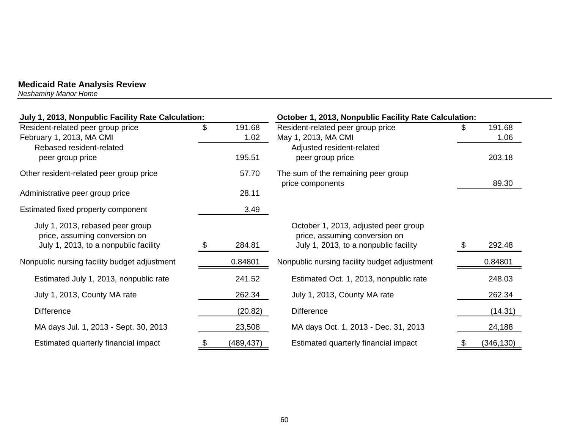*Neshaminy Manor Home* 

| July 1, 2013, Nonpublic Facility Rate Calculation: |      |            | October 1, 2013, Nonpublic Facility Rate Calculation:   |    |            |  |
|----------------------------------------------------|------|------------|---------------------------------------------------------|----|------------|--|
| Resident-related peer group price                  | \$   | 191.68     | Resident-related peer group price                       | \$ | 191.68     |  |
| February 1, 2013, MA CMI                           |      | 1.02       | May 1, 2013, MA CMI                                     |    | 1.06       |  |
| Rebased resident-related                           |      |            | Adjusted resident-related                               |    |            |  |
| peer group price                                   |      | 195.51     | peer group price                                        |    | 203.18     |  |
| Other resident-related peer group price            |      | 57.70      | The sum of the remaining peer group<br>price components |    | 89.30      |  |
| Administrative peer group price                    |      | 28.11      |                                                         |    |            |  |
| Estimated fixed property component                 |      | 3.49       |                                                         |    |            |  |
| July 1, 2013, rebased peer group                   |      |            | October 1, 2013, adjusted peer group                    |    |            |  |
| price, assuming conversion on                      |      |            | price, assuming conversion on                           |    |            |  |
| July 1, 2013, to a nonpublic facility              | - \$ | 284.81     | July 1, 2013, to a nonpublic facility                   | \$ | 292.48     |  |
| Nonpublic nursing facility budget adjustment       |      | 0.84801    | Nonpublic nursing facility budget adjustment            |    | 0.84801    |  |
| Estimated July 1, 2013, nonpublic rate             |      | 241.52     | Estimated Oct. 1, 2013, nonpublic rate                  |    | 248.03     |  |
| July 1, 2013, County MA rate                       |      | 262.34     | July 1, 2013, County MA rate                            |    | 262.34     |  |
| <b>Difference</b>                                  |      | (20.82)    | <b>Difference</b>                                       |    | (14.31)    |  |
| MA days Jul. 1, 2013 - Sept. 30, 2013              |      | 23,508     | MA days Oct. 1, 2013 - Dec. 31, 2013                    |    | 24,188     |  |
| Estimated quarterly financial impact               |      | (489, 437) | Estimated quarterly financial impact                    |    | (346, 130) |  |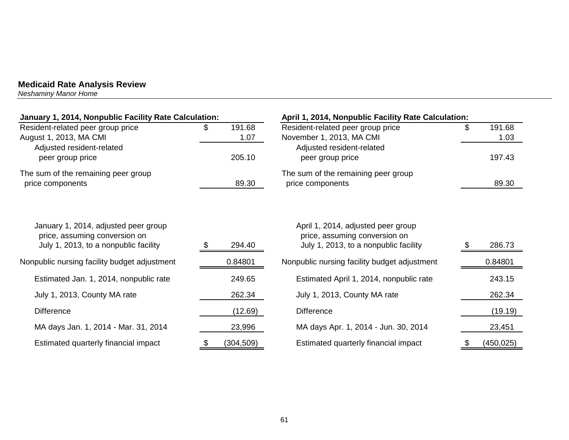*Neshaminy Manor Home* 

| January 1, 2014, Nonpublic Facility Rate Calculation:                 |     |            | April 1, 2014, Nonpublic Facility Rate Calculation:                 |    |            |  |
|-----------------------------------------------------------------------|-----|------------|---------------------------------------------------------------------|----|------------|--|
| Resident-related peer group price                                     | \$  | 191.68     | Resident-related peer group price                                   | \$ | 191.68     |  |
| August 1, 2013, MA CMI                                                |     | 1.07       | November 1, 2013, MA CMI                                            |    | 1.03       |  |
| Adjusted resident-related                                             |     |            | Adjusted resident-related                                           |    |            |  |
| peer group price                                                      |     | 205.10     | peer group price                                                    |    | 197.43     |  |
| The sum of the remaining peer group                                   |     |            | The sum of the remaining peer group                                 |    |            |  |
| price components                                                      |     | 89.30      | price components                                                    |    | 89.30      |  |
|                                                                       |     |            |                                                                     |    |            |  |
| January 1, 2014, adjusted peer group<br>price, assuming conversion on |     |            | April 1, 2014, adjusted peer group<br>price, assuming conversion on |    |            |  |
| July 1, 2013, to a nonpublic facility                                 | SS. | 294.40     | July 1, 2013, to a nonpublic facility                               |    | 286.73     |  |
| Nonpublic nursing facility budget adjustment                          |     | 0.84801    | Nonpublic nursing facility budget adjustment                        |    | 0.84801    |  |
| Estimated Jan. 1, 2014, nonpublic rate                                |     | 249.65     | Estimated April 1, 2014, nonpublic rate                             |    | 243.15     |  |
| July 1, 2013, County MA rate                                          |     | 262.34     | July 1, 2013, County MA rate                                        |    | 262.34     |  |
| <b>Difference</b>                                                     |     | (12.69)    | <b>Difference</b>                                                   |    | (19.19)    |  |
| MA days Jan. 1, 2014 - Mar. 31, 2014                                  |     | 23,996     | MA days Apr. 1, 2014 - Jun. 30, 2014                                |    | 23,451     |  |
| Estimated quarterly financial impact                                  |     | (304, 509) | Estimated quarterly financial impact                                |    | (450, 025) |  |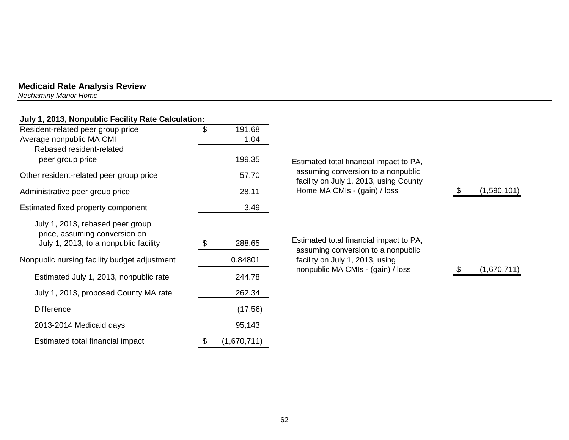*Neshaminy Manor Home* 

| July 1, 2013, Nonpublic Facility Rate Calculation:                |              |                                                                               |             |
|-------------------------------------------------------------------|--------------|-------------------------------------------------------------------------------|-------------|
| Resident-related peer group price                                 | \$<br>191.68 |                                                                               |             |
| Average nonpublic MA CMI                                          | 1.04         |                                                                               |             |
| Rebased resident-related                                          |              |                                                                               |             |
| peer group price                                                  | 199.35       | Estimated total financial impact to PA,                                       |             |
| Other resident-related peer group price                           | 57.70        | assuming conversion to a nonpublic<br>facility on July 1, 2013, using County  |             |
| Administrative peer group price                                   | 28.11        | Home MA CMIs - (gain) / loss                                                  | (1,590,101) |
| Estimated fixed property component                                | 3.49         |                                                                               |             |
| July 1, 2013, rebased peer group<br>price, assuming conversion on |              |                                                                               |             |
| July 1, 2013, to a nonpublic facility                             | 288.65       | Estimated total financial impact to PA,<br>assuming conversion to a nonpublic |             |
| Nonpublic nursing facility budget adjustment                      | 0.84801      | facility on July 1, 2013, using<br>nonpublic MA CMIs - (gain) / loss          | (1,670,711) |
| Estimated July 1, 2013, nonpublic rate                            | 244.78       |                                                                               |             |
| July 1, 2013, proposed County MA rate                             | 262.34       |                                                                               |             |
| <b>Difference</b>                                                 | (17.56)      |                                                                               |             |
| 2013-2014 Medicaid days                                           | 95,143       |                                                                               |             |

Estimated total financial impact  $\frac{\$}{1,670,711)}$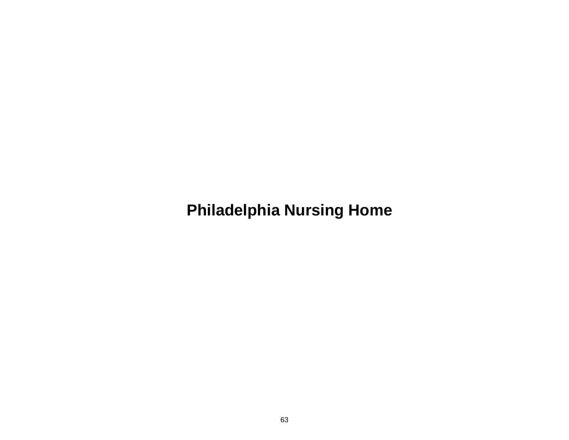**Philadelphia Nursing Home**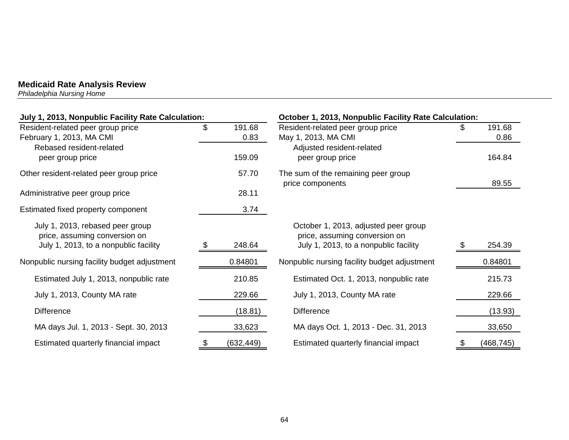*Philadelphia Nursing Home* 

| July 1, 2013, Nonpublic Facility Rate Calculation: |     |            | October 1, 2013, Nonpublic Facility Rate Calculation:   |  |            |  |
|----------------------------------------------------|-----|------------|---------------------------------------------------------|--|------------|--|
| Resident-related peer group price                  | \$  | 191.68     | Resident-related peer group price                       |  | 191.68     |  |
| February 1, 2013, MA CMI                           |     | 0.83       | May 1, 2013, MA CMI                                     |  | 0.86       |  |
| Rebased resident-related                           |     |            | Adjusted resident-related                               |  |            |  |
| peer group price                                   |     | 159.09     | peer group price                                        |  | 164.84     |  |
| Other resident-related peer group price            |     | 57.70      | The sum of the remaining peer group<br>price components |  | 89.55      |  |
| Administrative peer group price                    |     | 28.11      |                                                         |  |            |  |
| Estimated fixed property component                 |     | 3.74       |                                                         |  |            |  |
| July 1, 2013, rebased peer group                   |     |            | October 1, 2013, adjusted peer group                    |  |            |  |
| price, assuming conversion on                      |     |            | price, assuming conversion on                           |  |            |  |
| July 1, 2013, to a nonpublic facility              | \$. | 248.64     | July 1, 2013, to a nonpublic facility                   |  | 254.39     |  |
| Nonpublic nursing facility budget adjustment       |     | 0.84801    | Nonpublic nursing facility budget adjustment            |  | 0.84801    |  |
| Estimated July 1, 2013, nonpublic rate             |     | 210.85     | Estimated Oct. 1, 2013, nonpublic rate                  |  | 215.73     |  |
| July 1, 2013, County MA rate                       |     | 229.66     | July 1, 2013, County MA rate                            |  | 229.66     |  |
| <b>Difference</b>                                  |     | (18.81)    | <b>Difference</b>                                       |  | (13.93)    |  |
| MA days Jul. 1, 2013 - Sept. 30, 2013              |     | 33,623     | MA days Oct. 1, 2013 - Dec. 31, 2013                    |  | 33,650     |  |
| Estimated quarterly financial impact               |     | (632, 449) | Estimated quarterly financial impact                    |  | (468, 745) |  |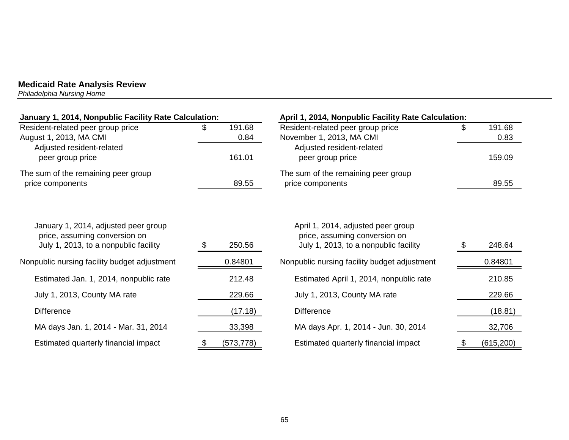*Philadelphia Nursing Home* 

| January 1, 2014, Nonpublic Facility Rate Calculation:                                                          |     |                | April 1, 2014, Nonpublic Facility Rate Calculation:                                                          |                      |
|----------------------------------------------------------------------------------------------------------------|-----|----------------|--------------------------------------------------------------------------------------------------------------|----------------------|
| Resident-related peer group price<br>August 1, 2013, MA CMI                                                    | SS. | 191.68<br>0.84 | Resident-related peer group price<br>November 1, 2013, MA CMI                                                | \$<br>191.68<br>0.83 |
| Adjusted resident-related<br>peer group price                                                                  |     | 161.01         | Adjusted resident-related<br>peer group price                                                                | 159.09               |
| The sum of the remaining peer group<br>price components                                                        |     | 89.55          | The sum of the remaining peer group<br>price components                                                      | 89.55                |
| January 1, 2014, adjusted peer group<br>price, assuming conversion on<br>July 1, 2013, to a nonpublic facility |     | 250.56         | April 1, 2014, adjusted peer group<br>price, assuming conversion on<br>July 1, 2013, to a nonpublic facility | 248.64               |
| Nonpublic nursing facility budget adjustment                                                                   |     | 0.84801        | Nonpublic nursing facility budget adjustment                                                                 | 0.84801              |
| Estimated Jan. 1, 2014, nonpublic rate                                                                         |     | 212.48         | Estimated April 1, 2014, nonpublic rate                                                                      | 210.85               |
| July 1, 2013, County MA rate                                                                                   |     | 229.66         | July 1, 2013, County MA rate                                                                                 | 229.66               |
| <b>Difference</b>                                                                                              |     | (17.18)        | <b>Difference</b>                                                                                            | (18.81)              |
| MA days Jan. 1, 2014 - Mar. 31, 2014                                                                           |     | 33,398         | MA days Apr. 1, 2014 - Jun. 30, 2014                                                                         | 32,706               |
| Estimated quarterly financial impact                                                                           | \$  | (573, 778)     | Estimated quarterly financial impact                                                                         | \$<br>(615, 200)     |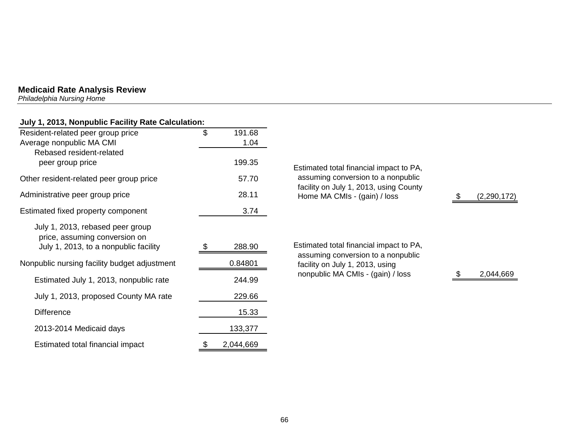*Philadelphia Nursing Home* 

## **July 1, 2013, Nonpublic Facility Rate Calculation:**

| Resident-related peer group price<br>Average nonpublic MA CMI     | \$  | 191.68<br>1.04 |                  |
|-------------------------------------------------------------------|-----|----------------|------------------|
| Rebased resident-related<br>peer group price                      |     | 199.35         | Estimat          |
| Other resident-related peer group price                           |     | 57.70          | assum            |
| Administrative peer group price                                   |     | 28.11          | facility<br>Home |
| Estimated fixed property component                                |     | 3.74           |                  |
| July 1, 2013, rebased peer group<br>price, assuming conversion on |     |                |                  |
| July 1, 2013, to a nonpublic facility                             | \$. | 288.90         | Estimat<br>assum |
| Nonpublic nursing facility budget adjustment                      |     | 0.84801        | facility         |
| Estimated July 1, 2013, nonpublic rate                            |     | 244.99         | nonpu            |
| July 1, 2013, proposed County MA rate                             |     | 229.66         |                  |
| <b>Difference</b>                                                 |     | 15.33          |                  |
| 2013-2014 Medicaid days                                           |     | 133,377        |                  |
| Estimated total financial impact                                  | \$  | 2,044,669      |                  |

| Estimated total financial impact to PA, |               |
|-----------------------------------------|---------------|
| assuming conversion to a nonpublic      |               |
| facility on July 1, 2013, using County  |               |
| Home MA CMIs - (gain) / loss            | (2, 290, 172) |
|                                         |               |
|                                         |               |

ted total financial impact to PA, ning conversion to a nonpublic on July 1, 2013, using  $\mu$ blic MA CMIs - (gain) / loss  $\frac{1}{2}$  2,044,669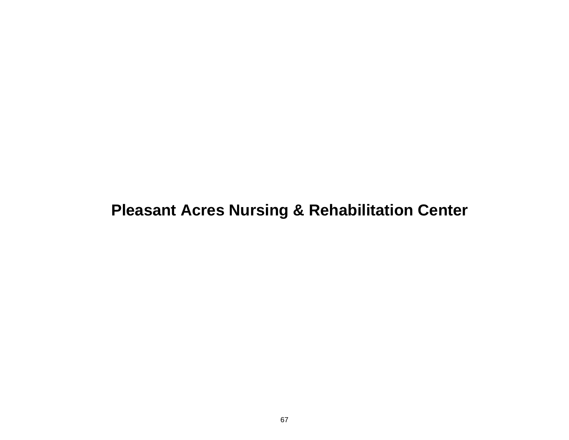## **Pleasant Acres Nursing & Rehabilitation Center**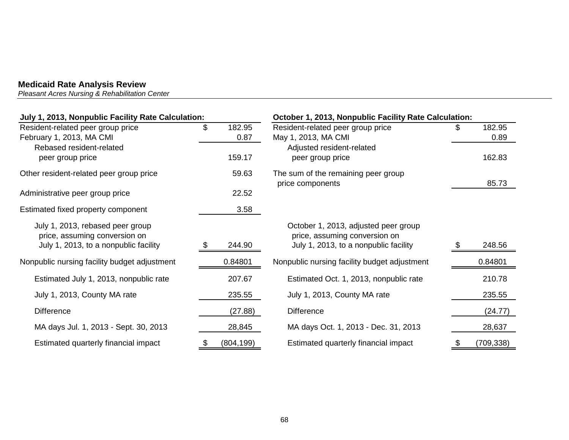*Pleasant Acres Nursing & Rehabilitation Center* 

| July 1, 2013, Nonpublic Facility Rate Calculation:                                                         |    |                | October 1, 2013, Nonpublic Facility Rate Calculation:                                                          |  |                |  |  |
|------------------------------------------------------------------------------------------------------------|----|----------------|----------------------------------------------------------------------------------------------------------------|--|----------------|--|--|
| Resident-related peer group price<br>February 1, 2013, MA CMI                                              | \$ | 182.95<br>0.87 | Resident-related peer group price<br>May 1, 2013, MA CMI                                                       |  | 182.95<br>0.89 |  |  |
| Rebased resident-related<br>peer group price                                                               |    | 159.17         | Adjusted resident-related<br>peer group price                                                                  |  | 162.83         |  |  |
| Other resident-related peer group price                                                                    |    | 59.63          | The sum of the remaining peer group<br>price components                                                        |  | 85.73          |  |  |
| Administrative peer group price                                                                            |    | 22.52          |                                                                                                                |  |                |  |  |
| Estimated fixed property component                                                                         |    | 3.58           |                                                                                                                |  |                |  |  |
| July 1, 2013, rebased peer group<br>price, assuming conversion on<br>July 1, 2013, to a nonpublic facility |    | 244.90         | October 1, 2013, adjusted peer group<br>price, assuming conversion on<br>July 1, 2013, to a nonpublic facility |  | 248.56         |  |  |
| Nonpublic nursing facility budget adjustment                                                               |    | 0.84801        | Nonpublic nursing facility budget adjustment                                                                   |  | 0.84801        |  |  |
| Estimated July 1, 2013, nonpublic rate                                                                     |    | 207.67         | Estimated Oct. 1, 2013, nonpublic rate                                                                         |  | 210.78         |  |  |
| July 1, 2013, County MA rate                                                                               |    | 235.55         | July 1, 2013, County MA rate                                                                                   |  | 235.55         |  |  |
| <b>Difference</b>                                                                                          |    | (27.88)        | <b>Difference</b>                                                                                              |  | (24.77)        |  |  |
| MA days Jul. 1, 2013 - Sept. 30, 2013                                                                      |    | 28,845         | MA days Oct. 1, 2013 - Dec. 31, 2013                                                                           |  | 28,637         |  |  |
| Estimated quarterly financial impact                                                                       |    | (804, 199)     | Estimated quarterly financial impact                                                                           |  | (709, 338)     |  |  |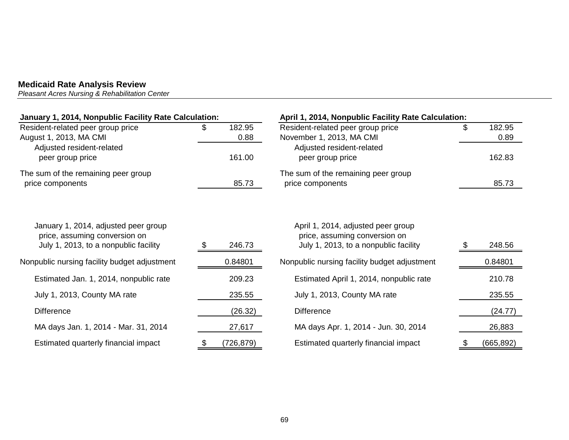*Pleasant Acres Nursing & Rehabilitation Center* 

| January 1, 2014, Nonpublic Facility Rate Calculation:                                                          |     |            | April 1, 2014, Nonpublic Facility Rate Calculation:                                                          |    |            |  |
|----------------------------------------------------------------------------------------------------------------|-----|------------|--------------------------------------------------------------------------------------------------------------|----|------------|--|
| Resident-related peer group price                                                                              | æ.  | 182.95     | Resident-related peer group price                                                                            | \$ | 182.95     |  |
| August 1, 2013, MA CMI                                                                                         |     | 0.88       | November 1, 2013, MA CMI                                                                                     |    | 0.89       |  |
| Adjusted resident-related                                                                                      |     |            | Adjusted resident-related                                                                                    |    |            |  |
| peer group price                                                                                               |     | 161.00     | peer group price                                                                                             |    | 162.83     |  |
| The sum of the remaining peer group                                                                            |     |            | The sum of the remaining peer group                                                                          |    |            |  |
| price components                                                                                               |     | 85.73      | price components                                                                                             |    | 85.73      |  |
| January 1, 2014, adjusted peer group<br>price, assuming conversion on<br>July 1, 2013, to a nonpublic facility |     | 246.73     | April 1, 2014, adjusted peer group<br>price, assuming conversion on<br>July 1, 2013, to a nonpublic facility |    | 248.56     |  |
|                                                                                                                |     |            |                                                                                                              |    |            |  |
| Nonpublic nursing facility budget adjustment                                                                   |     | 0.84801    | Nonpublic nursing facility budget adjustment                                                                 |    | 0.84801    |  |
| Estimated Jan. 1, 2014, nonpublic rate                                                                         |     | 209.23     | Estimated April 1, 2014, nonpublic rate                                                                      |    | 210.78     |  |
| July 1, 2013, County MA rate                                                                                   |     | 235.55     | July 1, 2013, County MA rate                                                                                 |    | 235.55     |  |
| <b>Difference</b>                                                                                              |     | (26.32)    | <b>Difference</b>                                                                                            |    | (24.77)    |  |
| MA days Jan. 1, 2014 - Mar. 31, 2014                                                                           |     | 27,617     | MA days Apr. 1, 2014 - Jun. 30, 2014                                                                         |    | 26,883     |  |
| Estimated quarterly financial impact                                                                           | \$. | (726, 879) | Estimated quarterly financial impact                                                                         | \$ | (665, 892) |  |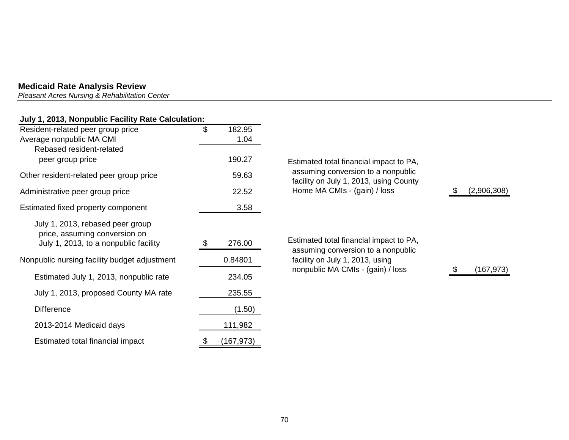*Pleasant Acres Nursing & Rehabilitation Center* 

## **July 1, 2013, Nonpublic Facility Rate Calculation:**

| Resident-related peer group price                                                     | \$ | 182.95     |                                                                               |  |
|---------------------------------------------------------------------------------------|----|------------|-------------------------------------------------------------------------------|--|
| Average nonpublic MA CMI                                                              |    | 1.04       |                                                                               |  |
| Rebased resident-related                                                              |    |            |                                                                               |  |
| peer group price                                                                      |    | 190.27     | Estimated total financial impact to PA,                                       |  |
| Other resident-related peer group price                                               |    | 59.63      | assuming conversion to a nonpublic<br>facility on July 1, 2013, using County  |  |
| Administrative peer group price                                                       |    | 22.52      | Home MA CMIs - (gain) / loss                                                  |  |
| Estimated fixed property component                                                    |    | 3.58       |                                                                               |  |
| July 1, 2013, rebased peer group                                                      |    |            |                                                                               |  |
| price, assuming conversion on                                                         |    |            |                                                                               |  |
| July 1, 2013, to a nonpublic facility<br>Nonpublic nursing facility budget adjustment |    | 276.00     | Estimated total financial impact to PA,<br>assuming conversion to a nonpublic |  |
|                                                                                       |    | 0.84801    | facility on July 1, 2013, using                                               |  |
| Estimated July 1, 2013, nonpublic rate                                                |    | 234.05     | nonpublic MA CMIs - (gain) / loss                                             |  |
| July 1, 2013, proposed County MA rate                                                 |    | 235.55     |                                                                               |  |
| <b>Difference</b>                                                                     |    | (1.50)     |                                                                               |  |
| 2013-2014 Medicaid days                                                               |    | 111,982    |                                                                               |  |
| Estimated total financial impact                                                      | \$ | (167, 973) |                                                                               |  |

 $\frac{\$}{\,2,906,308}$ 

 $$ (167,973)$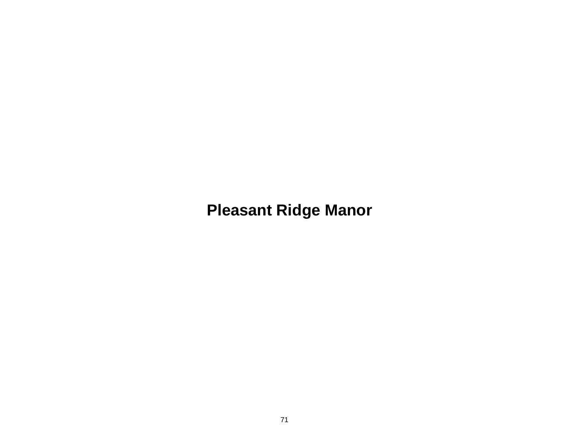# **Pleasant Ridge Manor**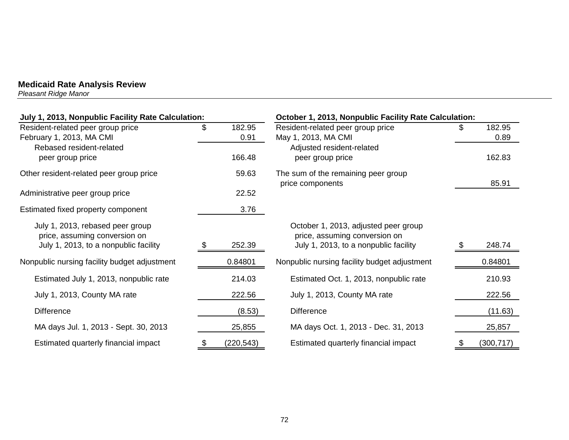*Pleasant Ridge Manor* 

| July 1, 2013, Nonpublic Facility Rate Calculation: |      | October 1, 2013, Nonpublic Facility Rate Calculation: |                                                         |     |            |
|----------------------------------------------------|------|-------------------------------------------------------|---------------------------------------------------------|-----|------------|
| Resident-related peer group price                  | \$   | 182.95                                                | Resident-related peer group price                       | \$. | 182.95     |
| February 1, 2013, MA CMI                           |      | 0.91                                                  | May 1, 2013, MA CMI                                     |     | 0.89       |
| Rebased resident-related                           |      |                                                       | Adjusted resident-related                               |     |            |
| peer group price                                   |      | 166.48                                                | peer group price                                        |     | 162.83     |
| Other resident-related peer group price            |      | 59.63                                                 | The sum of the remaining peer group<br>price components |     | 85.91      |
| Administrative peer group price                    |      | 22.52                                                 |                                                         |     |            |
| Estimated fixed property component                 |      | 3.76                                                  |                                                         |     |            |
| July 1, 2013, rebased peer group                   |      |                                                       | October 1, 2013, adjusted peer group                    |     |            |
| price, assuming conversion on                      |      |                                                       | price, assuming conversion on                           |     |            |
| July 1, 2013, to a nonpublic facility              | - 95 | 252.39                                                | July 1, 2013, to a nonpublic facility                   |     | 248.74     |
| Nonpublic nursing facility budget adjustment       |      | 0.84801                                               | Nonpublic nursing facility budget adjustment            |     | 0.84801    |
| Estimated July 1, 2013, nonpublic rate             |      | 214.03                                                | Estimated Oct. 1, 2013, nonpublic rate                  |     | 210.93     |
| July 1, 2013, County MA rate                       |      | 222.56                                                | July 1, 2013, County MA rate                            |     | 222.56     |
| <b>Difference</b>                                  |      | (8.53)                                                | <b>Difference</b>                                       |     | (11.63)    |
| MA days Jul. 1, 2013 - Sept. 30, 2013              |      | 25,855                                                | MA days Oct. 1, 2013 - Dec. 31, 2013                    |     | 25,857     |
| Estimated quarterly financial impact               |      | (220, 543)                                            | Estimated quarterly financial impact                    | \$  | (300, 717) |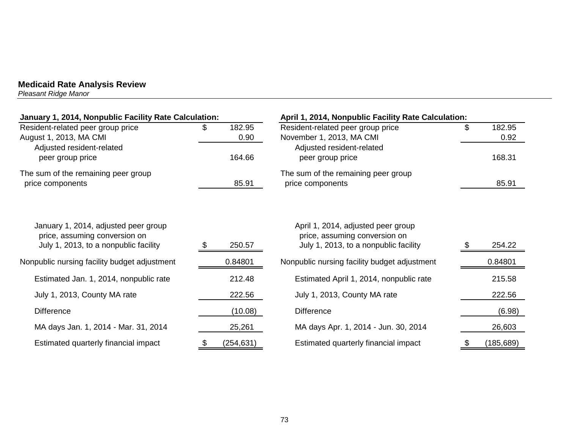*Pleasant Ridge Manor* 

| January 1, 2014, Nonpublic Facility Rate Calculation:                 |     |            | April 1, 2014, Nonpublic Facility Rate Calculation:                 |    |            |
|-----------------------------------------------------------------------|-----|------------|---------------------------------------------------------------------|----|------------|
| Resident-related peer group price                                     | SS. | 182.95     | Resident-related peer group price                                   | \$ | 182.95     |
| August 1, 2013, MA CMI                                                |     | 0.90       | November 1, 2013, MA CMI                                            |    | 0.92       |
| Adjusted resident-related<br>peer group price                         |     | 164.66     | Adjusted resident-related<br>peer group price                       |    | 168.31     |
| The sum of the remaining peer group                                   |     |            | The sum of the remaining peer group                                 |    |            |
| price components                                                      |     | 85.91      | price components                                                    |    | 85.91      |
|                                                                       |     |            |                                                                     |    |            |
| January 1, 2014, adjusted peer group<br>price, assuming conversion on |     |            | April 1, 2014, adjusted peer group<br>price, assuming conversion on |    |            |
| July 1, 2013, to a nonpublic facility                                 |     | 250.57     | July 1, 2013, to a nonpublic facility                               |    | 254.22     |
| Nonpublic nursing facility budget adjustment                          |     | 0.84801    | Nonpublic nursing facility budget adjustment                        |    | 0.84801    |
| Estimated Jan. 1, 2014, nonpublic rate                                |     | 212.48     | Estimated April 1, 2014, nonpublic rate                             |    | 215.58     |
| July 1, 2013, County MA rate                                          |     | 222.56     | July 1, 2013, County MA rate                                        |    | 222.56     |
| <b>Difference</b>                                                     |     | (10.08)    | <b>Difference</b>                                                   |    | (6.98)     |
| MA days Jan. 1, 2014 - Mar. 31, 2014                                  |     | 25,261     | MA days Apr. 1, 2014 - Jun. 30, 2014                                |    | 26,603     |
| Estimated quarterly financial impact                                  | P.  | (254, 631) | Estimated quarterly financial impact                                | \$ | (185, 689) |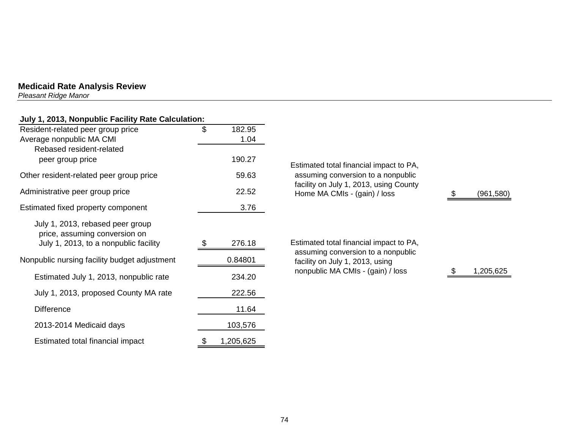*Pleasant Ridge Manor* 

# **July 1, 2013, Nonpublic Facility Rate Calculation:**

| Resident-related peer group price            | \$<br>182.95    |
|----------------------------------------------|-----------------|
| Average nonpublic MA CMI                     | 1.04            |
| Rebased resident-related                     |                 |
| peer group price                             | 190.27          |
| Other resident-related peer group price      | 59.63           |
| Administrative peer group price              | 22.52           |
| Estimated fixed property component           | 3.76            |
| July 1, 2013, rebased peer group             |                 |
| price, assuming conversion on                |                 |
| July 1, 2013, to a nonpublic facility        | 276.18          |
| Nonpublic nursing facility budget adjustment | 0.84801         |
| Estimated July 1, 2013, nonpublic rate       | 234.20          |
| July 1, 2013, proposed County MA rate        | 222.56          |
| <b>Difference</b>                            | 11.64           |
| 2013-2014 Medicaid days                      | 103,576         |
| Estimated total financial impact             | \$<br>1,205,625 |

| Estimated total financial impact to PA,<br>assuming conversion to a nonpublic<br>facility on July 1, 2013, using County<br>Home MA CMIs - (gain) / loss | 961,580   |
|---------------------------------------------------------------------------------------------------------------------------------------------------------|-----------|
| Estimated total financial impact to PA,<br>assuming conversion to a nonpublic<br>facility on July 1, 2013, using<br>nonpublic MA CMIs - (gain) / loss   | 1.205,625 |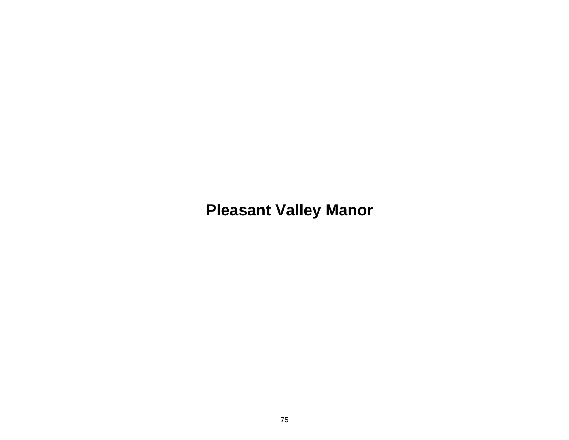# **Pleasant Valley Manor**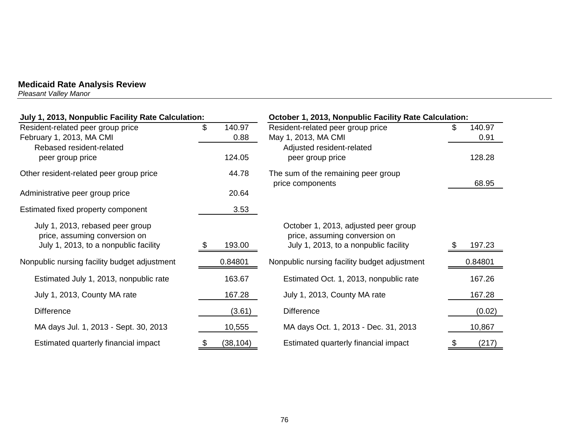*Pleasant Valley Manor* 

| July 1, 2013, Nonpublic Facility Rate Calculation:                                                         |                      | October 1, 2013, Nonpublic Facility Rate Calculation:                                                          |                |  |  |
|------------------------------------------------------------------------------------------------------------|----------------------|----------------------------------------------------------------------------------------------------------------|----------------|--|--|
| Resident-related peer group price<br>February 1, 2013, MA CMI                                              | \$<br>140.97<br>0.88 | Resident-related peer group price<br>May 1, 2013, MA CMI                                                       | 140.97<br>0.91 |  |  |
| Rebased resident-related<br>peer group price                                                               | 124.05               | Adjusted resident-related<br>peer group price                                                                  | 128.28         |  |  |
| Other resident-related peer group price                                                                    | 44.78                | The sum of the remaining peer group<br>price components                                                        | 68.95          |  |  |
| Administrative peer group price                                                                            | 20.64                |                                                                                                                |                |  |  |
| Estimated fixed property component                                                                         | 3.53                 |                                                                                                                |                |  |  |
| July 1, 2013, rebased peer group<br>price, assuming conversion on<br>July 1, 2013, to a nonpublic facility | 193.00<br>- 95       | October 1, 2013, adjusted peer group<br>price, assuming conversion on<br>July 1, 2013, to a nonpublic facility | 197.23         |  |  |
| Nonpublic nursing facility budget adjustment                                                               | 0.84801              | Nonpublic nursing facility budget adjustment                                                                   | 0.84801        |  |  |
| Estimated July 1, 2013, nonpublic rate                                                                     | 163.67               | Estimated Oct. 1, 2013, nonpublic rate                                                                         | 167.26         |  |  |
| July 1, 2013, County MA rate                                                                               | 167.28               | July 1, 2013, County MA rate                                                                                   | 167.28         |  |  |
| <b>Difference</b>                                                                                          | (3.61)               | <b>Difference</b>                                                                                              | (0.02)         |  |  |
| MA days Jul. 1, 2013 - Sept. 30, 2013                                                                      | 10,555               | MA days Oct. 1, 2013 - Dec. 31, 2013                                                                           | 10,867         |  |  |
| Estimated quarterly financial impact                                                                       | (38, 104)            | Estimated quarterly financial impact                                                                           | (217)          |  |  |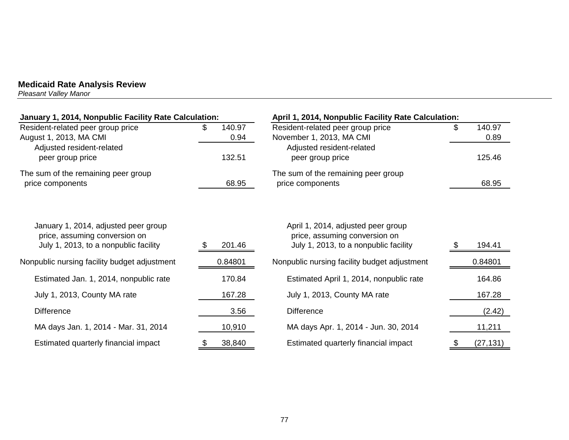*Pleasant Valley Manor* 

| January 1, 2014, Nonpublic Facility Rate Calculation:                                                          |                      | April 1, 2014, Nonpublic Facility Rate Calculation:                                                          |                      |  |
|----------------------------------------------------------------------------------------------------------------|----------------------|--------------------------------------------------------------------------------------------------------------|----------------------|--|
| Resident-related peer group price<br>August 1, 2013, MA CMI                                                    | 140.97<br>S.<br>0.94 | Resident-related peer group price<br>November 1, 2013, MA CMI                                                | \$<br>140.97<br>0.89 |  |
| Adjusted resident-related<br>peer group price                                                                  | 132.51               | Adjusted resident-related<br>peer group price                                                                | 125.46               |  |
| The sum of the remaining peer group<br>price components                                                        | 68.95                | The sum of the remaining peer group<br>price components                                                      | 68.95                |  |
| January 1, 2014, adjusted peer group<br>price, assuming conversion on<br>July 1, 2013, to a nonpublic facility | 201.46               | April 1, 2014, adjusted peer group<br>price, assuming conversion on<br>July 1, 2013, to a nonpublic facility | 194.41               |  |
| Nonpublic nursing facility budget adjustment                                                                   | 0.84801              | Nonpublic nursing facility budget adjustment                                                                 | 0.84801              |  |
| Estimated Jan. 1, 2014, nonpublic rate                                                                         | 170.84               | Estimated April 1, 2014, nonpublic rate                                                                      | 164.86               |  |
| July 1, 2013, County MA rate                                                                                   | 167.28               | July 1, 2013, County MA rate                                                                                 | 167.28               |  |
| <b>Difference</b>                                                                                              | 3.56                 | <b>Difference</b>                                                                                            | (2.42)               |  |
| MA days Jan. 1, 2014 - Mar. 31, 2014                                                                           | 10,910               | MA days Apr. 1, 2014 - Jun. 30, 2014                                                                         | 11,211               |  |
| Estimated quarterly financial impact                                                                           | 38,840               | Estimated quarterly financial impact                                                                         | (27, 131)            |  |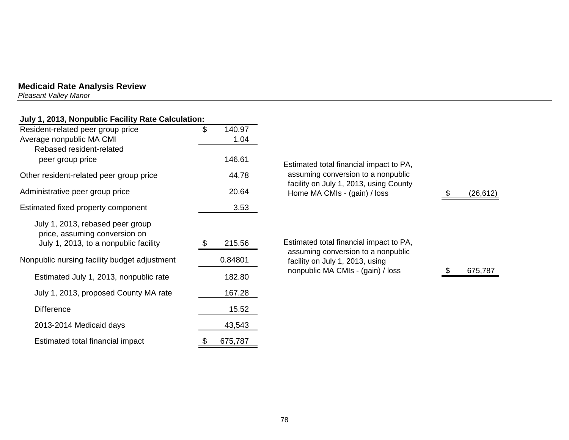*Pleasant Valley Manor* 

| July 1, 2013, Nonpublic Facility Rate Calculation:                |              |                                                                               |           |
|-------------------------------------------------------------------|--------------|-------------------------------------------------------------------------------|-----------|
| Resident-related peer group price                                 | \$<br>140.97 |                                                                               |           |
| Average nonpublic MA CMI                                          | 1.04         |                                                                               |           |
| Rebased resident-related                                          |              |                                                                               |           |
| peer group price                                                  | 146.61       | Estimated total financial impact to PA,                                       |           |
| Other resident-related peer group price                           | 44.78        | assuming conversion to a nonpublic<br>facility on July 1, 2013, using County  |           |
| Administrative peer group price                                   | 20.64        | Home MA CMIs - (gain) / loss                                                  | (26, 612) |
| Estimated fixed property component                                | 3.53         |                                                                               |           |
| July 1, 2013, rebased peer group<br>price, assuming conversion on |              |                                                                               |           |
| July 1, 2013, to a nonpublic facility                             | 215.56       | Estimated total financial impact to PA,<br>assuming conversion to a nonpublic |           |
| Nonpublic nursing facility budget adjustment                      | 0.84801      | facility on July 1, 2013, using<br>nonpublic MA CMIs - (gain) / loss          | 675,787   |
| Estimated July 1, 2013, nonpublic rate                            | 182.80       |                                                                               |           |
| July 1, 2013, proposed County MA rate                             | 167.28       |                                                                               |           |
| <b>Difference</b>                                                 | 15.52        |                                                                               |           |
| 2013-2014 Medicaid days                                           | 43,543       |                                                                               |           |

Estimated total financial impact  $\frac{\$}{\$}$  675,787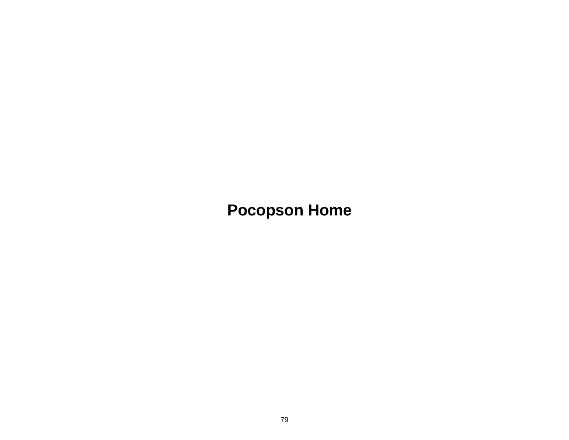**Pocopson Home**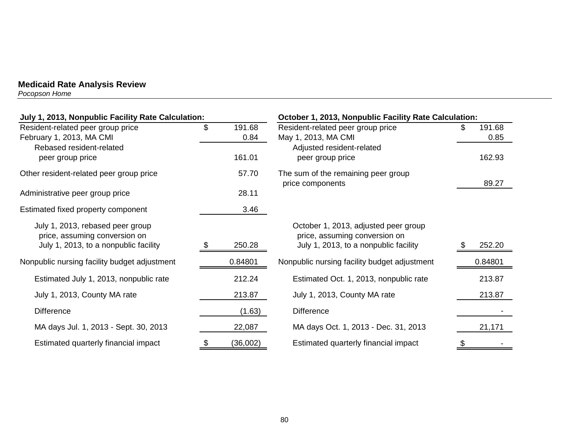*Pocopson Home* 

| July 1, 2013, Nonpublic Facility Rate Calculation: |    |          | October 1, 2013, Nonpublic Facility Rate Calculation:   |     |         |
|----------------------------------------------------|----|----------|---------------------------------------------------------|-----|---------|
| Resident-related peer group price                  | \$ | 191.68   | Resident-related peer group price                       | \$. | 191.68  |
| February 1, 2013, MA CMI                           |    | 0.84     | May 1, 2013, MA CMI                                     |     | 0.85    |
| Rebased resident-related                           |    |          | Adjusted resident-related                               |     |         |
| peer group price                                   |    | 161.01   | peer group price                                        |     | 162.93  |
| Other resident-related peer group price            |    | 57.70    | The sum of the remaining peer group<br>price components |     | 89.27   |
| Administrative peer group price                    |    | 28.11    |                                                         |     |         |
| Estimated fixed property component                 |    | 3.46     |                                                         |     |         |
| July 1, 2013, rebased peer group                   |    |          | October 1, 2013, adjusted peer group                    |     |         |
| price, assuming conversion on                      |    |          | price, assuming conversion on                           |     |         |
| July 1, 2013, to a nonpublic facility              |    | 250.28   | July 1, 2013, to a nonpublic facility                   |     | 252.20  |
| Nonpublic nursing facility budget adjustment       |    | 0.84801  | Nonpublic nursing facility budget adjustment            |     | 0.84801 |
| Estimated July 1, 2013, nonpublic rate             |    | 212.24   | Estimated Oct. 1, 2013, nonpublic rate                  |     | 213.87  |
| July 1, 2013, County MA rate                       |    | 213.87   | July 1, 2013, County MA rate                            |     | 213.87  |
| <b>Difference</b>                                  |    | (1.63)   | <b>Difference</b>                                       |     |         |
| MA days Jul. 1, 2013 - Sept. 30, 2013              |    | 22,087   | MA days Oct. 1, 2013 - Dec. 31, 2013                    |     | 21,171  |
| Estimated quarterly financial impact               |    | (36,002) | Estimated quarterly financial impact                    |     |         |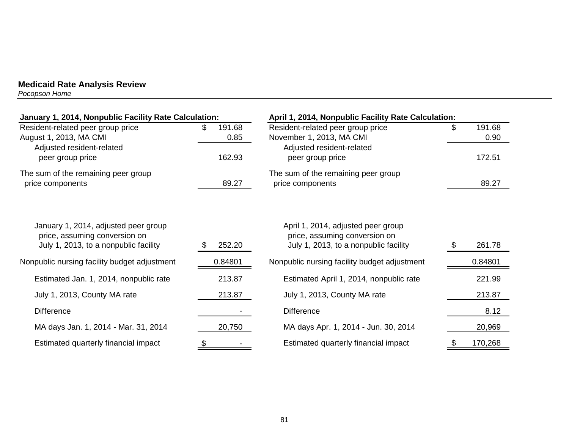*Pocopson Home* 

| January 1, 2014, Nonpublic Facility Rate Calculation:                                                          |                      | April 1, 2014, Nonpublic Facility Rate Calculation:                                                          |                      |  |  |
|----------------------------------------------------------------------------------------------------------------|----------------------|--------------------------------------------------------------------------------------------------------------|----------------------|--|--|
| Resident-related peer group price<br>August 1, 2013, MA CMI<br>Adjusted resident-related                       | 191.68<br>S.<br>0.85 | Resident-related peer group price<br>November 1, 2013, MA CMI<br>Adjusted resident-related                   | \$<br>191.68<br>0.90 |  |  |
| peer group price                                                                                               | 162.93               | peer group price                                                                                             | 172.51               |  |  |
| The sum of the remaining peer group<br>price components                                                        | 89.27                | The sum of the remaining peer group<br>price components                                                      | 89.27                |  |  |
| January 1, 2014, adjusted peer group<br>price, assuming conversion on<br>July 1, 2013, to a nonpublic facility | 252.20               | April 1, 2014, adjusted peer group<br>price, assuming conversion on<br>July 1, 2013, to a nonpublic facility | 261.78               |  |  |
| Nonpublic nursing facility budget adjustment                                                                   | 0.84801              | Nonpublic nursing facility budget adjustment                                                                 | 0.84801              |  |  |
| Estimated Jan. 1, 2014, nonpublic rate                                                                         | 213.87               | Estimated April 1, 2014, nonpublic rate                                                                      | 221.99               |  |  |
| July 1, 2013, County MA rate                                                                                   | 213.87               | July 1, 2013, County MA rate                                                                                 | 213.87               |  |  |
| <b>Difference</b>                                                                                              |                      | <b>Difference</b>                                                                                            | 8.12                 |  |  |
| MA days Jan. 1, 2014 - Mar. 31, 2014                                                                           | 20,750               | MA days Apr. 1, 2014 - Jun. 30, 2014                                                                         | 20,969               |  |  |
| Estimated quarterly financial impact                                                                           |                      | Estimated quarterly financial impact                                                                         | 170,268              |  |  |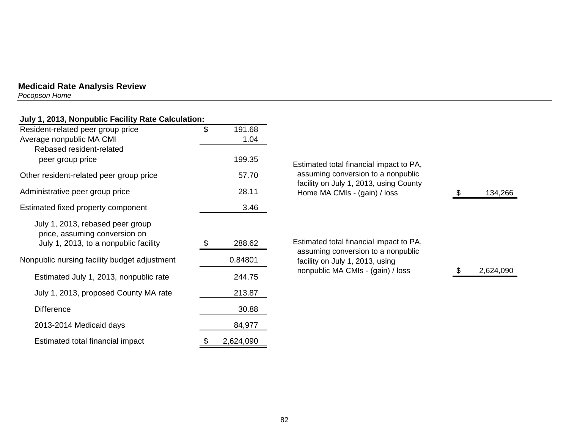*Pocopson Home* 

| July 1, 2013, Nonpublic Facility Rate Calculation:                     |    |         |                                                                              |           |
|------------------------------------------------------------------------|----|---------|------------------------------------------------------------------------------|-----------|
| Resident-related peer group price                                      | \$ | 191.68  |                                                                              |           |
| Average nonpublic MA CMI                                               |    | 1.04    |                                                                              |           |
| Rebased resident-related                                               |    |         |                                                                              |           |
| peer group price                                                       |    | 199.35  | Estimated total financial impact to PA,                                      |           |
| Other resident-related peer group price                                |    | 57.70   | assuming conversion to a nonpublic<br>facility on July 1, 2013, using County |           |
| Administrative peer group price                                        |    | 28.11   | Home MA CMIs - (gain) / loss                                                 | 134,266   |
| Estimated fixed property component                                     |    | 3.46    |                                                                              |           |
| July 1, 2013, rebased peer group                                       |    |         |                                                                              |           |
| price, assuming conversion on<br>July 1, 2013, to a nonpublic facility | S. | 288.62  | Estimated total financial impact to PA,                                      |           |
|                                                                        |    |         | assuming conversion to a nonpublic                                           |           |
| Nonpublic nursing facility budget adjustment                           |    | 0.84801 | facility on July 1, 2013, using                                              |           |
| Estimated July 1, 2013, nonpublic rate                                 |    | 244.75  | nonpublic MA CMIs - (gain) / loss                                            | 2,624,090 |
| July 1, 2013, proposed County MA rate                                  |    | 213.87  |                                                                              |           |
| <b>Difference</b>                                                      |    | 30.88   |                                                                              |           |
| 2013-2014 Medicaid days                                                |    | 84,977  |                                                                              |           |

Estimated total financial impact  $\frac{\$}{2,624,090}$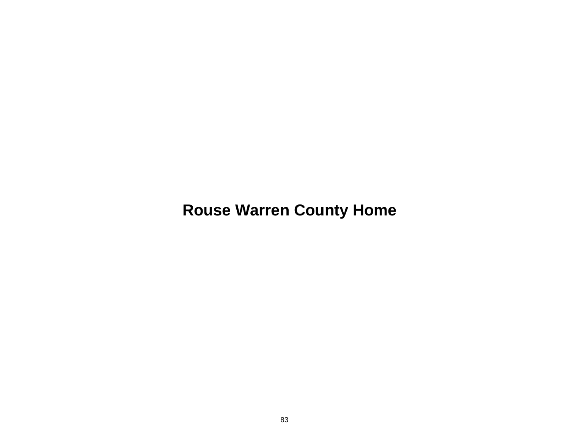**Rouse Warren County Home**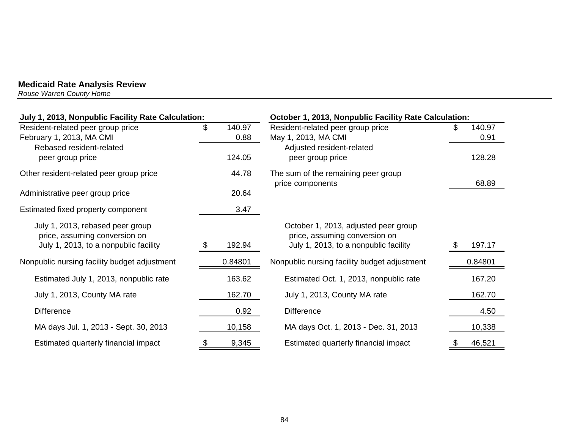*Rouse Warren County Home* 

| July 1, 2013, Nonpublic Facility Rate Calculation:                                                         |      |                | October 1, 2013, Nonpublic Facility Rate Calculation:                                                          |  |                |
|------------------------------------------------------------------------------------------------------------|------|----------------|----------------------------------------------------------------------------------------------------------------|--|----------------|
| Resident-related peer group price<br>February 1, 2013, MA CMI                                              | \$   | 140.97<br>0.88 | Resident-related peer group price<br>May 1, 2013, MA CMI                                                       |  | 140.97<br>0.91 |
| Rebased resident-related<br>peer group price                                                               |      | 124.05         | Adjusted resident-related<br>peer group price                                                                  |  | 128.28         |
| Other resident-related peer group price                                                                    |      | 44.78          | The sum of the remaining peer group<br>price components                                                        |  | 68.89          |
| Administrative peer group price                                                                            |      | 20.64          |                                                                                                                |  |                |
| Estimated fixed property component                                                                         |      | 3.47           |                                                                                                                |  |                |
| July 1, 2013, rebased peer group<br>price, assuming conversion on<br>July 1, 2013, to a nonpublic facility | - 35 | 192.94         | October 1, 2013, adjusted peer group<br>price, assuming conversion on<br>July 1, 2013, to a nonpublic facility |  | 197.17         |
| Nonpublic nursing facility budget adjustment                                                               |      | 0.84801        | Nonpublic nursing facility budget adjustment                                                                   |  | 0.84801        |
| Estimated July 1, 2013, nonpublic rate                                                                     |      | 163.62         | Estimated Oct. 1, 2013, nonpublic rate                                                                         |  | 167.20         |
| July 1, 2013, County MA rate                                                                               |      | 162.70         | July 1, 2013, County MA rate                                                                                   |  | 162.70         |
| <b>Difference</b>                                                                                          |      | 0.92           | <b>Difference</b>                                                                                              |  | 4.50           |
| MA days Jul. 1, 2013 - Sept. 30, 2013                                                                      |      | 10,158         | MA days Oct. 1, 2013 - Dec. 31, 2013                                                                           |  | 10,338         |
| Estimated quarterly financial impact                                                                       |      | 9,345          | Estimated quarterly financial impact                                                                           |  | 46,521         |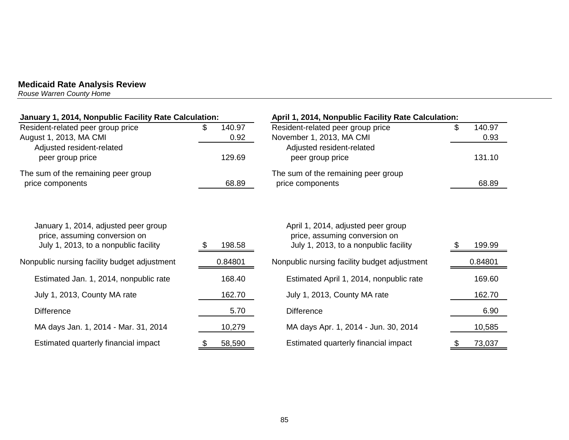*Rouse Warren County Home* 

| January 1, 2014, Nonpublic Facility Rate Calculation:                                                          |                          | April 1, 2014, Nonpublic Facility Rate Calculation:                                                            |                                |  |  |
|----------------------------------------------------------------------------------------------------------------|--------------------------|----------------------------------------------------------------------------------------------------------------|--------------------------------|--|--|
| Resident-related peer group price<br>August 1, 2013, MA CMI<br>Adjusted resident-related<br>peer group price   | 140.97<br>0.92<br>129.69 | Resident-related peer group price<br>November 1, 2013, MA CMI<br>Adjusted resident-related<br>peer group price | \$<br>140.97<br>0.93<br>131.10 |  |  |
| The sum of the remaining peer group<br>price components                                                        | 68.89                    | The sum of the remaining peer group<br>price components                                                        | 68.89                          |  |  |
| January 1, 2014, adjusted peer group<br>price, assuming conversion on<br>July 1, 2013, to a nonpublic facility | 198.58<br>- 22           | April 1, 2014, adjusted peer group<br>price, assuming conversion on<br>July 1, 2013, to a nonpublic facility   | 199.99                         |  |  |
| Nonpublic nursing facility budget adjustment                                                                   | 0.84801                  | Nonpublic nursing facility budget adjustment                                                                   | 0.84801                        |  |  |
| Estimated Jan. 1, 2014, nonpublic rate                                                                         | 168.40                   | Estimated April 1, 2014, nonpublic rate                                                                        | 169.60                         |  |  |
| July 1, 2013, County MA rate                                                                                   | 162.70                   | July 1, 2013, County MA rate                                                                                   | 162.70                         |  |  |
| <b>Difference</b>                                                                                              | 5.70                     | <b>Difference</b>                                                                                              | 6.90                           |  |  |
| MA days Jan. 1, 2014 - Mar. 31, 2014                                                                           | 10,279                   | MA days Apr. 1, 2014 - Jun. 30, 2014                                                                           | 10,585                         |  |  |
| Estimated quarterly financial impact                                                                           | 58,590                   | Estimated quarterly financial impact                                                                           | 73,037                         |  |  |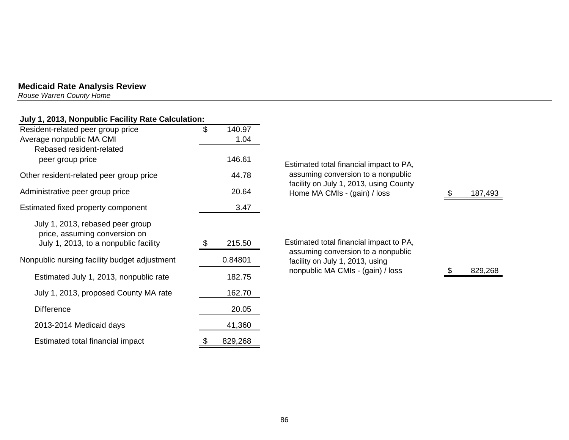*Rouse Warren County Home* 

# **July 1, 2013, Nonpublic Facility Rate Calculation:**

| Resident-related peer group price                                 | \$<br>140.97  |                                             |
|-------------------------------------------------------------------|---------------|---------------------------------------------|
| Average nonpublic MA CMI<br>Rebased resident-related              | 1.04          |                                             |
| peer group price                                                  | 146.61        | <b>Estimated total finan</b>                |
| Other resident-related peer group price                           | 44.78         | assuming conversio                          |
| Administrative peer group price                                   | 20.64         | facility on July 1, 20<br>Home MA CMIs - (g |
| Estimated fixed property component                                | 3.47          |                                             |
| July 1, 2013, rebased peer group<br>price, assuming conversion on |               |                                             |
| July 1, 2013, to a nonpublic facility                             | 215.50<br>S   | Estimated total finan<br>assuming conversid |
| Nonpublic nursing facility budget adjustment                      | 0.84801       | facility on July 1, 20                      |
| Estimated July 1, 2013, nonpublic rate                            | 182.75        | nonpublic MA CMIs                           |
| July 1, 2013, proposed County MA rate                             | 162.70        |                                             |
| <b>Difference</b>                                                 | 20.05         |                                             |
| 2013-2014 Medicaid days                                           | 41,360        |                                             |
| Estimated total financial impact                                  | \$<br>829,268 |                                             |

|   | Estimated total financial impact to PA,<br>assuming conversion to a nonpublic<br>facility on July 1, 2013, using County<br>Home MA CMIs - (gain) / loss |  | 187,493 |
|---|---------------------------------------------------------------------------------------------------------------------------------------------------------|--|---------|
|   |                                                                                                                                                         |  |         |
| — | Estimated total financial impact to PA,<br>assuming conversion to a nonpublic<br>facility on July 1, 2013, using                                        |  |         |
|   | nonpublic MA CMIs - (gain) / loss                                                                                                                       |  | 829,268 |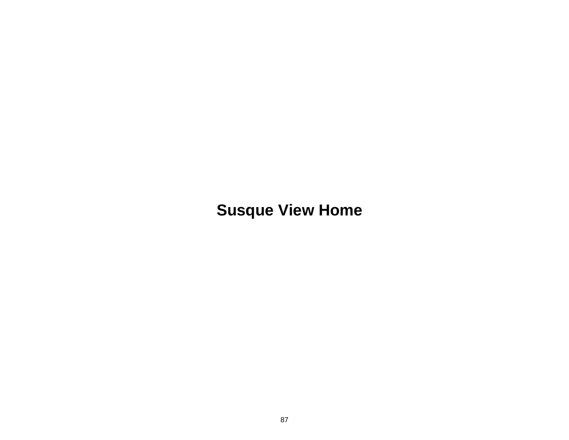**Susque View Home**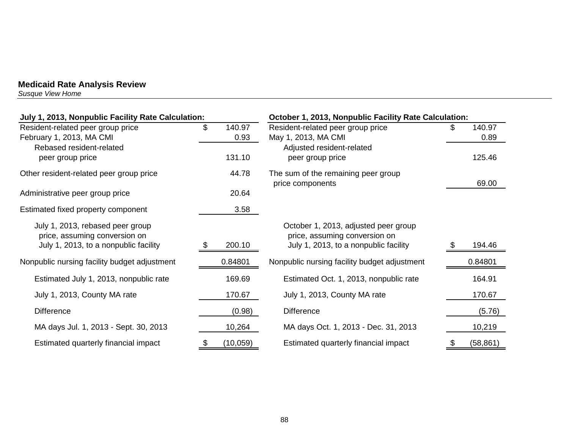*Susque View Home* 

| July 1, 2013, Nonpublic Facility Rate Calculation:                                                         |                      | October 1, 2013, Nonpublic Facility Rate Calculation:                                                          |                      |  |  |  |
|------------------------------------------------------------------------------------------------------------|----------------------|----------------------------------------------------------------------------------------------------------------|----------------------|--|--|--|
| Resident-related peer group price<br>February 1, 2013, MA CMI                                              | \$<br>140.97<br>0.93 | Resident-related peer group price<br>May 1, 2013, MA CMI                                                       | 140.97<br>£.<br>0.89 |  |  |  |
| Rebased resident-related<br>peer group price                                                               | 131.10               | Adjusted resident-related<br>peer group price                                                                  | 125.46               |  |  |  |
| Other resident-related peer group price                                                                    | 44.78                | The sum of the remaining peer group<br>price components                                                        | 69.00                |  |  |  |
| Administrative peer group price                                                                            | 20.64                |                                                                                                                |                      |  |  |  |
| Estimated fixed property component                                                                         | 3.58                 |                                                                                                                |                      |  |  |  |
| July 1, 2013, rebased peer group<br>price, assuming conversion on<br>July 1, 2013, to a nonpublic facility | 200.10<br>- 95       | October 1, 2013, adjusted peer group<br>price, assuming conversion on<br>July 1, 2013, to a nonpublic facility | 194.46               |  |  |  |
| Nonpublic nursing facility budget adjustment                                                               | 0.84801              | Nonpublic nursing facility budget adjustment                                                                   | 0.84801              |  |  |  |
| Estimated July 1, 2013, nonpublic rate                                                                     | 169.69               | Estimated Oct. 1, 2013, nonpublic rate                                                                         | 164.91               |  |  |  |
| July 1, 2013, County MA rate                                                                               | 170.67               | July 1, 2013, County MA rate                                                                                   | 170.67               |  |  |  |
| <b>Difference</b>                                                                                          | (0.98)               | <b>Difference</b>                                                                                              | (5.76)               |  |  |  |
| MA days Jul. 1, 2013 - Sept. 30, 2013                                                                      | 10,264               | MA days Oct. 1, 2013 - Dec. 31, 2013                                                                           | 10,219               |  |  |  |
| Estimated quarterly financial impact                                                                       | (10,059)             | Estimated quarterly financial impact                                                                           | (58, 861)            |  |  |  |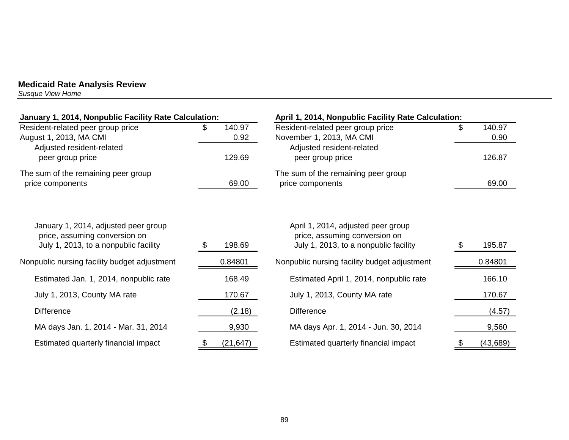*Susque View Home* 

| January 1, 2014, Nonpublic Facility Rate Calculation:                                                          |    | April 1, 2014, Nonpublic Facility Rate Calculation: |                                                                                                              |    |                |
|----------------------------------------------------------------------------------------------------------------|----|-----------------------------------------------------|--------------------------------------------------------------------------------------------------------------|----|----------------|
| Resident-related peer group price<br>August 1, 2013, MA CMI                                                    | S. | 140.97<br>0.92                                      | Resident-related peer group price<br>November 1, 2013, MA CMI                                                | \$ | 140.97<br>0.90 |
| Adjusted resident-related<br>peer group price                                                                  |    | 129.69                                              | Adjusted resident-related<br>peer group price                                                                |    | 126.87         |
| The sum of the remaining peer group<br>price components                                                        |    | 69.00                                               | The sum of the remaining peer group<br>price components                                                      |    | 69.00          |
| January 1, 2014, adjusted peer group<br>price, assuming conversion on<br>July 1, 2013, to a nonpublic facility |    | 198.69                                              | April 1, 2014, adjusted peer group<br>price, assuming conversion on<br>July 1, 2013, to a nonpublic facility |    | 195.87         |
| Nonpublic nursing facility budget adjustment                                                                   |    | 0.84801                                             | Nonpublic nursing facility budget adjustment                                                                 |    | 0.84801        |
| Estimated Jan. 1, 2014, nonpublic rate                                                                         |    | 168.49                                              | Estimated April 1, 2014, nonpublic rate                                                                      |    | 166.10         |
| July 1, 2013, County MA rate                                                                                   |    | 170.67                                              | July 1, 2013, County MA rate                                                                                 |    | 170.67         |
| <b>Difference</b>                                                                                              |    | (2.18)                                              | <b>Difference</b>                                                                                            |    | (4.57)         |
| MA days Jan. 1, 2014 - Mar. 31, 2014                                                                           |    | 9,930                                               | MA days Apr. 1, 2014 - Jun. 30, 2014                                                                         |    | 9,560          |
| Estimated quarterly financial impact                                                                           | \$ | (21, 647)                                           | Estimated quarterly financial impact                                                                         | \$ | (43, 689)      |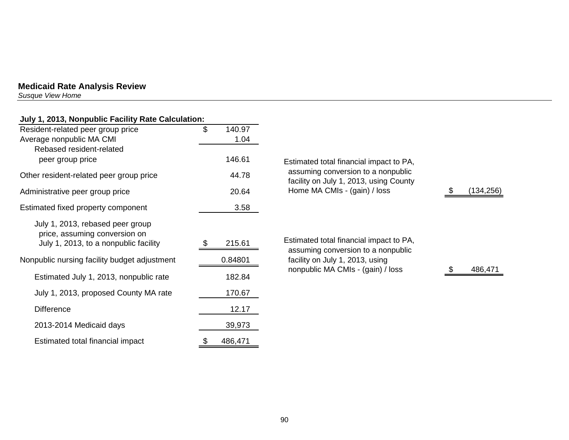*Susque View Home* 

| July 1, 2013, Nonpublic Facility Rate Calculation:                                                         |               |                                                                               |            |
|------------------------------------------------------------------------------------------------------------|---------------|-------------------------------------------------------------------------------|------------|
| Resident-related peer group price                                                                          | \$<br>140.97  |                                                                               |            |
| Average nonpublic MA CMI                                                                                   | 1.04          |                                                                               |            |
| Rebased resident-related                                                                                   |               |                                                                               |            |
| peer group price                                                                                           | 146.61        | Estimated total financial impact to PA,                                       |            |
| Other resident-related peer group price                                                                    | 44.78         | assuming conversion to a nonpublic<br>facility on July 1, 2013, using County  |            |
| Administrative peer group price                                                                            | 20.64         | Home MA CMIs - (gain) / loss                                                  | (134, 256) |
| Estimated fixed property component                                                                         | 3.58          |                                                                               |            |
| July 1, 2013, rebased peer group<br>price, assuming conversion on<br>July 1, 2013, to a nonpublic facility | 215.61        | Estimated total financial impact to PA,<br>assuming conversion to a nonpublic |            |
| Nonpublic nursing facility budget adjustment                                                               | 0.84801       | facility on July 1, 2013, using                                               |            |
| Estimated July 1, 2013, nonpublic rate                                                                     | 182.84        | nonpublic MA CMIs - (gain) / loss                                             | 486,471    |
| July 1, 2013, proposed County MA rate                                                                      | 170.67        |                                                                               |            |
| <b>Difference</b>                                                                                          | 12.17         |                                                                               |            |
| 2013-2014 Medicaid days                                                                                    | 39,973        |                                                                               |            |
| Estimated total financial impact                                                                           | \$<br>486,471 |                                                                               |            |

90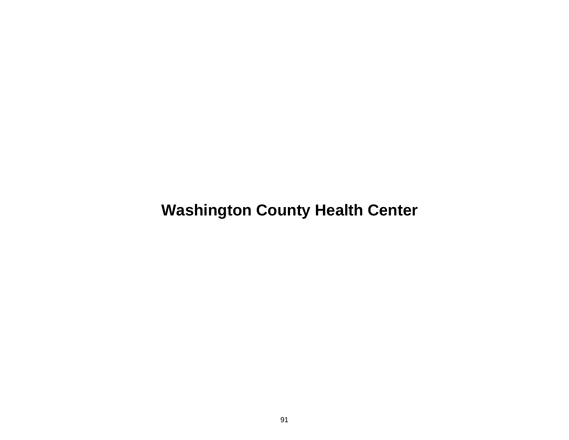**Washington County Health Center**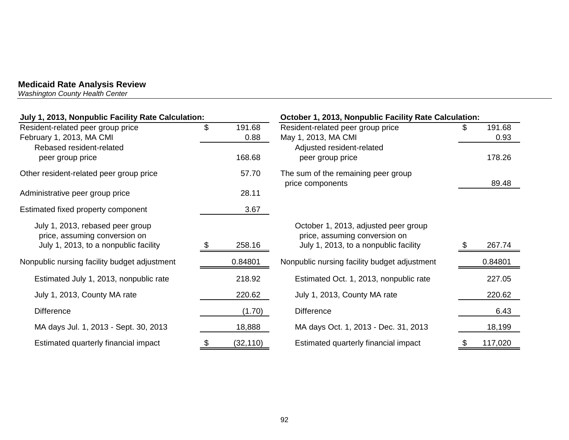*Washington County Health Center* 

| July 1, 2013, Nonpublic Facility Rate Calculation: |                 | October 1, 2013, Nonpublic Facility Rate Calculation:   |               |
|----------------------------------------------------|-----------------|---------------------------------------------------------|---------------|
| Resident-related peer group price                  | \$<br>191.68    | Resident-related peer group price                       | 191.68        |
| February 1, 2013, MA CMI                           | 0.88            | May 1, 2013, MA CMI                                     | 0.93          |
| Rebased resident-related                           |                 | Adjusted resident-related                               |               |
| peer group price                                   | 168.68          | peer group price                                        | 178.26        |
| Other resident-related peer group price            | 57.70           | The sum of the remaining peer group<br>price components | 89.48         |
| Administrative peer group price                    | 28.11           |                                                         |               |
| Estimated fixed property component                 | 3.67            |                                                         |               |
| July 1, 2013, rebased peer group                   |                 | October 1, 2013, adjusted peer group                    |               |
| price, assuming conversion on                      |                 | price, assuming conversion on                           |               |
| July 1, 2013, to a nonpublic facility              | 258.16          | July 1, 2013, to a nonpublic facility                   | 267.74        |
| Nonpublic nursing facility budget adjustment       | 0.84801         | Nonpublic nursing facility budget adjustment            | 0.84801       |
| Estimated July 1, 2013, nonpublic rate             | 218.92          | Estimated Oct. 1, 2013, nonpublic rate                  | 227.05        |
| July 1, 2013, County MA rate                       | 220.62          | July 1, 2013, County MA rate                            | 220.62        |
| <b>Difference</b>                                  | (1.70)          | <b>Difference</b>                                       | 6.43          |
| MA days Jul. 1, 2013 - Sept. 30, 2013              | 18,888          | MA days Oct. 1, 2013 - Dec. 31, 2013                    | 18,199        |
| Estimated quarterly financial impact               | \$<br>(32, 110) | Estimated quarterly financial impact                    | \$<br>117,020 |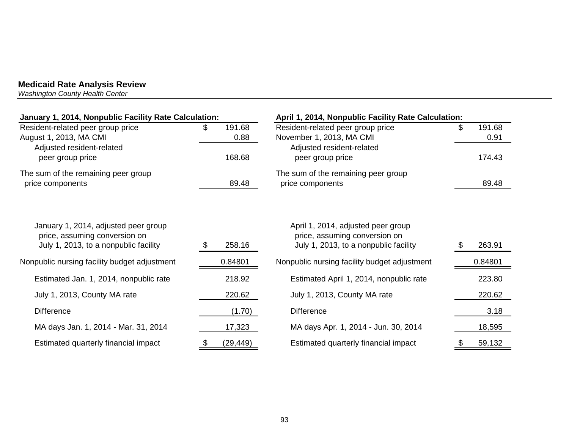*Washington County Health Center* 

| January 1, 2014, Nonpublic Facility Rate Calculation:                                                          |  |                | April 1, 2014, Nonpublic Facility Rate Calculation:                                                          |  |                |  |
|----------------------------------------------------------------------------------------------------------------|--|----------------|--------------------------------------------------------------------------------------------------------------|--|----------------|--|
| Resident-related peer group price<br>August 1, 2013, MA CMI                                                    |  | 191.68<br>0.88 | Resident-related peer group price<br>November 1, 2013, MA CMI                                                |  | 191.68<br>0.91 |  |
| Adjusted resident-related<br>peer group price                                                                  |  | 168.68         | Adjusted resident-related<br>peer group price                                                                |  | 174.43         |  |
| The sum of the remaining peer group<br>price components                                                        |  | 89.48          | The sum of the remaining peer group<br>price components                                                      |  | 89.48          |  |
| January 1, 2014, adjusted peer group<br>price, assuming conversion on<br>July 1, 2013, to a nonpublic facility |  | 258.16         | April 1, 2014, adjusted peer group<br>price, assuming conversion on<br>July 1, 2013, to a nonpublic facility |  | 263.91         |  |
| Nonpublic nursing facility budget adjustment                                                                   |  | 0.84801        | Nonpublic nursing facility budget adjustment                                                                 |  | 0.84801        |  |
| Estimated Jan. 1, 2014, nonpublic rate                                                                         |  | 218.92         | Estimated April 1, 2014, nonpublic rate                                                                      |  | 223.80         |  |
| July 1, 2013, County MA rate                                                                                   |  | 220.62         | July 1, 2013, County MA rate                                                                                 |  | 220.62         |  |
| <b>Difference</b>                                                                                              |  | (1.70)         | <b>Difference</b>                                                                                            |  | 3.18           |  |
| MA days Jan. 1, 2014 - Mar. 31, 2014                                                                           |  | 17,323         | MA days Apr. 1, 2014 - Jun. 30, 2014                                                                         |  | 18,595         |  |
| Estimated quarterly financial impact                                                                           |  | (29, 449)      | Estimated quarterly financial impact                                                                         |  | 59,132         |  |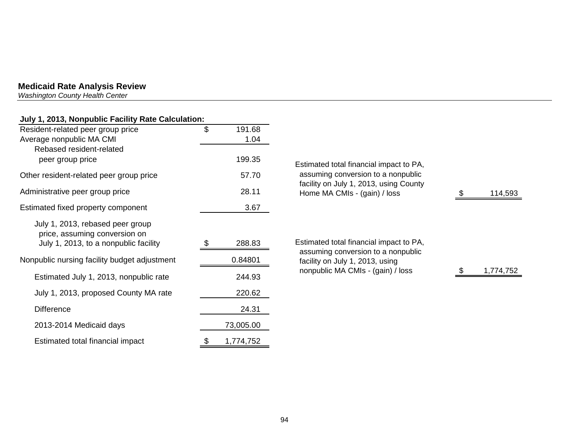*Washington County Health Center* 

## **July 1, 2013, Nonpublic Facility Rate Calculation:**

| Resident-related peer group price                                                                          | \$<br>191.68 |                                                                              |           |
|------------------------------------------------------------------------------------------------------------|--------------|------------------------------------------------------------------------------|-----------|
| Average nonpublic MA CMI                                                                                   | 1.04         |                                                                              |           |
| Rebased resident-related                                                                                   |              |                                                                              |           |
| peer group price                                                                                           | 199.35       | Estimated total financial impact to PA,                                      |           |
| Other resident-related peer group price                                                                    | 57.70        | assuming conversion to a nonpublic<br>facility on July 1, 2013, using County |           |
| Administrative peer group price                                                                            | 28.11        | Home MA CMIs - (gain) / loss                                                 | 114,593   |
| Estimated fixed property component                                                                         | 3.67         |                                                                              |           |
| July 1, 2013, rebased peer group<br>price, assuming conversion on<br>July 1, 2013, to a nonpublic facility | 288.83       | Estimated total financial impact to PA,                                      |           |
| Nonpublic nursing facility budget adjustment                                                               | 0.84801      | assuming conversion to a nonpublic<br>facility on July 1, 2013, using        |           |
| Estimated July 1, 2013, nonpublic rate                                                                     | 244.93       | nonpublic MA CMIs - (gain) / loss                                            | 1,774,752 |
| July 1, 2013, proposed County MA rate                                                                      | 220.62       |                                                                              |           |
| <b>Difference</b>                                                                                          | 24.31        |                                                                              |           |
| 2013-2014 Medicaid days                                                                                    | 73,005.00    |                                                                              |           |
|                                                                                                            |              |                                                                              |           |

Estimated total financial impact  $\frac{\$}{1,774,752}$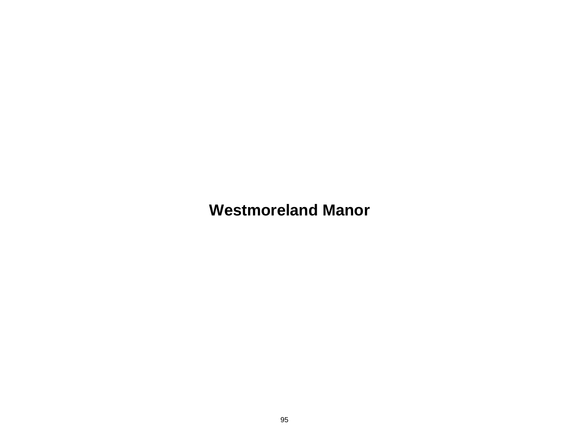**Westmoreland Manor**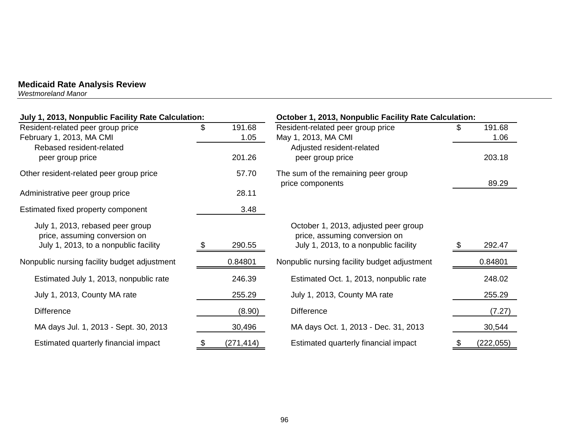*Westmoreland Manor* 

| July 1, 2013, Nonpublic Facility Rate Calculation: |    |            | October 1, 2013, Nonpublic Facility Rate Calculation:   |    |            |  |
|----------------------------------------------------|----|------------|---------------------------------------------------------|----|------------|--|
| Resident-related peer group price                  | \$ | 191.68     | Resident-related peer group price                       | S. | 191.68     |  |
| February 1, 2013, MA CMI                           |    | 1.05       | May 1, 2013, MA CMI                                     |    | 1.06       |  |
| Rebased resident-related                           |    |            | Adjusted resident-related                               |    |            |  |
| peer group price                                   |    | 201.26     | peer group price                                        |    | 203.18     |  |
| Other resident-related peer group price            |    | 57.70      | The sum of the remaining peer group<br>price components |    | 89.29      |  |
| Administrative peer group price                    |    | 28.11      |                                                         |    |            |  |
| Estimated fixed property component                 |    | 3.48       |                                                         |    |            |  |
| July 1, 2013, rebased peer group                   |    |            | October 1, 2013, adjusted peer group                    |    |            |  |
| price, assuming conversion on                      |    |            | price, assuming conversion on                           |    |            |  |
| July 1, 2013, to a nonpublic facility              |    | 290.55     | July 1, 2013, to a nonpublic facility                   |    | 292.47     |  |
| Nonpublic nursing facility budget adjustment       |    | 0.84801    | Nonpublic nursing facility budget adjustment            |    | 0.84801    |  |
| Estimated July 1, 2013, nonpublic rate             |    | 246.39     | Estimated Oct. 1, 2013, nonpublic rate                  |    | 248.02     |  |
| July 1, 2013, County MA rate                       |    | 255.29     | July 1, 2013, County MA rate                            |    | 255.29     |  |
| <b>Difference</b>                                  |    | (8.90)     | <b>Difference</b>                                       |    | (7.27)     |  |
| MA days Jul. 1, 2013 - Sept. 30, 2013              |    | 30,496     | MA days Oct. 1, 2013 - Dec. 31, 2013                    |    | 30,544     |  |
| Estimated quarterly financial impact               |    | (271, 414) | Estimated quarterly financial impact                    | \$ | (222, 055) |  |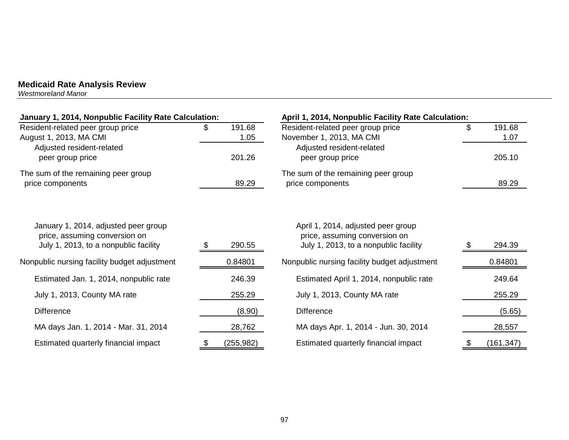*Westmoreland Manor* 

| January 1, 2014, Nonpublic Facility Rate Calculation:                                                          |                | April 1, 2014, Nonpublic Facility Rate Calculation:                                                          |                      |
|----------------------------------------------------------------------------------------------------------------|----------------|--------------------------------------------------------------------------------------------------------------|----------------------|
| Resident-related peer group price<br>August 1, 2013, MA CMI                                                    | 191.68<br>1.05 | Resident-related peer group price<br>November 1, 2013, MA CMI                                                | \$<br>191.68<br>1.07 |
| Adjusted resident-related                                                                                      |                | Adjusted resident-related                                                                                    |                      |
| peer group price                                                                                               | 201.26         | peer group price                                                                                             | 205.10               |
| The sum of the remaining peer group                                                                            |                | The sum of the remaining peer group                                                                          |                      |
| price components                                                                                               | 89.29          | price components                                                                                             | 89.29                |
| January 1, 2014, adjusted peer group<br>price, assuming conversion on<br>July 1, 2013, to a nonpublic facility | 290.55         | April 1, 2014, adjusted peer group<br>price, assuming conversion on<br>July 1, 2013, to a nonpublic facility | 294.39               |
| Nonpublic nursing facility budget adjustment                                                                   | 0.84801        | Nonpublic nursing facility budget adjustment                                                                 | 0.84801              |
| Estimated Jan. 1, 2014, nonpublic rate                                                                         | 246.39         | Estimated April 1, 2014, nonpublic rate                                                                      | 249.64               |
| July 1, 2013, County MA rate                                                                                   | 255.29         | July 1, 2013, County MA rate                                                                                 | 255.29               |
| <b>Difference</b>                                                                                              | (8.90)         | <b>Difference</b>                                                                                            | (5.65)               |
| MA days Jan. 1, 2014 - Mar. 31, 2014                                                                           | 28,762         | MA days Apr. 1, 2014 - Jun. 30, 2014                                                                         | 28,557               |
| Estimated quarterly financial impact                                                                           | (255, 982)     | Estimated quarterly financial impact                                                                         | (161, 347)           |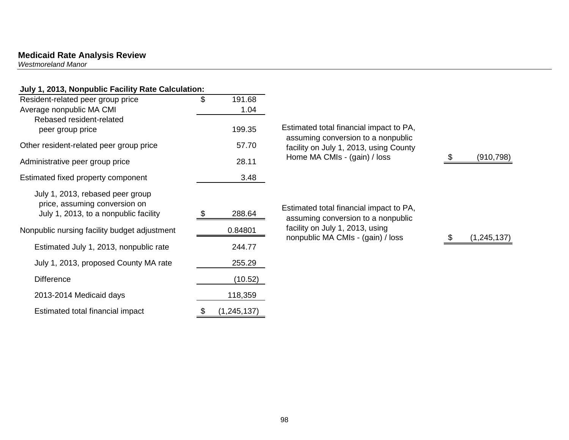*Westmoreland Manor* 

# **July 1, 2013, Nonpublic Facility Rate Calculation:**

| $\ldots$ , $\ldots$ , $\ldots$ , $\ldots$ , $\ldots$ , $\ldots$ , $\ldots$ , $\ldots$ , $\ldots$<br>Resident-related peer group price | \$<br>191.68  |                                                                               |             |
|---------------------------------------------------------------------------------------------------------------------------------------|---------------|-------------------------------------------------------------------------------|-------------|
| Average nonpublic MA CMI                                                                                                              | 1.04          |                                                                               |             |
| Rebased resident-related<br>peer group price                                                                                          | 199.35        | Estimated total financial impact to PA,<br>assuming conversion to a nonpublic |             |
| Other resident-related peer group price                                                                                               | 57.70         | facility on July 1, 2013, using County                                        |             |
| Administrative peer group price                                                                                                       | 28.11         | Home MA CMIs - (gain) / loss                                                  | (910, 798)  |
| Estimated fixed property component                                                                                                    | 3.48          |                                                                               |             |
| July 1, 2013, rebased peer group<br>price, assuming conversion on<br>July 1, 2013, to a nonpublic facility                            | 288.64        | Estimated total financial impact to PA,<br>assuming conversion to a nonpublic |             |
| Nonpublic nursing facility budget adjustment                                                                                          | 0.84801       | facility on July 1, 2013, using<br>nonpublic MA CMIs - (gain) / loss          | (1,245,137) |
| Estimated July 1, 2013, nonpublic rate                                                                                                | 244.77        |                                                                               |             |
| July 1, 2013, proposed County MA rate                                                                                                 | 255.29        |                                                                               |             |
| <b>Difference</b>                                                                                                                     | (10.52)       |                                                                               |             |
| 2013-2014 Medicaid days                                                                                                               | 118,359       |                                                                               |             |
| Estimated total financial impact                                                                                                      | (1, 245, 137) |                                                                               |             |